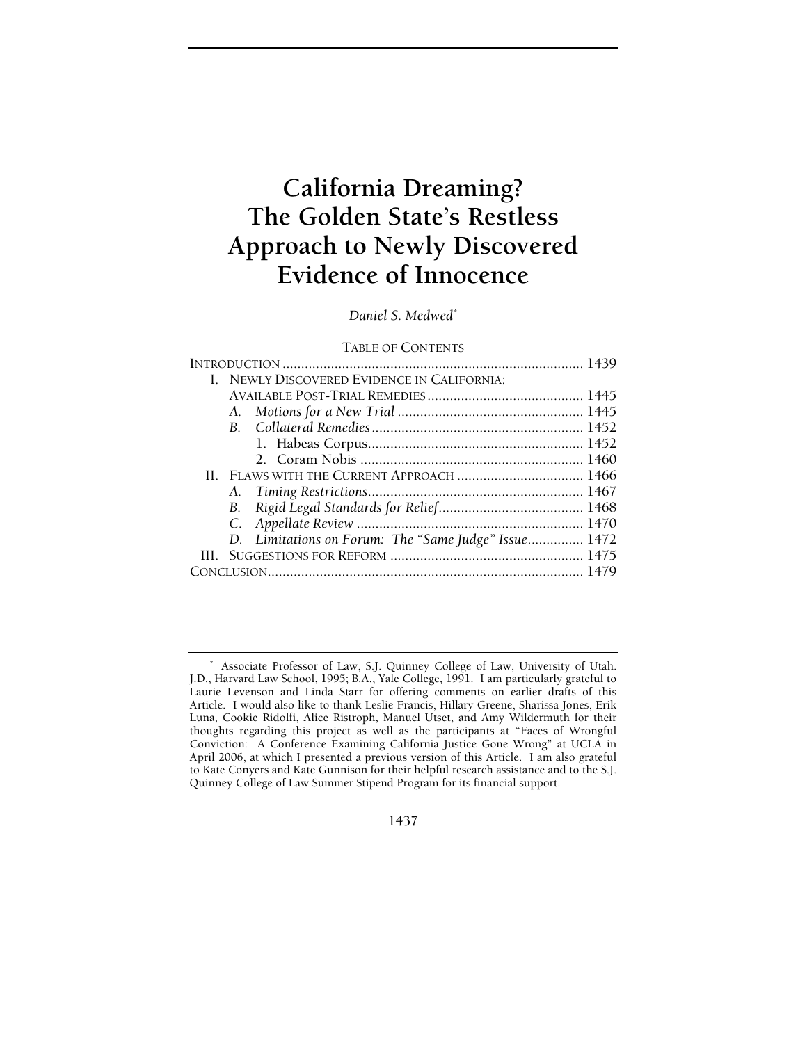# **California Dreaming? The Golden State's Restless Approach to Newly Discovered Evidence of Innocence**

*Daniel S. Medwed\**

## TABLE OF CONTENTS

|  | I. NEWLY DISCOVERED EVIDENCE IN CALIFORNIA: |                                                      |  |
|--|---------------------------------------------|------------------------------------------------------|--|
|  |                                             |                                                      |  |
|  |                                             |                                                      |  |
|  |                                             |                                                      |  |
|  |                                             |                                                      |  |
|  |                                             |                                                      |  |
|  |                                             | II. FLAWS WITH THE CURRENT APPROACH  1466            |  |
|  |                                             |                                                      |  |
|  | B.                                          |                                                      |  |
|  |                                             |                                                      |  |
|  |                                             | D. Limitations on Forum: The "Same Judge" Issue 1472 |  |
|  |                                             |                                                      |  |
|  |                                             |                                                      |  |
|  |                                             |                                                      |  |

1437

 <sup>\*</sup> Associate Professor of Law, S.J. Quinney College of Law, University of Utah. J.D., Harvard Law School, 1995; B.A., Yale College, 1991. I am particularly grateful to Laurie Levenson and Linda Starr for offering comments on earlier drafts of this Article. I would also like to thank Leslie Francis, Hillary Greene, Sharissa Jones, Erik Luna, Cookie Ridolfi, Alice Ristroph, Manuel Utset, and Amy Wildermuth for their thoughts regarding this project as well as the participants at "Faces of Wrongful Conviction: A Conference Examining California Justice Gone Wrong" at UCLA in April 2006, at which I presented a previous version of this Article. I am also grateful to Kate Conyers and Kate Gunnison for their helpful research assistance and to the S.J. Quinney College of Law Summer Stipend Program for its financial support.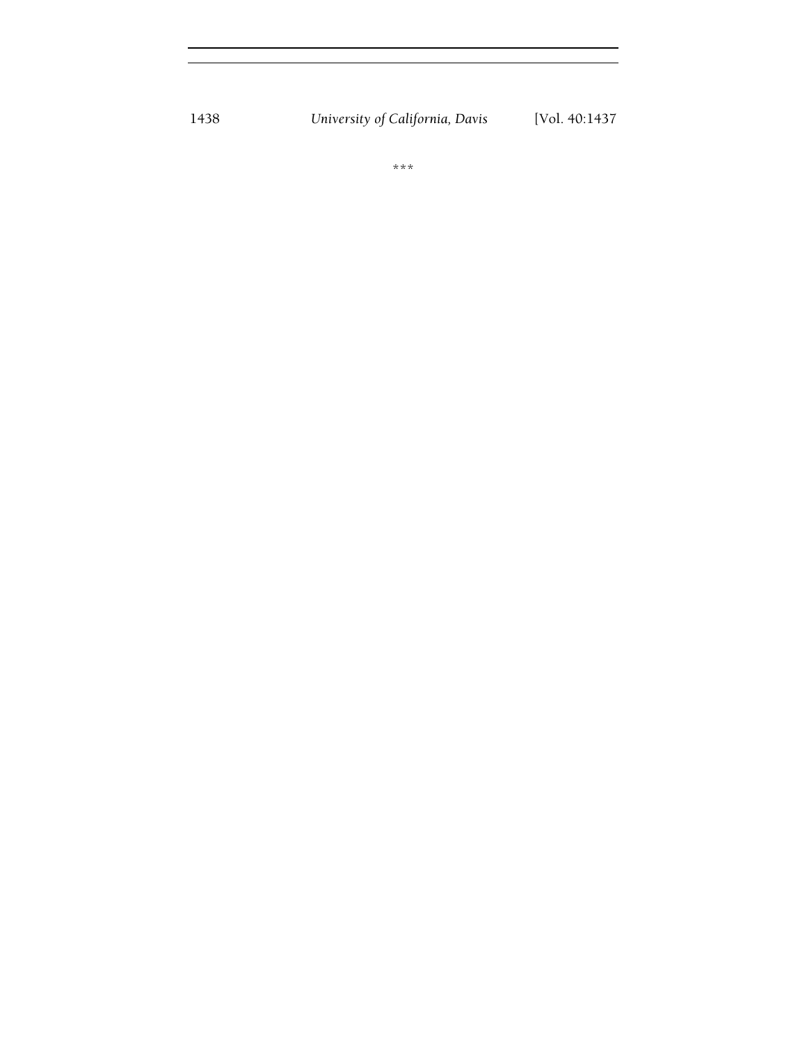1438 *University of California, Davis* [Vol. 40:1437

\*\*\*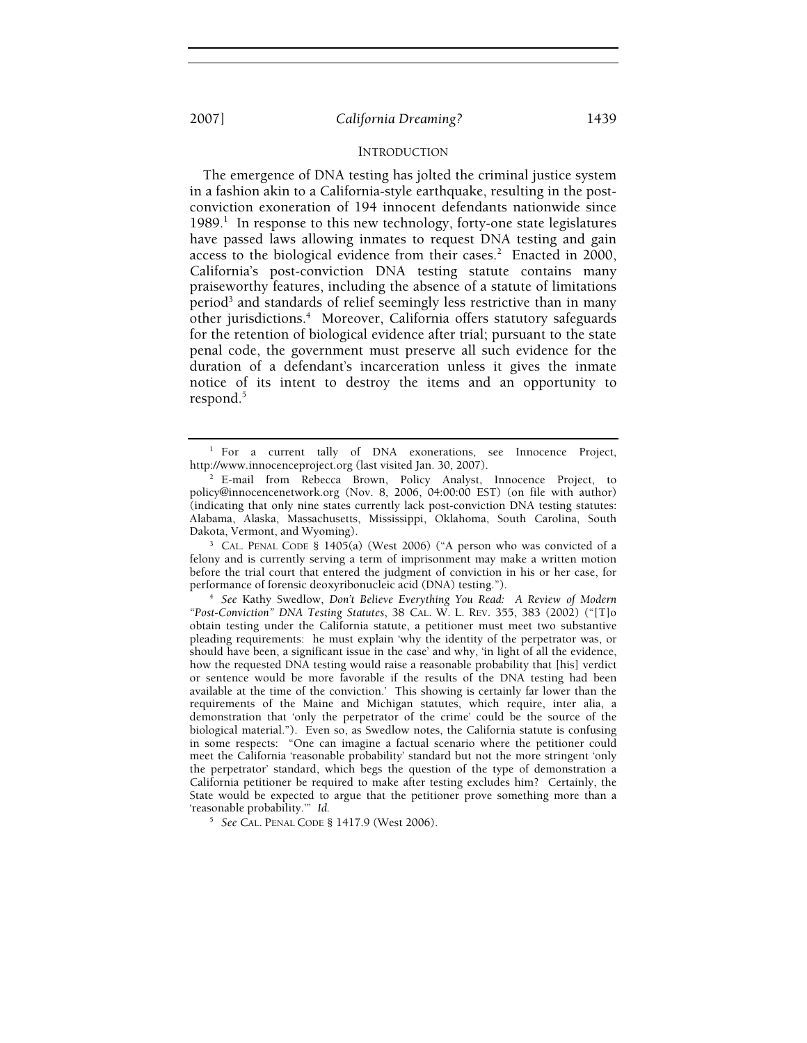## INTRODUCTION

The emergence of DNA testing has jolted the criminal justice system in a fashion akin to a California-style earthquake, resulting in the postconviction exoneration of 194 innocent defendants nationwide since 1989.<sup>1</sup> In response to this new technology, forty-one state legislatures have passed laws allowing inmates to request DNA testing and gain access to the biological evidence from their cases.<sup>2</sup> Enacted in 2000, California's post-conviction DNA testing statute contains many praiseworthy features, including the absence of a statute of limitations period<sup>3</sup> and standards of relief seemingly less restrictive than in many other jurisdictions.<sup>4</sup> Moreover, California offers statutory safeguards for the retention of biological evidence after trial; pursuant to the state penal code, the government must preserve all such evidence for the duration of a defendant's incarceration unless it gives the inmate notice of its intent to destroy the items and an opportunity to respond.<sup>5</sup>

 CAL. PENAL CODE § 1405(a) (West 2006) ("A person who was convicted of a felony and is currently serving a term of imprisonment may make a written motion before the trial court that entered the judgment of conviction in his or her case, for performance of forensic deoxyribonucleic acid (DNA) testing."). 4

 *See* Kathy Swedlow, *Don't Believe Everything You Read: A Review of Modern "Post-Conviction" DNA Testing Statutes*, 38 CAL. W. L. REV. 355, 383 (2002) ("[T]o obtain testing under the California statute, a petitioner must meet two substantive pleading requirements: he must explain 'why the identity of the perpetrator was, or should have been, a significant issue in the case' and why, 'in light of all the evidence, how the requested DNA testing would raise a reasonable probability that [his] verdict or sentence would be more favorable if the results of the DNA testing had been available at the time of the conviction.' This showing is certainly far lower than the requirements of the Maine and Michigan statutes, which require, inter alia, a demonstration that 'only the perpetrator of the crime' could be the source of the biological material."). Even so, as Swedlow notes, the California statute is confusing in some respects: "One can imagine a factual scenario where the petitioner could meet the California 'reasonable probability' standard but not the more stringent 'only the perpetrator' standard, which begs the question of the type of demonstration a California petitioner be required to make after testing excludes him? Certainly, the State would be expected to argue that the petitioner prove something more than a 'reasonable probability.'" *Id.*

5  *See* CAL. PENAL CODE § 1417.9 (West 2006).

<sup>&</sup>lt;sup>1</sup> For a current tally of DNA exonerations, see Innocence Project,

http://www.innocenceproject.org (last visited Jan. 30, 2007).<br><sup>2</sup> E-mail from Rebecca Brown, Policy Analyst, Innocence Project, to policy@innocencenetwork.org (Nov. 8, 2006, 04:00:00 EST) (on file with author) (indicating that only nine states currently lack post-conviction DNA testing statutes: Alabama, Alaska, Massachusetts, Mississippi, Oklahoma, South Carolina, South Dakota, Vermont, and Wyoming). 3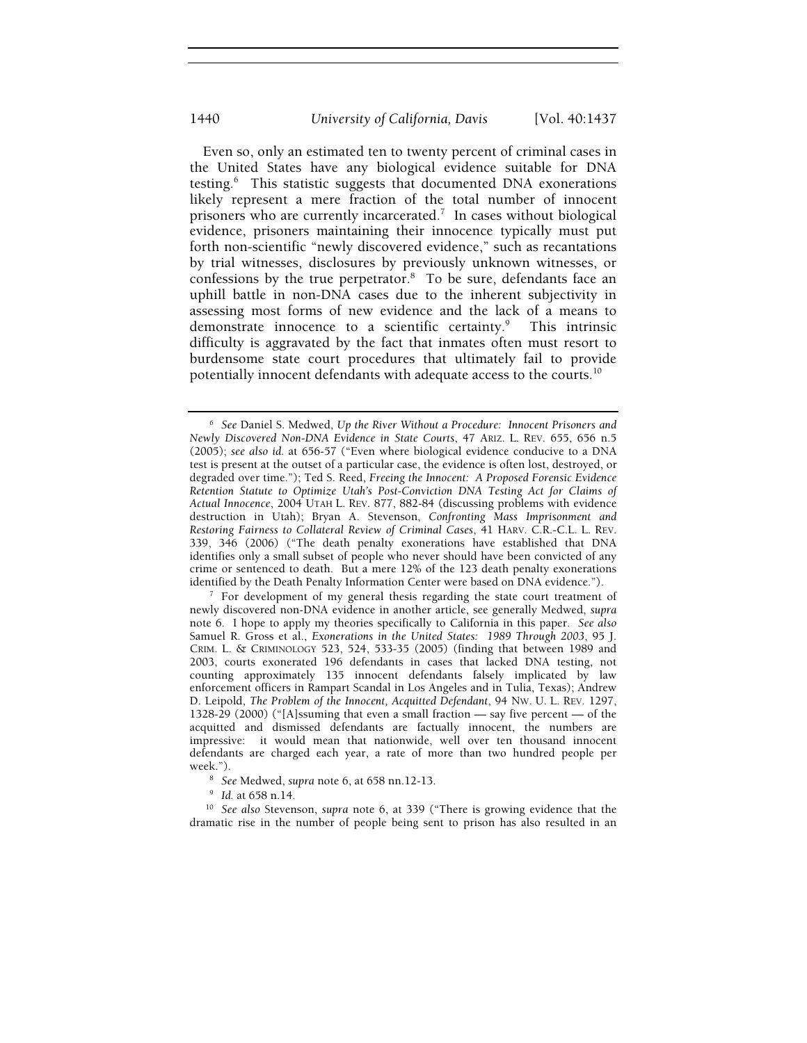Even so, only an estimated ten to twenty percent of criminal cases in the United States have any biological evidence suitable for DNA testing.<sup>6</sup> This statistic suggests that documented DNA exonerations likely represent a mere fraction of the total number of innocent prisoners who are currently incarcerated.<sup>7</sup> In cases without biological evidence, prisoners maintaining their innocence typically must put forth non-scientific "newly discovered evidence," such as recantations by trial witnesses, disclosures by previously unknown witnesses, or confessions by the true perpetrator. $8$  To be sure, defendants face an uphill battle in non-DNA cases due to the inherent subjectivity in assessing most forms of new evidence and the lack of a means to demonstrate innocence to a scientific certainty.<sup>9</sup> This intrinsic difficulty is aggravated by the fact that inmates often must resort to burdensome state court procedures that ultimately fail to provide potentially innocent defendants with adequate access to the courts.<sup>10</sup>

 $\frac{7}{7}$  For development of my general thesis regarding the state court treatment of newly discovered non-DNA evidence in another article, see generally Medwed, *supra* note 6. I hope to apply my theories specifically to California in this paper. *See also* Samuel R. Gross et al., *Exonerations in the United States: 1989 Through 2003*, 95 J. CRIM. L. & CRIMINOLOGY 523, 524, 533-35 (2005) (finding that between 1989 and 2003, courts exonerated 196 defendants in cases that lacked DNA testing, not counting approximately 135 innocent defendants falsely implicated by law enforcement officers in Rampart Scandal in Los Angeles and in Tulia, Texas); Andrew D. Leipold, *The Problem of the Innocent, Acquitted Defendant*, 94 NW. U. L. REV. 1297, 1328-29 (2000) ("[A]ssuming that even a small fraction — say five percent — of the acquitted and dismissed defendants are factually innocent, the numbers are impressive: it would mean that nationwide, well over ten thousand innocent defendants are charged each year, a rate of more than two hundred people per week.").

 *See* Medwed, *supra* note 6, at 658 nn.12-13. 9

<sup>10</sup> See also Stevenson, *supra* note 6, at 339 ("There is growing evidence that the dramatic rise in the number of people being sent to prison has also resulted in an

<sup>6</sup>  *See* Daniel S. Medwed, *Up the River Without a Procedure: Innocent Prisoners and Newly Discovered Non-DNA Evidence in State Courts*, 47 ARIZ. L. REV. 655, 656 n.5 (2005); *see also id.* at 656-57 ("Even where biological evidence conducive to a DNA test is present at the outset of a particular case, the evidence is often lost, destroyed, or degraded over time."); Ted S. Reed, *Freeing the Innocent: A Proposed Forensic Evidence Retention Statute to Optimize Utah's Post-Conviction DNA Testing Act for Claims of Actual Innocence*, 2004 UTAH L. REV. 877, 882-84 (discussing problems with evidence destruction in Utah); Bryan A. Stevenson, *Confronting Mass Imprisonment and Restoring Fairness to Collateral Review of Criminal Cases*, 41 HARV. C.R.-C.L. L. REV. 339, 346 (2006) ("The death penalty exonerations have established that DNA identifies only a small subset of people who never should have been convicted of any crime or sentenced to death. But a mere 12% of the 123 death penalty exonerations identified by the Death Penalty Information Center were based on DNA evidence.").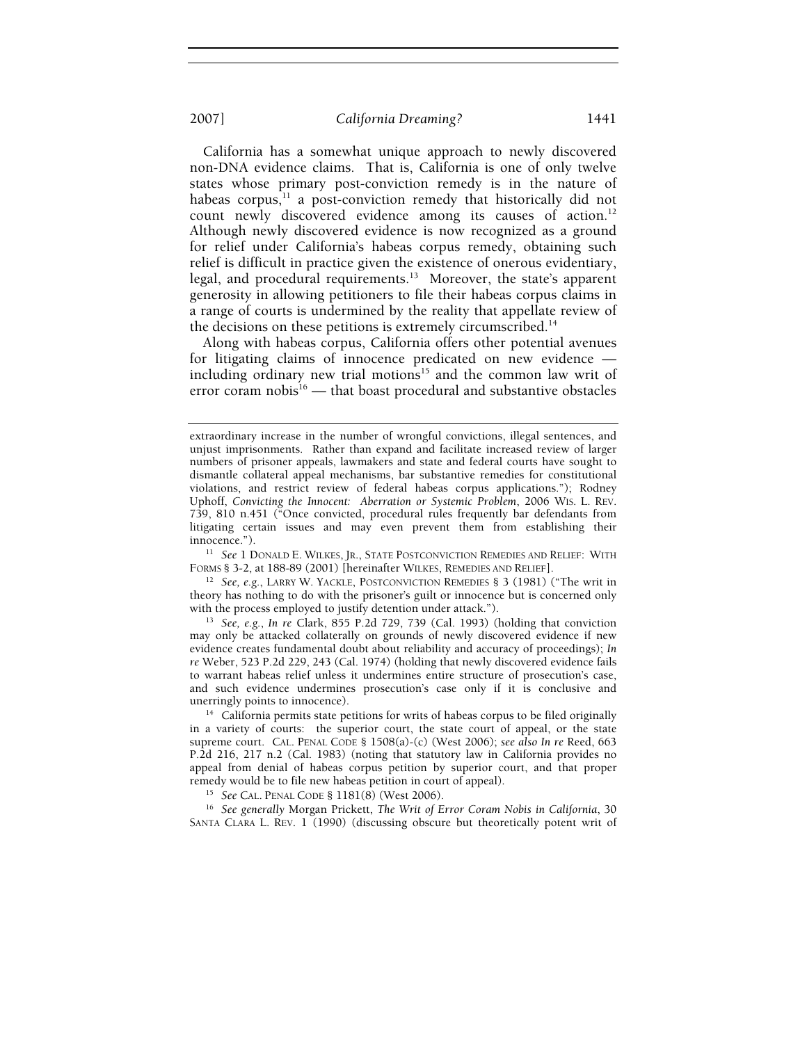California has a somewhat unique approach to newly discovered non-DNA evidence claims. That is, California is one of only twelve states whose primary post-conviction remedy is in the nature of habeas corpus, $11$  a post-conviction remedy that historically did not count newly discovered evidence among its causes of action.<sup>12</sup> Although newly discovered evidence is now recognized as a ground for relief under California's habeas corpus remedy, obtaining such relief is difficult in practice given the existence of onerous evidentiary, legal, and procedural requirements.<sup>13</sup> Moreover, the state's apparent generosity in allowing petitioners to file their habeas corpus claims in a range of courts is undermined by the reality that appellate review of the decisions on these petitions is extremely circumscribed.<sup>14</sup>

Along with habeas corpus, California offers other potential avenues for litigating claims of innocence predicated on new evidence including ordinary new trial motions<sup>15</sup> and the common law writ of error coram nobis $^{16}$  — that boast procedural and substantive obstacles

innocence."). 11 *See* 1 DONALD E. WILKES, JR., STATE POSTCONVICTION REMEDIES AND RELIEF: WITH FORMS § 3-2, at 188-89 (2001) [hereinafter WILKES, REMEDIES AND RELIEF]. 12 *See, e.g.*, LARRY W. YACKLE, POSTCONVICTION REMEDIES § 3 (1981) ("The writ in

theory has nothing to do with the prisoner's guilt or innocence but is concerned only with the process employed to justify detention under attack.").

<sup>13</sup> See, e.g., In re Clark, 855 P.2d 729, 739 (Cal. 1993) (holding that conviction may only be attacked collaterally on grounds of newly discovered evidence if new evidence creates fundamental doubt about reliability and accuracy of proceedings); *In re* Weber, 523 P.2d 229, 243 (Cal. 1974) (holding that newly discovered evidence fails to warrant habeas relief unless it undermines entire structure of prosecution's case, and such evidence undermines prosecution's case only if it is conclusive and

unerringly points to innocence). 14 California permits state petitions for writs of habeas corpus to be filed originally in a variety of courts: the superior court, the state court of appeal, or the state supreme court. CAL. PENAL CODE § 1508(a)-(c) (West 2006); *see also In re* Reed, 663 P.2d 216, 217 n.2 (Cal. 1983) (noting that statutory law in California provides no appeal from denial of habeas corpus petition by superior court, and that proper remedy would be to file new habeas petition in court of appeal).<br><sup>15</sup> See CAL. PENAL CODE § 1181(8) (West 2006).<br><sup>16</sup> See generally Morgan Prickett, *The Writ of Error Coram Nobis in California*, 30

SANTA CLARA L. REV. 1 (1990) (discussing obscure but theoretically potent writ of

extraordinary increase in the number of wrongful convictions, illegal sentences, and unjust imprisonments. Rather than expand and facilitate increased review of larger numbers of prisoner appeals, lawmakers and state and federal courts have sought to dismantle collateral appeal mechanisms, bar substantive remedies for constitutional violations, and restrict review of federal habeas corpus applications."); Rodney Uphoff, *Convicting the Innocent: Aberration or Systemic Problem*, 2006 WIS. L. REV. 739, 810 n.451 ("Once convicted, procedural rules frequently bar defendants from litigating certain issues and may even prevent them from establishing their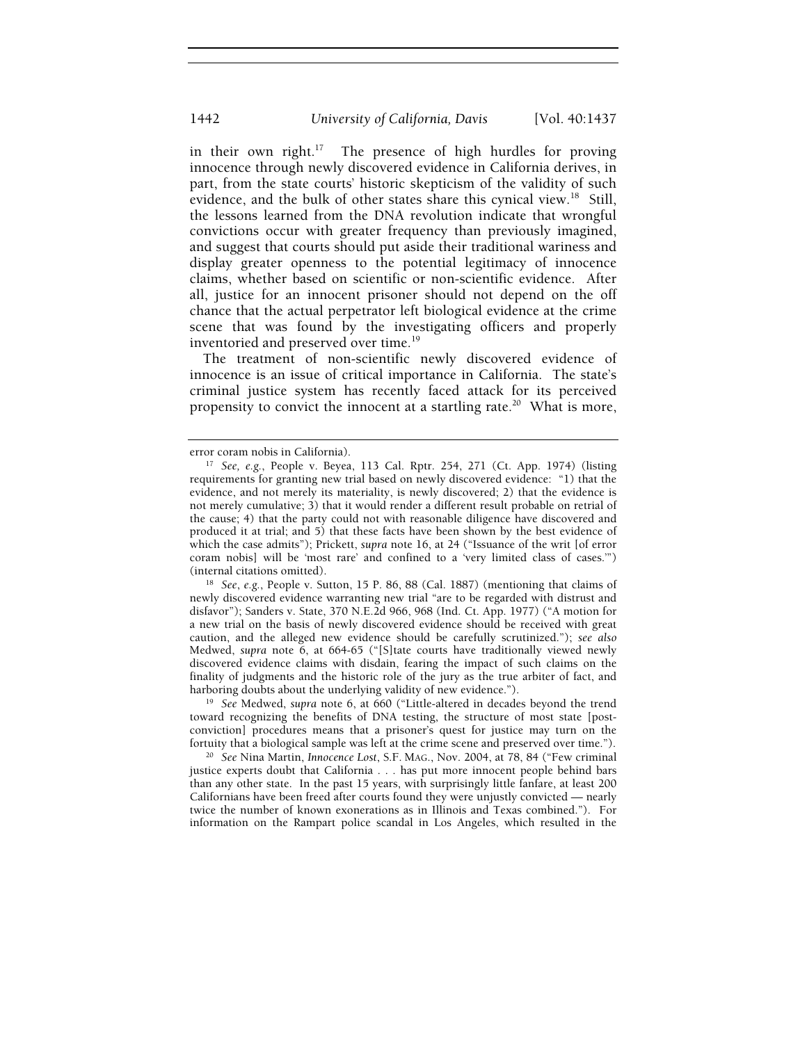in their own right.<sup>17</sup> The presence of high hurdles for proving innocence through newly discovered evidence in California derives, in part, from the state courts' historic skepticism of the validity of such evidence, and the bulk of other states share this cynical view.<sup>18</sup> Still, the lessons learned from the DNA revolution indicate that wrongful convictions occur with greater frequency than previously imagined, and suggest that courts should put aside their traditional wariness and display greater openness to the potential legitimacy of innocence claims, whether based on scientific or non-scientific evidence. After all, justice for an innocent prisoner should not depend on the off chance that the actual perpetrator left biological evidence at the crime scene that was found by the investigating officers and properly inventoried and preserved over time.<sup>19</sup>

The treatment of non-scientific newly discovered evidence of innocence is an issue of critical importance in California. The state's criminal justice system has recently faced attack for its perceived propensity to convict the innocent at a startling rate.<sup>20</sup> What is more,

<sup>18</sup> See, e.g., People v. Sutton, 15 P. 86, 88 (Cal. 1887) (mentioning that claims of newly discovered evidence warranting new trial "are to be regarded with distrust and disfavor"); Sanders v. State, 370 N.E.2d 966, 968 (Ind. Ct. App. 1977) ("A motion for a new trial on the basis of newly discovered evidence should be received with great caution, and the alleged new evidence should be carefully scrutinized."); *see also* Medwed, *supra* note 6, at 664-65 ("[S]tate courts have traditionally viewed newly discovered evidence claims with disdain, fearing the impact of such claims on the finality of judgments and the historic role of the jury as the true arbiter of fact, and harboring doubts about the underlying validity of new evidence."). 19 *See* Medwed, *supra* note 6, at 660 ("Little-altered in decades beyond the trend

toward recognizing the benefits of DNA testing, the structure of most state [postconviction] procedures means that a prisoner's quest for justice may turn on the fortuity that a biological sample was left at the crime scene and preserved over time."). 20 *See* Nina Martin, *Innocence Lost*, S.F. MAG., Nov. 2004, at 78, 84 ("Few criminal

justice experts doubt that California . . . has put more innocent people behind bars than any other state. In the past 15 years, with surprisingly little fanfare, at least 200 Californians have been freed after courts found they were unjustly convicted — nearly twice the number of known exonerations as in Illinois and Texas combined."). For information on the Rampart police scandal in Los Angeles, which resulted in the

error coram nobis in California). 17 *See, e.g.*, People v. Beyea, 113 Cal. Rptr. 254, 271 (Ct. App. 1974) (listing requirements for granting new trial based on newly discovered evidence: "1) that the evidence, and not merely its materiality, is newly discovered; 2) that the evidence is not merely cumulative; 3) that it would render a different result probable on retrial of the cause; 4) that the party could not with reasonable diligence have discovered and produced it at trial; and 5) that these facts have been shown by the best evidence of which the case admits"); Prickett, *supra* note 16, at 24 ("Issuance of the writ [of error coram nobis] will be 'most rare' and confined to a 'very limited class of cases.'")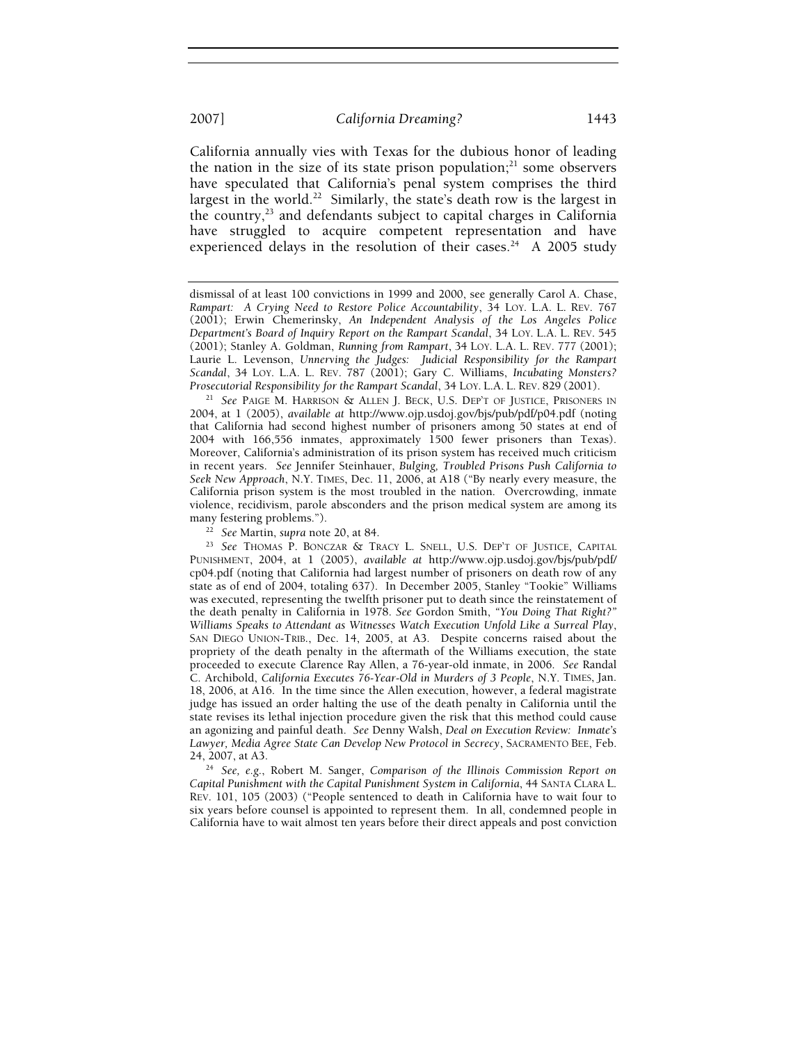California annually vies with Texas for the dubious honor of leading the nation in the size of its state prison population; $^{21}$  some observers have speculated that California's penal system comprises the third largest in the world.<sup>22</sup> Similarly, the state's death row is the largest in the country, $^{23}$  and defendants subject to capital charges in California have struggled to acquire competent representation and have

experienced delays in the resolution of their cases.<sup>24</sup> A 2005 study

<sup>21</sup> See PAIGE M. HARRISON & ALLEN J. BECK, U.S. DEP'T OF JUSTICE, PRISONERS IN 2004, at 1 (2005), *available at* http://www.ojp.usdoj.gov/bjs/pub/pdf/p04.pdf (noting that California had second highest number of prisoners among 50 states at end of 2004 with 166,556 inmates, approximately 1500 fewer prisoners than Texas). Moreover, California's administration of its prison system has received much criticism in recent years. *See* Jennifer Steinhauer, *Bulging, Troubled Prisons Push California to Seek New Approach*, N.Y. TIMES, Dec. 11, 2006, at A18 ("By nearly every measure, the California prison system is the most troubled in the nation. Overcrowding, inmate violence, recidivism, parole absconders and the prison medical system are among its

many festering problems.").<br><sup>22</sup> See Martin, *supra* note 20, at 84.<br><sup>23</sup> See THOMAS P. BONCZAR & TRACY L. SNELL, U.S. DEP'T OF JUSTICE, CAPITAL PUNISHMENT, 2004, at 1 (2005), *available at* http://www.ojp.usdoj.gov/bjs/pub/pdf/ cp04.pdf (noting that California had largest number of prisoners on death row of any state as of end of 2004, totaling 637). In December 2005, Stanley "Tookie" Williams was executed, representing the twelfth prisoner put to death since the reinstatement of the death penalty in California in 1978. *See* Gordon Smith, *"You Doing That Right?" Williams Speaks to Attendant as Witnesses Watch Execution Unfold Like a Surreal Play*, SAN DIEGO UNION-TRIB., Dec. 14, 2005, at A3. Despite concerns raised about the propriety of the death penalty in the aftermath of the Williams execution, the state proceeded to execute Clarence Ray Allen, a 76-year-old inmate, in 2006. *See* Randal C. Archibold, *California Executes 76-Year-Old in Murders of 3 People*, N.Y. TIMES, Jan. 18, 2006, at A16. In the time since the Allen execution, however, a federal magistrate judge has issued an order halting the use of the death penalty in California until the state revises its lethal injection procedure given the risk that this method could cause an agonizing and painful death. *See* Denny Walsh, *Deal on Execution Review: Inmate's Lawyer, Media Agree State Can Develop New Protocol in Secrecy*, SACRAMENTO BEE, Feb.

<sup>24</sup> See, e.g., Robert M. Sanger, *Comparison of the Illinois Commission Report on Capital Punishment with the Capital Punishment System in California*, 44 SANTA CLARA L. REV. 101, 105 (2003) ("People sentenced to death in California have to wait four to six years before counsel is appointed to represent them. In all, condemned people in California have to wait almost ten years before their direct appeals and post conviction

dismissal of at least 100 convictions in 1999 and 2000, see generally Carol A. Chase, *Rampart: A Crying Need to Restore Police Accountability*, 34 LOY. L.A. L. REV. 767 (2001); Erwin Chemerinsky, *An Independent Analysis of the Los Angeles Police Department's Board of Inquiry Report on the Rampart Scandal*, 34 LOY. L.A. L. REV. 545 (2001); Stanley A. Goldman, *Running from Rampart*, 34 LOY. L.A. L. REV. 777 (2001); Laurie L. Levenson, *Unnerving the Judges: Judicial Responsibility for the Rampart Scandal*, 34 LOY. L.A. L. REV. 787 (2001); Gary C. Williams, *Incubating Monsters?*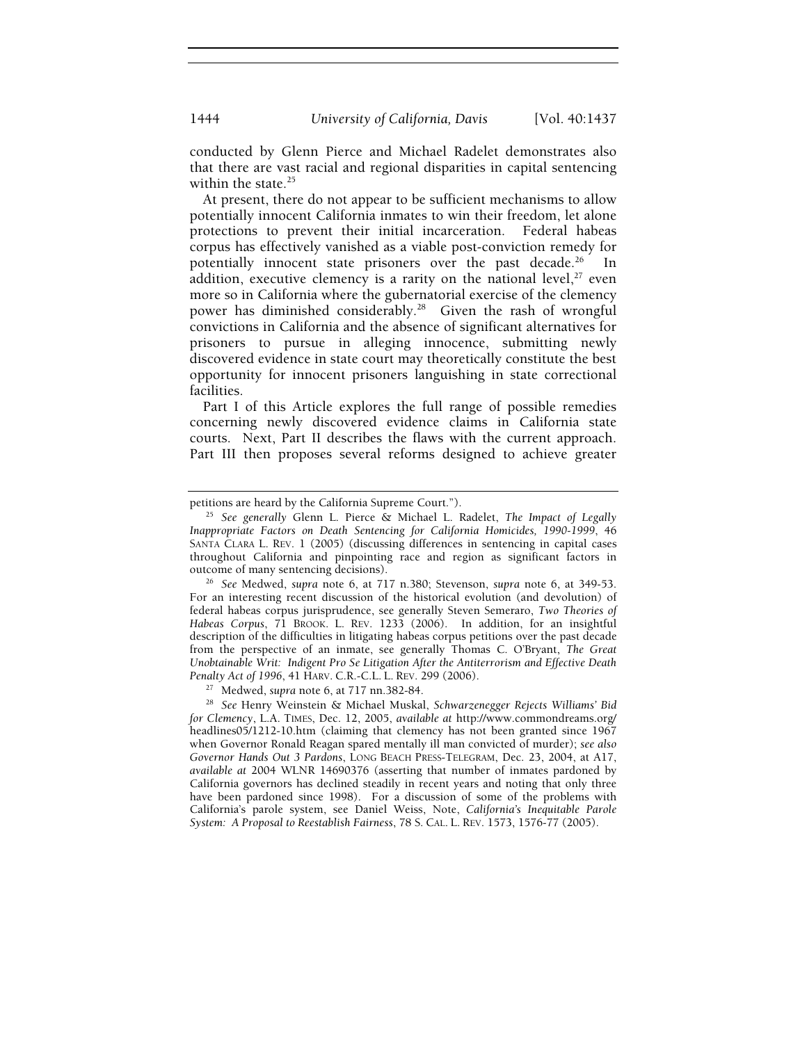conducted by Glenn Pierce and Michael Radelet demonstrates also that there are vast racial and regional disparities in capital sentencing within the state. $25$ 

At present, there do not appear to be sufficient mechanisms to allow potentially innocent California inmates to win their freedom, let alone protections to prevent their initial incarceration. Federal habeas corpus has effectively vanished as a viable post-conviction remedy for potentially innocent state prisoners over the past decade.<sup>26</sup> In addition, executive clemency is a rarity on the national level, $27$  even more so in California where the gubernatorial exercise of the clemency power has diminished considerably.<sup>28</sup> Given the rash of wrongful convictions in California and the absence of significant alternatives for prisoners to pursue in alleging innocence, submitting newly discovered evidence in state court may theoretically constitute the best opportunity for innocent prisoners languishing in state correctional facilities.

Part I of this Article explores the full range of possible remedies concerning newly discovered evidence claims in California state courts. Next, Part II describes the flaws with the current approach. Part III then proposes several reforms designed to achieve greater

petitions are heard by the California Supreme Court."). 25 *See generally* Glenn L. Pierce & Michael L. Radelet, *The Impact of Legally Inappropriate Factors on Death Sentencing for California Homicides, 1990-1999*, 46 SANTA CLARA L. REV. 1 (2005) (discussing differences in sentencing in capital cases throughout California and pinpointing race and region as significant factors in outcome of many sentencing decisions). 26 *See* Medwed, *supra* note 6, at 717 n.380; Stevenson, *supra* note 6, at 349-53.

For an interesting recent discussion of the historical evolution (and devolution) of federal habeas corpus jurisprudence, see generally Steven Semeraro, *Two Theories of Habeas Corpus*, 71 BROOK. L. REV. 1233 (2006). In addition, for an insightful description of the difficulties in litigating habeas corpus petitions over the past decade from the perspective of an inmate, see generally Thomas C. O'Bryant, *The Great Unobtainable Writ: Indigent Pro Se Litigation After the Antiterrorism and Effective Death Penalty Act of 1996*, 41 HARV. C.R.-C.L. L. REV. 299 (2006). 27 Medwed, *supra* note 6, at 717 nn.382-84. 28 *See* Henry Weinstein & Michael Muskal, *Schwarzenegger Rejects Williams' Bid* 

*for Clemency*, L.A. TIMES, Dec. 12, 2005, *available at* http://www.commondreams.org/ headlines05/1212-10.htm (claiming that clemency has not been granted since 1967 when Governor Ronald Reagan spared mentally ill man convicted of murder); *see also Governor Hands Out 3 Pardons*, LONG BEACH PRESS-TELEGRAM, Dec. 23, 2004, at A17, *available at* 2004 WLNR 14690376 (asserting that number of inmates pardoned by California governors has declined steadily in recent years and noting that only three have been pardoned since 1998). For a discussion of some of the problems with California's parole system, see Daniel Weiss, Note, *California's Inequitable Parole System: A Proposal to Reestablish Fairness*, 78 S. CAL. L. REV. 1573, 1576-77 (2005).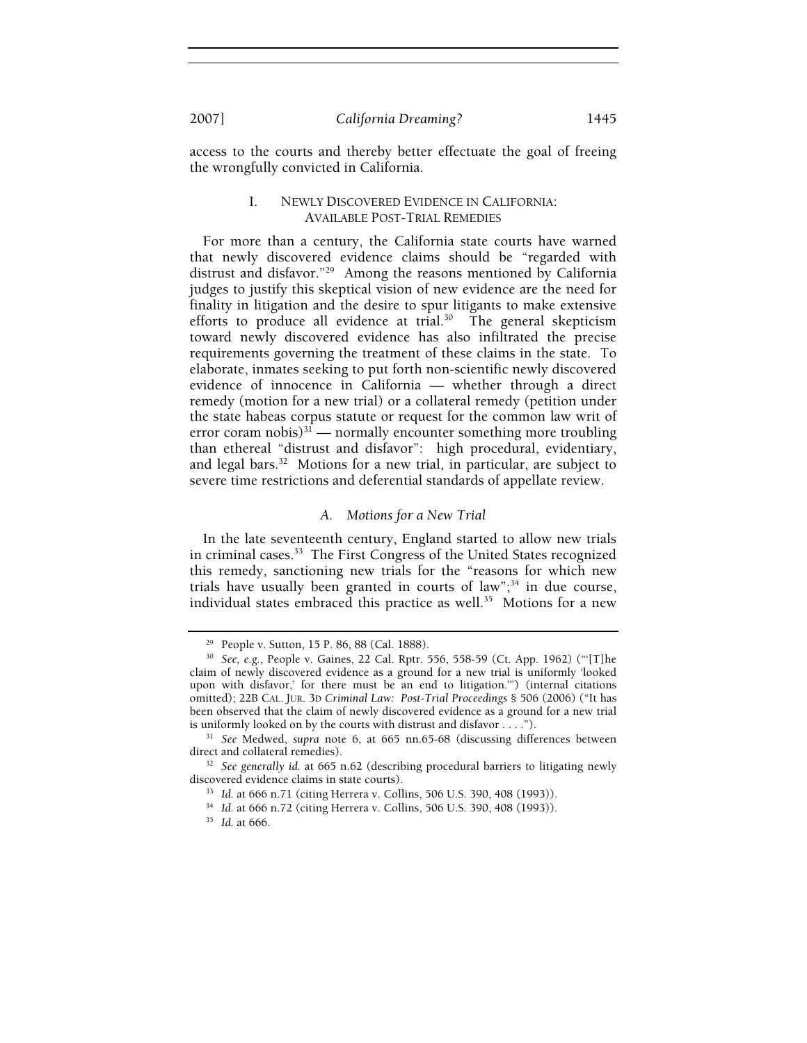access to the courts and thereby better effectuate the goal of freeing the wrongfully convicted in California.

# I. NEWLY DISCOVERED EVIDENCE IN CALIFORNIA: AVAILABLE POST-TRIAL REMEDIES

For more than a century, the California state courts have warned that newly discovered evidence claims should be "regarded with distrust and disfavor."<sup>29</sup> Among the reasons mentioned by California judges to justify this skeptical vision of new evidence are the need for finality in litigation and the desire to spur litigants to make extensive efforts to produce all evidence at trial.<sup>30</sup> The general skepticism toward newly discovered evidence has also infiltrated the precise requirements governing the treatment of these claims in the state. To elaborate, inmates seeking to put forth non-scientific newly discovered evidence of innocence in California — whether through a direct remedy (motion for a new trial) or a collateral remedy (petition under the state habeas corpus statute or request for the common law writ of error coram nobis) $31$  — normally encounter something more troubling than ethereal "distrust and disfavor": high procedural, evidentiary, and legal bars.<sup>32</sup> Motions for a new trial, in particular, are subject to severe time restrictions and deferential standards of appellate review.

# *A. Motions for a New Trial*

In the late seventeenth century, England started to allow new trials in criminal cases.<sup>33</sup> The First Congress of the United States recognized this remedy, sanctioning new trials for the "reasons for which new trials have usually been granted in courts of law"; $34$  in due course, individual states embraced this practice as well.<sup>35</sup> Motions for a new

<sup>29</sup> People v. Sutton, 15 P. 86, 88 (Cal. 1888).

<sup>30</sup> *See, e.g.*, People v. Gaines, 22 Cal. Rptr. 556, 558-59 (Ct. App. 1962) ("'[T]he claim of newly discovered evidence as a ground for a new trial is uniformly 'looked upon with disfavor,' for there must be an end to litigation.'") (internal citations omitted); 22B CAL. JUR. 3D *Criminal Law: Post-Trial Proceedings* § 506 (2006) ("It has been observed that the claim of newly discovered evidence as a ground for a new trial is uniformly looked on by the courts with distrust and disfavor  $\dots$ .").

<sup>&</sup>lt;sup>31</sup> See Medwed, *supra* note 6, at 665 nn.65-68 (discussing differences between direct and collateral remedies).

<sup>&</sup>lt;sup>32</sup> See generally id. at 665 n.62 (describing procedural barriers to litigating newly discovered evidence claims in state courts).<br><sup>33</sup> Id. at 666 n.71 (citing Herrera v. Collins, 506 U.S. 390, 408 (1993)).<br><sup>34</sup> Id. at 666 n.72 (citing Herrera v. Collins, 506 U.S. 390, 408 (1993)).<br><sup>35</sup> Id. at 666.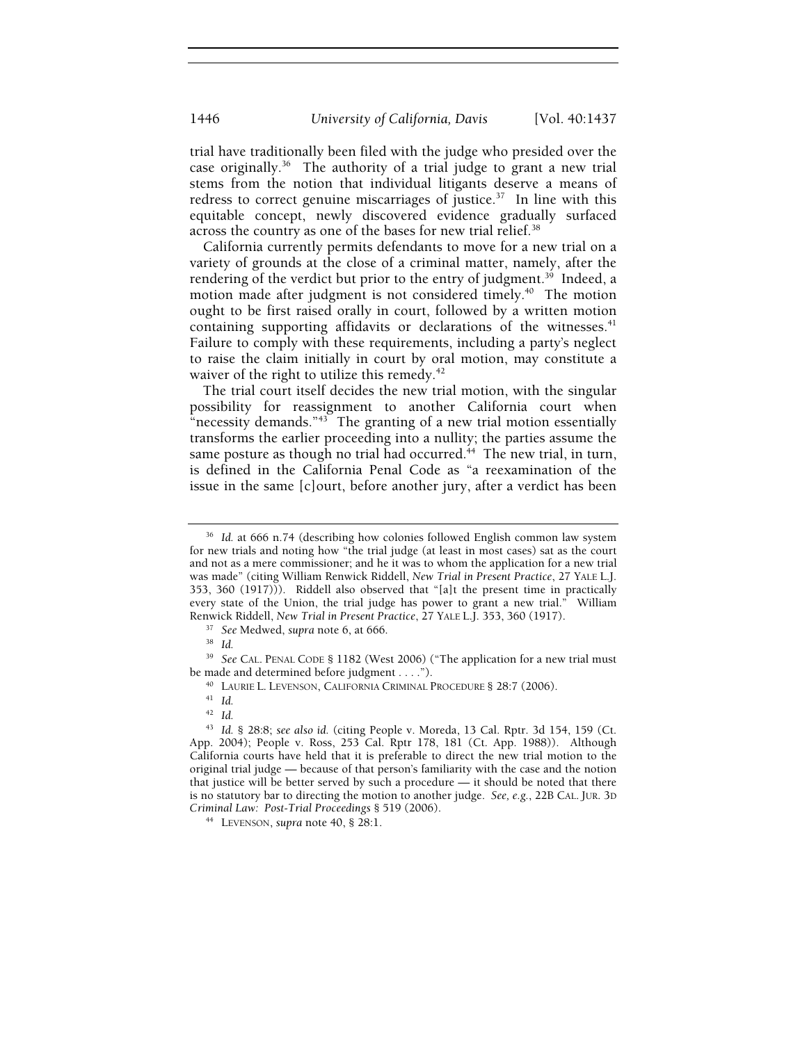trial have traditionally been filed with the judge who presided over the case originally.<sup>36</sup> The authority of a trial judge to grant a new trial stems from the notion that individual litigants deserve a means of redress to correct genuine miscarriages of justice. $37$  In line with this equitable concept, newly discovered evidence gradually surfaced across the country as one of the bases for new trial relief.<sup>38</sup>

California currently permits defendants to move for a new trial on a variety of grounds at the close of a criminal matter, namely, after the rendering of the verdict but prior to the entry of judgment.<sup>39</sup> Indeed, a motion made after judgment is not considered timely.<sup>40</sup> The motion ought to be first raised orally in court, followed by a written motion containing supporting affidavits or declarations of the witnesses. $41$ Failure to comply with these requirements, including a party's neglect to raise the claim initially in court by oral motion, may constitute a waiver of the right to utilize this remedy. $42$ 

The trial court itself decides the new trial motion, with the singular possibility for reassignment to another California court when "necessity demands."<sup>43</sup> The granting of a new trial motion essentially transforms the earlier proceeding into a nullity; the parties assume the same posture as though no trial had occurred.<sup> $44$ </sup> The new trial, in turn, is defined in the California Penal Code as "a reexamination of the issue in the same [c]ourt, before another jury, after a verdict has been

<sup>&</sup>lt;sup>36</sup> Id. at 666 n.74 (describing how colonies followed English common law system for new trials and noting how "the trial judge (at least in most cases) sat as the court and not as a mere commissioner; and he it was to whom the application for a new trial was made" (citing William Renwick Riddell, *New Trial in Present Practice*, 27 YALE L.J. 353, 360 (1917))). Riddell also observed that "[a]t the present time in practically every state of the Union, the trial judge has power to grant a new trial." William Renwick Riddell, *New Trial in Present Practice*, 27 YALE L.J. 353, 360 (1917). 37 *See* Medwed, *supra* note 6, at 666. 38 *Id.*

<sup>&</sup>lt;sup>39</sup> See CAL. PENAL CODE § 1182 (West 2006) ("The application for a new trial must be made and determined before judgment . . . . ").

<sup>&</sup>lt;sup>40</sup> LAURIE L. LEVENSON, CALIFORNIA CRIMINAL PROCEDURE § 28:7 (2006). <sup>41</sup> *Id.* 

<sup>42</sup> *Id.*

<sup>43</sup> *Id.* § 28:8; *see also id.* (citing People v. Moreda, 13 Cal. Rptr. 3d 154, 159 (Ct. App. 2004); People v. Ross, 253 Cal. Rptr 178, 181 (Ct. App. 1988)). Although California courts have held that it is preferable to direct the new trial motion to the original trial judge — because of that person's familiarity with the case and the notion that justice will be better served by such a procedure — it should be noted that there is no statutory bar to directing the motion to another judge. *See, e.g.*, 22B CAL. JUR. 3D *Criminal Law: Post-Trial Proceedings* § 519 (2006). 44 LEVENSON, *supra* note 40, § 28:1.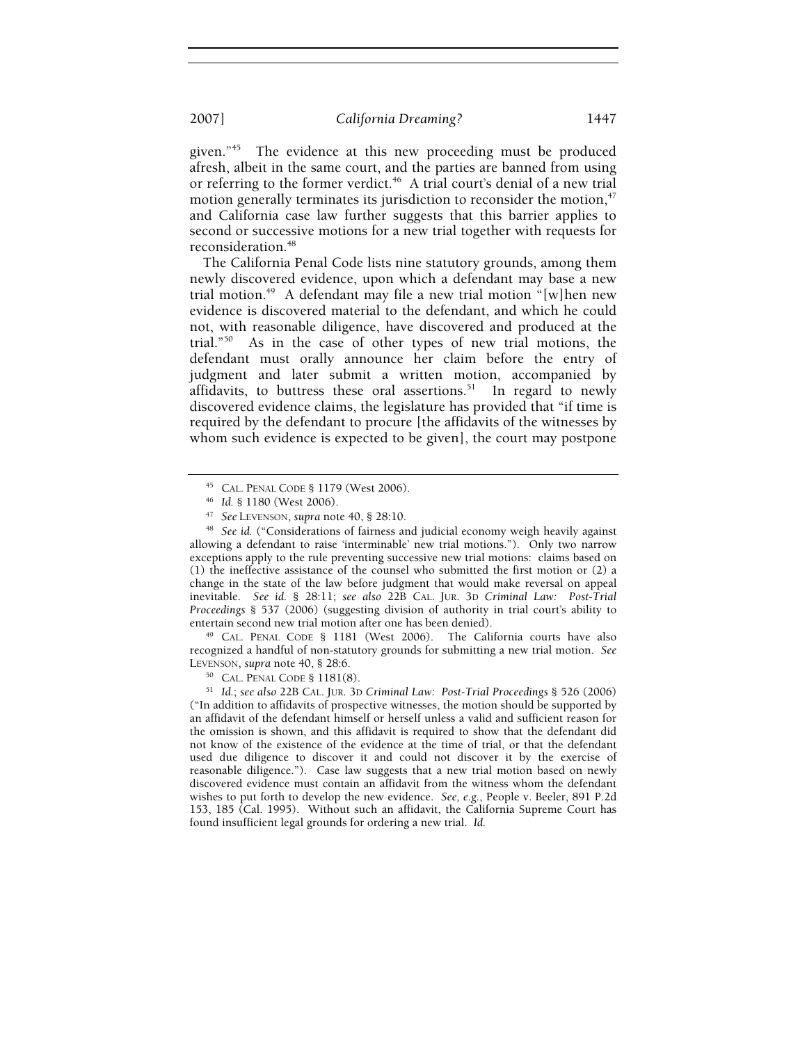given."<sup>45</sup> The evidence at this new proceeding must be produced afresh, albeit in the same court, and the parties are banned from using or referring to the former verdict.<sup>46</sup> A trial court's denial of a new trial motion generally terminates its jurisdiction to reconsider the motion, $47$ 

and California case law further suggests that this barrier applies to second or successive motions for a new trial together with requests for reconsideration.48

The California Penal Code lists nine statutory grounds, among them newly discovered evidence, upon which a defendant may base a new trial motion.<sup>49</sup> A defendant may file a new trial motion "[w]hen new evidence is discovered material to the defendant, and which he could not, with reasonable diligence, have discovered and produced at the trial."50 As in the case of other types of new trial motions, the defendant must orally announce her claim before the entry of judgment and later submit a written motion, accompanied by affidavits, to buttress these oral assertions.<sup>51</sup> In regard to newly discovered evidence claims, the legislature has provided that "if time is required by the defendant to procure [the affidavits of the witnesses by whom such evidence is expected to be given], the court may postpone

<sup>49</sup> CAL. PENAL CODE § 1181 (West 2006). The California courts have also recognized a handful of non-statutory grounds for submitting a new trial motion. *See* LEVENSON, *supra* note 40, § 28:6. 50 CAL. PENAL CODE § 1181(8). 51 *Id.*; *see also* 22B CAL. JUR. 3D *Criminal Law: Post-Trial Proceedings* § 526 (2006)

<sup>45</sup> CAL. PENAL CODE § 1179 (West 2006). 46 *Id.* § 1180 (West 2006). 47 *See* LEVENSON, *supra* note 40, § 28:10. 48 *See id.* ("Considerations of fairness and judicial economy weigh heavily against allowing a defendant to raise 'interminable' new trial motions."). Only two narrow exceptions apply to the rule preventing successive new trial motions: claims based on (1) the ineffective assistance of the counsel who submitted the first motion or (2) a change in the state of the law before judgment that would make reversal on appeal inevitable. *See id.* § 28:11; *see also* 22B CAL. JUR. 3D *Criminal Law: Post-Trial Proceedings* § 537 (2006) (suggesting division of authority in trial court's ability to entertain second new trial motion after one has been denied).

<sup>(&</sup>quot;In addition to affidavits of prospective witnesses, the motion should be supported by an affidavit of the defendant himself or herself unless a valid and sufficient reason for the omission is shown, and this affidavit is required to show that the defendant did not know of the existence of the evidence at the time of trial, or that the defendant used due diligence to discover it and could not discover it by the exercise of reasonable diligence."). Case law suggests that a new trial motion based on newly discovered evidence must contain an affidavit from the witness whom the defendant wishes to put forth to develop the new evidence. *See, e.g.*, People v. Beeler, 891 P.2d 153, 185 (Cal. 1995). Without such an affidavit, the California Supreme Court has found insufficient legal grounds for ordering a new trial. *Id.*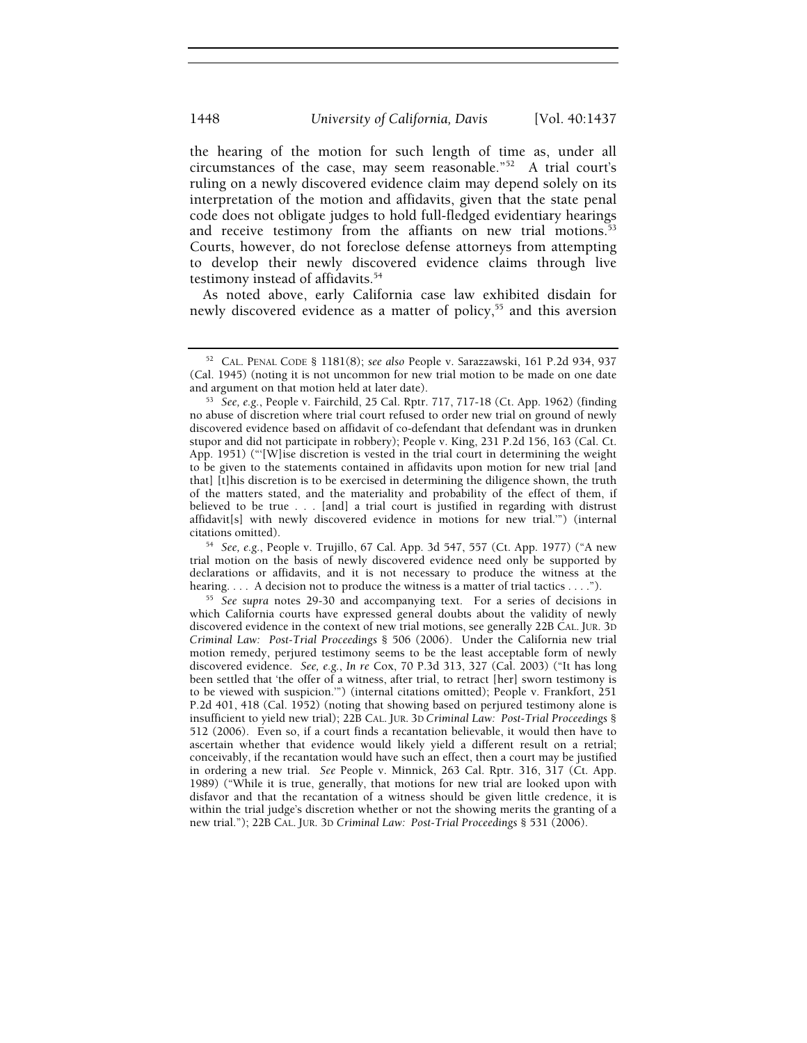the hearing of the motion for such length of time as, under all circumstances of the case, may seem reasonable."52 A trial court's ruling on a newly discovered evidence claim may depend solely on its interpretation of the motion and affidavits, given that the state penal code does not obligate judges to hold full-fledged evidentiary hearings and receive testimony from the affiants on new trial motions.<sup>53</sup> Courts, however, do not foreclose defense attorneys from attempting to develop their newly discovered evidence claims through live testimony instead of affidavits.<sup>54</sup>

As noted above, early California case law exhibited disdain for newly discovered evidence as a matter of policy,<sup>55</sup> and this aversion

<sup>54</sup> See, e.g., People v. Trujillo, 67 Cal. App. 3d 547, 557 (Ct. App. 1977) ("A new trial motion on the basis of newly discovered evidence need only be supported by declarations or affidavits, and it is not necessary to produce the witness at the hearing. . . . A decision not to produce the witness is a matter of trial tactics . . . ."). 55 *See supra* notes 29-30 and accompanying text. For a series of decisions in

which California courts have expressed general doubts about the validity of newly discovered evidence in the context of new trial motions, see generally 22B CAL. JUR. 3D *Criminal Law: Post-Trial Proceedings* § 506 (2006). Under the California new trial motion remedy, perjured testimony seems to be the least acceptable form of newly discovered evidence. *See, e.g.*, *In re* Cox, 70 P.3d 313, 327 (Cal. 2003) ("It has long been settled that 'the offer of a witness, after trial, to retract [her] sworn testimony is to be viewed with suspicion.'") (internal citations omitted); People v. Frankfort, 251 P.2d 401, 418 (Cal. 1952) (noting that showing based on perjured testimony alone is insufficient to yield new trial); 22B CAL. JUR. 3D *Criminal Law: Post-Trial Proceedings* § 512 (2006). Even so, if a court finds a recantation believable, it would then have to ascertain whether that evidence would likely yield a different result on a retrial; conceivably, if the recantation would have such an effect, then a court may be justified in ordering a new trial. *See* People v. Minnick, 263 Cal. Rptr. 316, 317 (Ct. App. 1989) ("While it is true, generally, that motions for new trial are looked upon with disfavor and that the recantation of a witness should be given little credence, it is within the trial judge's discretion whether or not the showing merits the granting of a new trial."); 22B CAL. JUR. 3D *Criminal Law: Post-Trial Proceedings* § 531 (2006).

<sup>52</sup> CAL. PENAL CODE § 1181(8); *see also* People v. Sarazzawski, 161 P.2d 934, 937 (Cal. 1945) (noting it is not uncommon for new trial motion to be made on one date

<sup>&</sup>lt;sup>53</sup> See, e.g., People v. Fairchild, 25 Cal. Rptr. 717, 717-18 (Ct. App. 1962) (finding no abuse of discretion where trial court refused to order new trial on ground of newly discovered evidence based on affidavit of co-defendant that defendant was in drunken stupor and did not participate in robbery); People v. King, 231 P.2d 156, 163 (Cal. Ct. App. 1951) ("'[W]ise discretion is vested in the trial court in determining the weight to be given to the statements contained in affidavits upon motion for new trial [and that] [t]his discretion is to be exercised in determining the diligence shown, the truth of the matters stated, and the materiality and probability of the effect of them, if believed to be true . . . [and] a trial court is justified in regarding with distrust affidavit[s] with newly discovered evidence in motions for new trial.'") (internal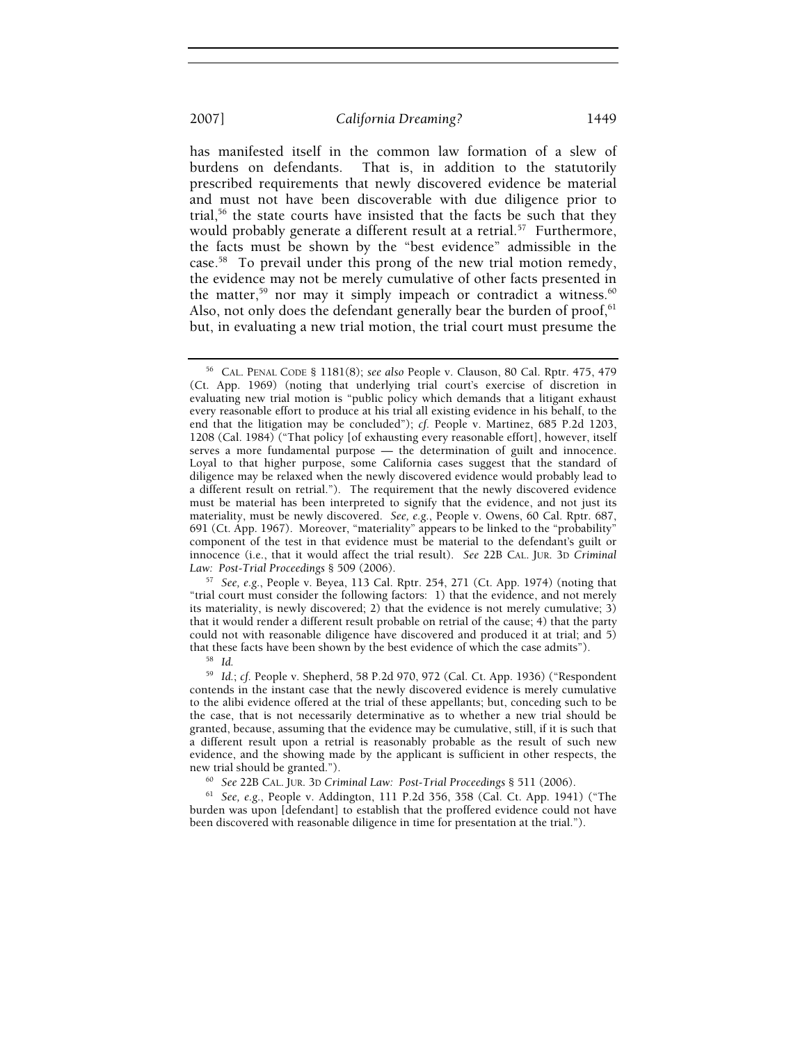has manifested itself in the common law formation of a slew of burdens on defendants. That is, in addition to the statutorily prescribed requirements that newly discovered evidence be material and must not have been discoverable with due diligence prior to trial,<sup>56</sup> the state courts have insisted that the facts be such that they would probably generate a different result at a retrial.<sup>57</sup> Furthermore, the facts must be shown by the "best evidence" admissible in the case.58 To prevail under this prong of the new trial motion remedy, the evidence may not be merely cumulative of other facts presented in the matter,<sup>59</sup> nor may it simply impeach or contradict a witness.<sup>60</sup> Also, not only does the defendant generally bear the burden of proof, $61$ but, in evaluating a new trial motion, the trial court must presume the

"trial court must consider the following factors: 1) that the evidence, and not merely its materiality, is newly discovered; 2) that the evidence is not merely cumulative; 3) that it would render a different result probable on retrial of the cause; 4) that the party could not with reasonable diligence have discovered and produced it at trial; and 5) that these facts have been shown by the best evidence of which the case admits"). 58 *Id.*

<sup>59</sup> *Id.*; *cf.* People v. Shepherd, 58 P.2d 970, 972 (Cal. Ct. App. 1936) ("Respondent contends in the instant case that the newly discovered evidence is merely cumulative to the alibi evidence offered at the trial of these appellants; but, conceding such to be the case, that is not necessarily determinative as to whether a new trial should be granted, because, assuming that the evidence may be cumulative, still, if it is such that a different result upon a retrial is reasonably probable as the result of such new evidence, and the showing made by the applicant is sufficient in other respects, the new trial should be granted.").

new trial should be granted."). 60 *See* 22B CAL. JUR. 3D *Criminal Law: Post-Trial Proceedings* § 511 (2006). 61 *See, e.g.*, People v. Addington, 111 P.2d 356, 358 (Cal. Ct. App. 1941) ("The burden was upon [defendant] to establish that the proffered evidence could not have been discovered with reasonable diligence in time for presentation at the trial.").

<sup>56</sup> CAL. PENAL CODE § 1181(8); *see also* People v. Clauson, 80 Cal. Rptr. 475, 479 (Ct. App. 1969) (noting that underlying trial court's exercise of discretion in evaluating new trial motion is "public policy which demands that a litigant exhaust every reasonable effort to produce at his trial all existing evidence in his behalf, to the end that the litigation may be concluded"); *cf.* People v. Martinez, 685 P.2d 1203, 1208 (Cal. 1984) ("That policy [of exhausting every reasonable effort], however, itself serves a more fundamental purpose — the determination of guilt and innocence. Loyal to that higher purpose, some California cases suggest that the standard of diligence may be relaxed when the newly discovered evidence would probably lead to a different result on retrial."). The requirement that the newly discovered evidence must be material has been interpreted to signify that the evidence, and not just its materiality, must be newly discovered. *See, e.g.*, People v. Owens, 60 Cal. Rptr. 687, 691 (Ct. App. 1967). Moreover, "materiality" appears to be linked to the "probability" component of the test in that evidence must be material to the defendant's guilt or innocence (i.e., that it would affect the trial result). *See* 22B CAL. JUR. 3D *Criminal Law: Post-Trial Proceedings* § 509 (2006). 57 *See, e.g.*, People v. Beyea, 113 Cal. Rptr. 254, 271 (Ct. App. 1974) (noting that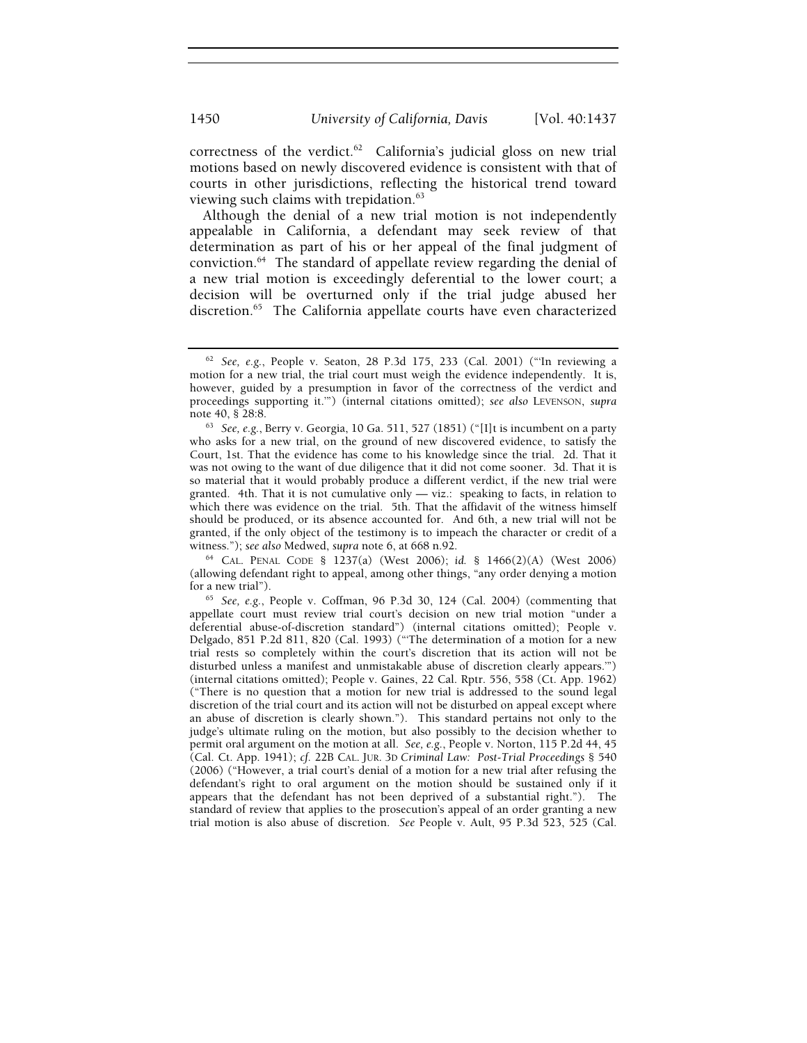correctness of the verdict. $62$  California's judicial gloss on new trial motions based on newly discovered evidence is consistent with that of courts in other jurisdictions, reflecting the historical trend toward viewing such claims with trepidation.<sup>63</sup>

Although the denial of a new trial motion is not independently appealable in California, a defendant may seek review of that determination as part of his or her appeal of the final judgment of conviction.64 The standard of appellate review regarding the denial of a new trial motion is exceedingly deferential to the lower court; a decision will be overturned only if the trial judge abused her discretion.<sup>65</sup> The California appellate courts have even characterized

<sup>64</sup> CAL. PENAL CODE § 1237(a) (West 2006); *id.* § 1466(2)(A) (West 2006) (allowing defendant right to appeal, among other things, "any order denying a motion

<sup>62</sup> *See, e.g.*, People v. Seaton, 28 P.3d 175, 233 (Cal. 2001) ("'In reviewing a motion for a new trial, the trial court must weigh the evidence independently. It is, however, guided by a presumption in favor of the correctness of the verdict and proceedings supporting it.'") (internal citations omitted); *see also* LEVENSON, *supra*

note 40, § 28:8. 63 *See, e.g.*, Berry v. Georgia, 10 Ga. 511, 527 (1851) ("[I]t is incumbent on a party who asks for a new trial, on the ground of new discovered evidence, to satisfy the Court, 1st. That the evidence has come to his knowledge since the trial. 2d. That it was not owing to the want of due diligence that it did not come sooner. 3d. That it is so material that it would probably produce a different verdict, if the new trial were granted. 4th. That it is not cumulative only — viz.: speaking to facts, in relation to which there was evidence on the trial. 5th. That the affidavit of the witness himself should be produced, or its absence accounted for. And 6th, a new trial will not be granted, if the only object of the testimony is to impeach the character or credit of a witness."); see also Medwed, supra note 6, at 668 n.92.

for a new trial"). 65 *See, e.g.*, People v. Coffman, 96 P.3d 30, 124 (Cal. 2004) (commenting that appellate court must review trial court's decision on new trial motion "under a deferential abuse-of-discretion standard") (internal citations omitted); People v. Delgado, 851 P.2d 811, 820 (Cal. 1993) ("'The determination of a motion for a new trial rests so completely within the court's discretion that its action will not be disturbed unless a manifest and unmistakable abuse of discretion clearly appears.'") (internal citations omitted); People v. Gaines, 22 Cal. Rptr. 556, 558 (Ct. App. 1962) ("There is no question that a motion for new trial is addressed to the sound legal discretion of the trial court and its action will not be disturbed on appeal except where an abuse of discretion is clearly shown."). This standard pertains not only to the judge's ultimate ruling on the motion, but also possibly to the decision whether to permit oral argument on the motion at all. *See, e.g.*, People v. Norton, 115 P.2d 44, 45 (Cal. Ct. App. 1941); *cf.* 22B CAL. JUR. 3D *Criminal Law: Post-Trial Proceedings* § 540 (2006) ("However, a trial court's denial of a motion for a new trial after refusing the defendant's right to oral argument on the motion should be sustained only if it appears that the defendant has not been deprived of a substantial right."). The standard of review that applies to the prosecution's appeal of an order granting a new trial motion is also abuse of discretion. *See* People v. Ault, 95 P.3d 523, 525 (Cal.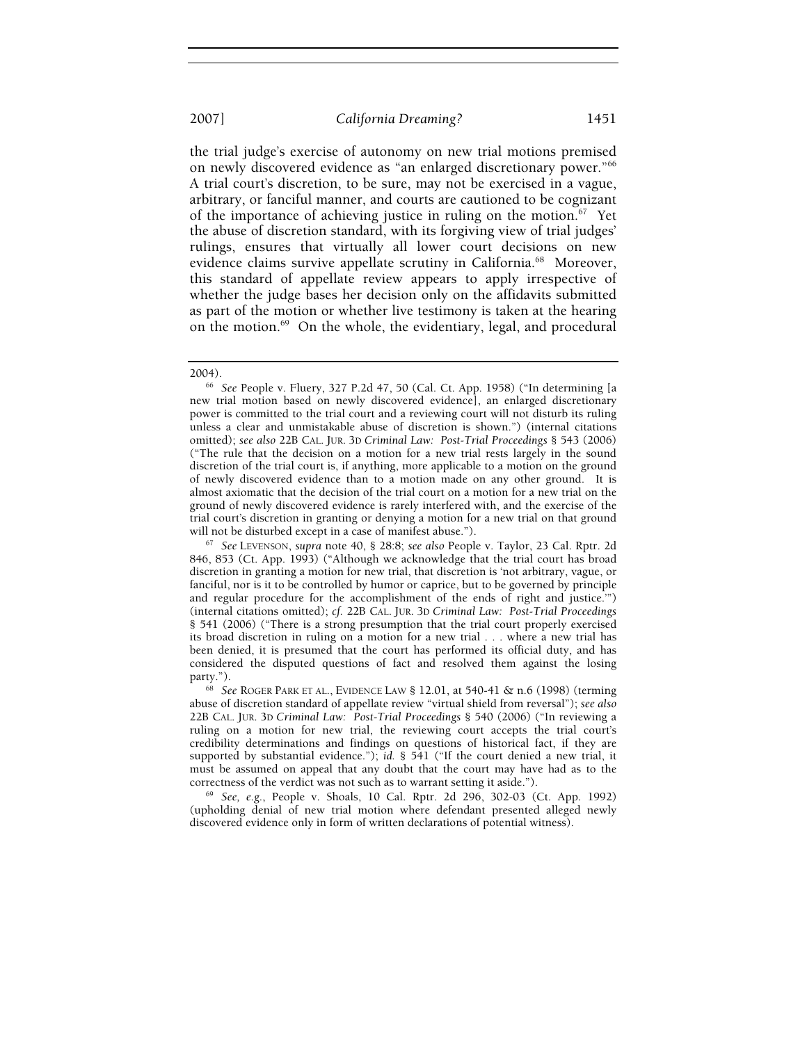the trial judge's exercise of autonomy on new trial motions premised on newly discovered evidence as "an enlarged discretionary power."66 A trial court's discretion, to be sure, may not be exercised in a vague, arbitrary, or fanciful manner, and courts are cautioned to be cognizant of the importance of achieving justice in ruling on the motion.<sup>67</sup> Yet the abuse of discretion standard, with its forgiving view of trial judges' rulings, ensures that virtually all lower court decisions on new evidence claims survive appellate scrutiny in California.<sup>68</sup> Moreover, this standard of appellate review appears to apply irrespective of whether the judge bases her decision only on the affidavits submitted as part of the motion or whether live testimony is taken at the hearing on the motion.69 On the whole, the evidentiary, legal, and procedural

(upholding denial of new trial motion where defendant presented alleged newly discovered evidence only in form of written declarations of potential witness).

<sup>2004). 66</sup> *See* People v. Fluery, 327 P.2d 47, 50 (Cal. Ct. App. 1958) ("In determining [a new trial motion based on newly discovered evidence], an enlarged discretionary power is committed to the trial court and a reviewing court will not disturb its ruling unless a clear and unmistakable abuse of discretion is shown.") (internal citations omitted); *see also* 22B CAL. JUR. 3D *Criminal Law: Post-Trial Proceedings* § 543 (2006) ("The rule that the decision on a motion for a new trial rests largely in the sound discretion of the trial court is, if anything, more applicable to a motion on the ground of newly discovered evidence than to a motion made on any other ground. It is almost axiomatic that the decision of the trial court on a motion for a new trial on the ground of newly discovered evidence is rarely interfered with, and the exercise of the trial court's discretion in granting or denying a motion for a new trial on that ground will not be disturbed except in a case of manifest abuse."). 67 *See* LEVENSON, *supra* note 40, § 28:8; *see also* People v. Taylor, 23 Cal. Rptr. 2d

<sup>846, 853 (</sup>Ct. App. 1993) ("Although we acknowledge that the trial court has broad discretion in granting a motion for new trial, that discretion is 'not arbitrary, vague, or fanciful, nor is it to be controlled by humor or caprice, but to be governed by principle and regular procedure for the accomplishment of the ends of right and justice.'") (internal citations omitted); *cf.* 22B CAL. JUR. 3D *Criminal Law: Post-Trial Proceedings* § 541 (2006) ("There is a strong presumption that the trial court properly exercised its broad discretion in ruling on a motion for a new trial . . . where a new trial has been denied, it is presumed that the court has performed its official duty, and has considered the disputed questions of fact and resolved them against the losing

party."). 68 *See* ROGER PARK ET AL., EVIDENCE LAW § 12.01, at 540-41 & n.6 (1998) (terming abuse of discretion standard of appellate review "virtual shield from reversal"); *see also* 22B CAL. JUR. 3D *Criminal Law: Post-Trial Proceedings* § 540 (2006) ("In reviewing a ruling on a motion for new trial, the reviewing court accepts the trial court's credibility determinations and findings on questions of historical fact, if they are supported by substantial evidence."); *id.* § 541 ("If the court denied a new trial, it must be assumed on appeal that any doubt that the court may have had as to the correctness of the verdict was not such as to warrant setting it aside."). 69 *See, e.g.*, People v. Shoals, 10 Cal. Rptr. 2d 296, 302-03 (Ct. App. 1992)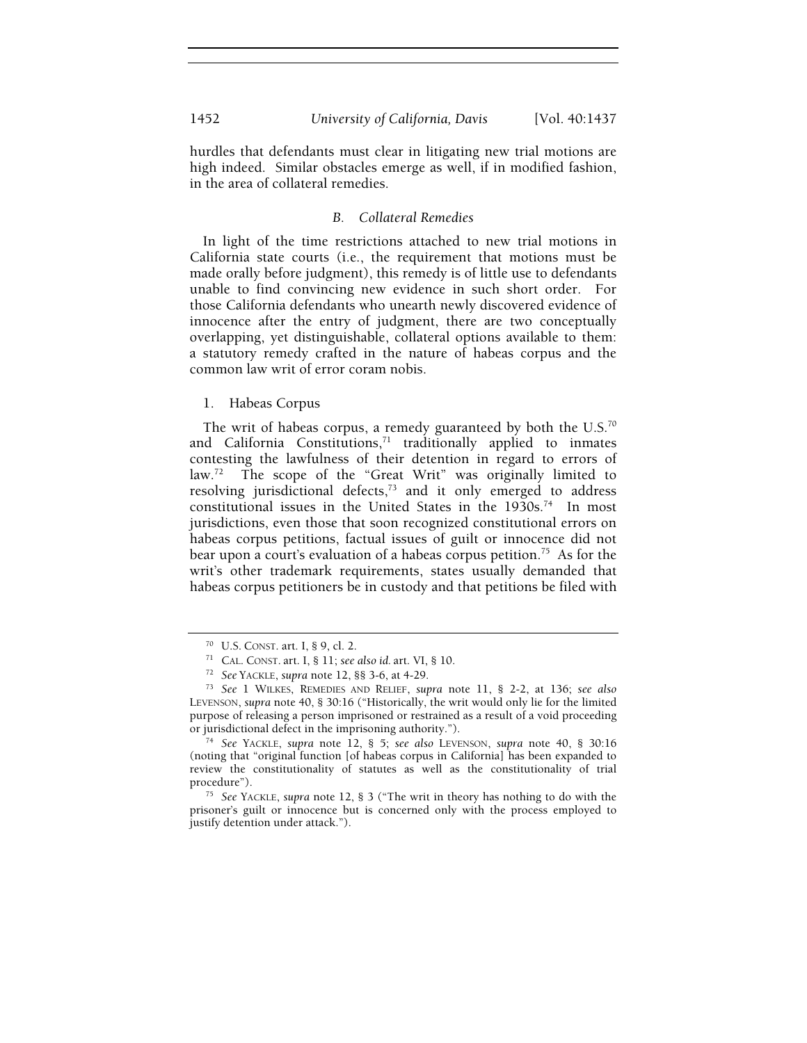hurdles that defendants must clear in litigating new trial motions are high indeed. Similar obstacles emerge as well, if in modified fashion, in the area of collateral remedies.

## *B. Collateral Remedies*

In light of the time restrictions attached to new trial motions in California state courts (i.e., the requirement that motions must be made orally before judgment), this remedy is of little use to defendants unable to find convincing new evidence in such short order. For those California defendants who unearth newly discovered evidence of innocence after the entry of judgment, there are two conceptually overlapping, yet distinguishable, collateral options available to them: a statutory remedy crafted in the nature of habeas corpus and the common law writ of error coram nobis.

## 1. Habeas Corpus

The writ of habeas corpus, a remedy guaranteed by both the U.S.<sup>70</sup> and California Constitutions, $71$  traditionally applied to inmates contesting the lawfulness of their detention in regard to errors of law.<sup>72</sup> The scope of the "Great Writ" was originally limited to The scope of the "Great Writ" was originally limited to resolving jurisdictional defects,<sup>73</sup> and it only emerged to address constitutional issues in the United States in the  $1930s$ <sup>74</sup> In most jurisdictions, even those that soon recognized constitutional errors on habeas corpus petitions, factual issues of guilt or innocence did not bear upon a court's evaluation of a habeas corpus petition.<sup>75</sup> As for the writ's other trademark requirements, states usually demanded that habeas corpus petitioners be in custody and that petitions be filed with

<sup>&</sup>lt;sup>70</sup> U.S. CONST. art. I, § 9, cl. 2.<br><sup>71</sup> CAL. CONST. art. I, § 11; *see also id.* art. VI, § 10.<br><sup>72</sup> See YACKLE, supra note 12, §§ 3-6, at 4-29.<br><sup>73</sup> See 1 WILKES, REMEDIES AND RELIEF, supra note 11, § 2-2, at 136; *see* LEVENSON, *supra* note 40, § 30:16 ("Historically, the writ would only lie for the limited purpose of releasing a person imprisoned or restrained as a result of a void proceeding or jurisdictional defect in the imprisoning authority.").

or jurisdictional defect in the imprisoning authority."). 74 *See* YACKLE, *supra* note 12, § 5; *see also* LEVENSON, *supra* note 40, § 30:16 (noting that "original function [of habeas corpus in California] has been expanded to review the constitutionality of statutes as well as the constitutionality of trial procedure"). 75 *See* YACKLE, *supra* note 12, § 3 ("The writ in theory has nothing to do with the

prisoner's guilt or innocence but is concerned only with the process employed to justify detention under attack.").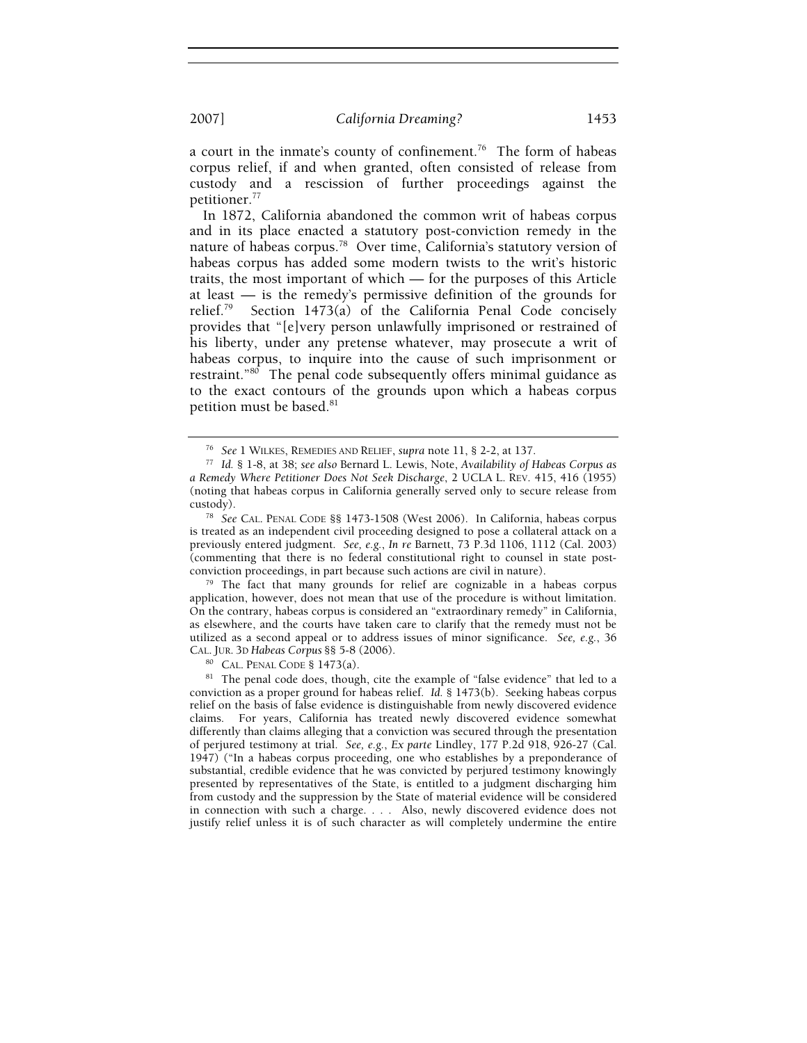a court in the inmate's county of confinement.<sup>76</sup> The form of habeas corpus relief, if and when granted, often consisted of release from custody and a rescission of further proceedings against the petitioner.77

In 1872, California abandoned the common writ of habeas corpus and in its place enacted a statutory post-conviction remedy in the nature of habeas corpus.78 Over time, California's statutory version of habeas corpus has added some modern twists to the writ's historic traits, the most important of which — for the purposes of this Article at least — is the remedy's permissive definition of the grounds for relief.79 Section 1473(a) of the California Penal Code concisely provides that "[e]very person unlawfully imprisoned or restrained of his liberty, under any pretense whatever, may prosecute a writ of habeas corpus, to inquire into the cause of such imprisonment or restraint."<sup>80</sup> The penal code subsequently offers minimal guidance as to the exact contours of the grounds upon which a habeas corpus petition must be based.<sup>81</sup>

conviction proceedings, in part because such actions are civil in nature). 79 The fact that many grounds for relief are cognizable in a habeas corpus application, however, does not mean that use of the procedure is without limitation. On the contrary, habeas corpus is considered an "extraordinary remedy" in California, as elsewhere, and the courts have taken care to clarify that the remedy must not be utilized as a second appeal or to address issues of minor significance. *See, e.g.*, 36

<sup>80</sup> CAL. PENAL CODE § 1473(a).<br><sup>81</sup> The penal code does, though, cite the example of "false evidence" that led to a conviction as a proper ground for habeas relief. *Id.* § 1473(b). Seeking habeas corpus relief on the basis of false evidence is distinguishable from newly discovered evidence claims. For years, California has treated newly discovered evidence somewhat differently than claims alleging that a conviction was secured through the presentation of perjured testimony at trial. *See, e.g.*, *Ex parte* Lindley, 177 P.2d 918, 926-27 (Cal. 1947) ("In a habeas corpus proceeding, one who establishes by a preponderance of substantial, credible evidence that he was convicted by perjured testimony knowingly presented by representatives of the State, is entitled to a judgment discharging him from custody and the suppression by the State of material evidence will be considered in connection with such a charge. . . . Also, newly discovered evidence does not justify relief unless it is of such character as will completely undermine the entire

<sup>76</sup> *See* 1 WILKES, REMEDIES AND RELIEF, *supra* note 11, § 2-2, at 137. 77 *Id.* § 1-8, at 38; *see also* Bernard L. Lewis, Note, *Availability of Habeas Corpus as a Remedy Where Petitioner Does Not Seek Discharge*, 2 UCLA L. REV. 415, 416 (1955) (noting that habeas corpus in California generally served only to secure release from

<sup>&</sup>lt;sup>78</sup> See CAL. PENAL CODE §§ 1473-1508 (West 2006). In California, habeas corpus is treated as an independent civil proceeding designed to pose a collateral attack on a previously entered judgment. *See, e.g.*, *In re* Barnett, 73 P.3d 1106, 1112 (Cal. 2003) (commenting that there is no federal constitutional right to counsel in state post-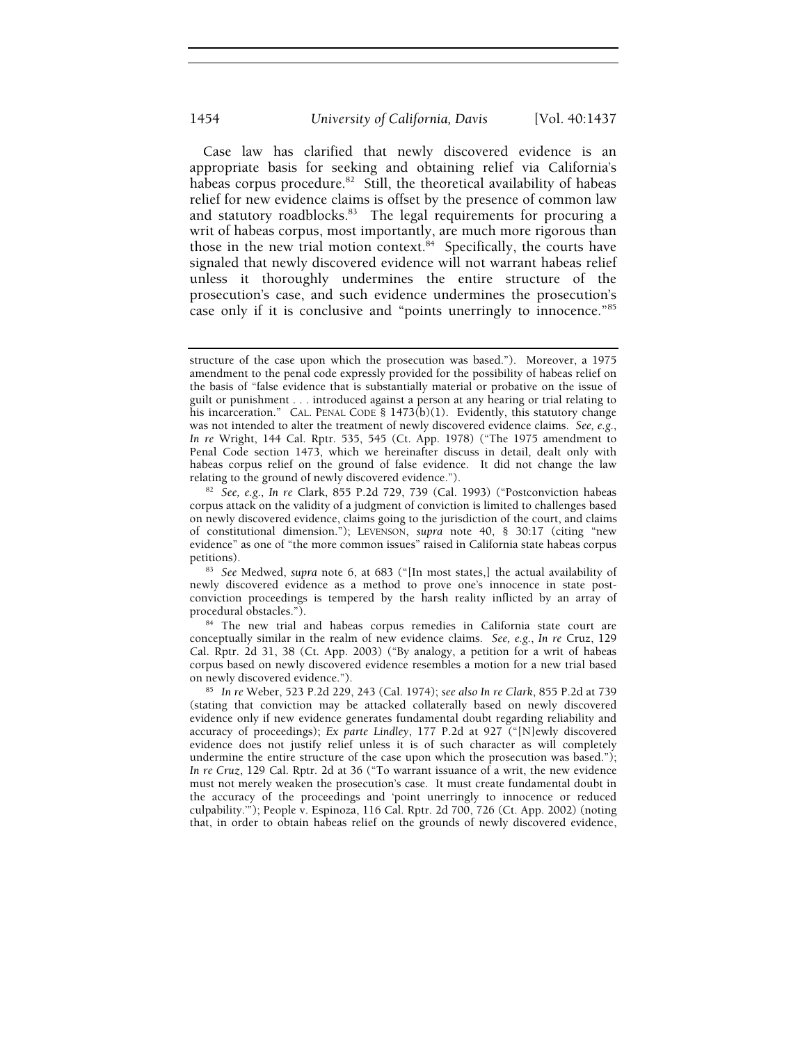Case law has clarified that newly discovered evidence is an appropriate basis for seeking and obtaining relief via California's habeas corpus procedure.<sup>82</sup> Still, the theoretical availability of habeas relief for new evidence claims is offset by the presence of common law and statutory roadblocks.<sup>83</sup> The legal requirements for procuring a writ of habeas corpus, most importantly, are much more rigorous than those in the new trial motion context.<sup>84</sup> Specifically, the courts have signaled that newly discovered evidence will not warrant habeas relief unless it thoroughly undermines the entire structure of the prosecution's case, and such evidence undermines the prosecution's case only if it is conclusive and "points unerringly to innocence."85

petitions). 83 *See* Medwed, *supra* note 6, at 683 ("[In most states,] the actual availability of newly discovered evidence as a method to prove one's innocence in state postconviction proceedings is tempered by the harsh reality inflicted by an array of procedural obstacles.").<br><sup>84</sup> The new trial and habeas corpus remedies in California state court are

conceptually similar in the realm of new evidence claims. *See, e.g.*, *In re* Cruz, 129 Cal. Rptr. 2d 31, 38 (Ct. App. 2003) ("By analogy, a petition for a writ of habeas corpus based on newly discovered evidence resembles a motion for a new trial based on newly discovered evidence."). 85 *In re* Weber, 523 P.2d 229, 243 (Cal. 1974); *see also In re Clark*, 855 P.2d at 739

(stating that conviction may be attacked collaterally based on newly discovered evidence only if new evidence generates fundamental doubt regarding reliability and accuracy of proceedings); *Ex parte Lindley*, 177 P.2d at 927 ("[N]ewly discovered evidence does not justify relief unless it is of such character as will completely undermine the entire structure of the case upon which the prosecution was based."); *In re Cruz*, 129 Cal. Rptr. 2d at 36 ("To warrant issuance of a writ, the new evidence must not merely weaken the prosecution's case. It must create fundamental doubt in the accuracy of the proceedings and 'point unerringly to innocence or reduced culpability.'"); People v. Espinoza, 116 Cal. Rptr. 2d 700, 726 (Ct. App. 2002) (noting that, in order to obtain habeas relief on the grounds of newly discovered evidence,

structure of the case upon which the prosecution was based."). Moreover, a 1975 amendment to the penal code expressly provided for the possibility of habeas relief on the basis of "false evidence that is substantially material or probative on the issue of guilt or punishment . . . introduced against a person at any hearing or trial relating to his incarceration." CAL. PENAL CODE §  $1473(b)(1)$ . Evidently, this statutory change was not intended to alter the treatment of newly discovered evidence claims. *See, e.g.*, *In re* Wright, 144 Cal. Rptr. 535, 545 (Ct. App. 1978) ("The 1975 amendment to Penal Code section 1473, which we hereinafter discuss in detail, dealt only with habeas corpus relief on the ground of false evidence. It did not change the law relating to the ground of newly discovered evidence.").

<sup>&</sup>lt;sup>82</sup> See, e.g., *In re* Clark, 855 P.2d 729, 739 (Cal. 1993) ("Postconviction habeas corpus attack on the validity of a judgment of conviction is limited to challenges based on newly discovered evidence, claims going to the jurisdiction of the court, and claims of constitutional dimension."); LEVENSON, *supra* note 40, § 30:17 (citing "new evidence" as one of "the more common issues" raised in California state habeas corpus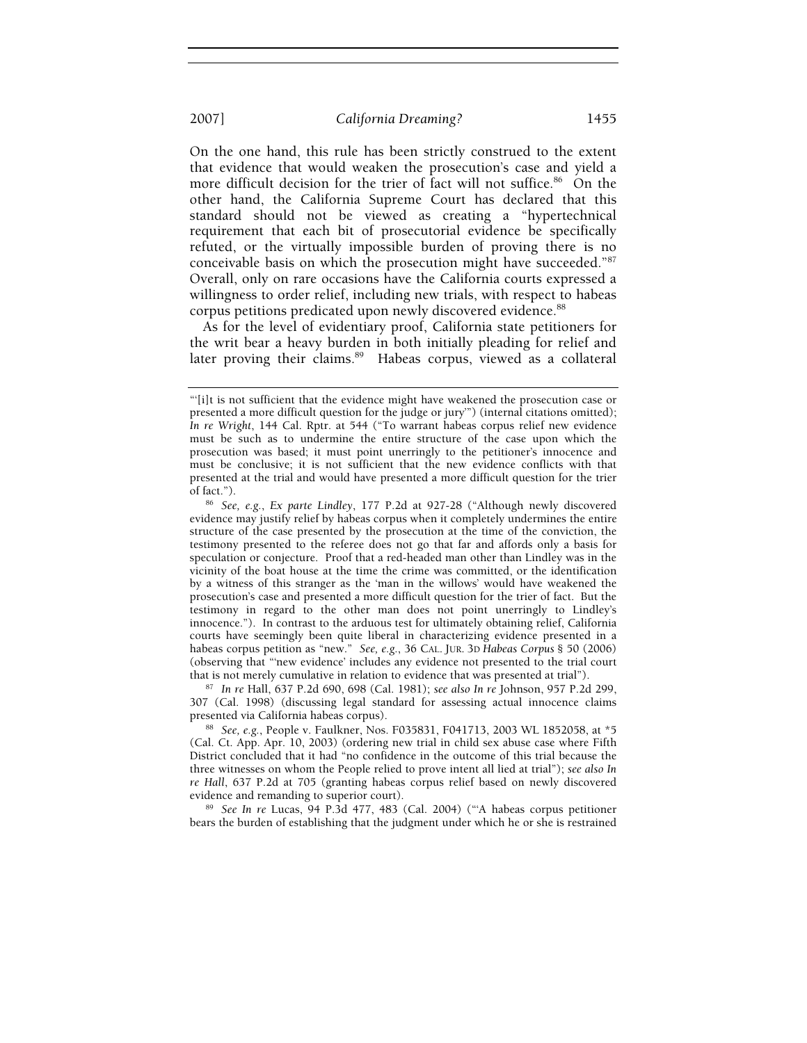On the one hand, this rule has been strictly construed to the extent that evidence that would weaken the prosecution's case and yield a more difficult decision for the trier of fact will not suffice.<sup>86</sup> On the other hand, the California Supreme Court has declared that this standard should not be viewed as creating a "hypertechnical requirement that each bit of prosecutorial evidence be specifically refuted, or the virtually impossible burden of proving there is no conceivable basis on which the prosecution might have succeeded."87 Overall, only on rare occasions have the California courts expressed a

corpus petitions predicated upon newly discovered evidence.<sup>88</sup> As for the level of evidentiary proof, California state petitioners for the writ bear a heavy burden in both initially pleading for relief and later proving their claims.<sup>89</sup> Habeas corpus, viewed as a collateral

willingness to order relief, including new trials, with respect to habeas

that is not merely cumulative in relation to evidence that was presented at trial"). 87 *In re* Hall, 637 P.2d 690, 698 (Cal. 1981); *see also In re* Johnson, 957 P.2d 299, 307 (Cal. 1998) (discussing legal standard for assessing actual innocence claims

<sup>88</sup> See, e.g., People v. Faulkner, Nos. F035831, F041713, 2003 WL 1852058, at \*5 (Cal. Ct. App. Apr. 10, 2003) (ordering new trial in child sex abuse case where Fifth District concluded that it had "no confidence in the outcome of this trial because the three witnesses on whom the People relied to prove intent all lied at trial"); *see also In re Hall*, 637 P.2d at 705 (granting habeas corpus relief based on newly discovered

<sup>89</sup> See In re Lucas, 94 P.3d 477, 483 (Cal. 2004) ("A habeas corpus petitioner bears the burden of establishing that the judgment under which he or she is restrained

<sup>&</sup>quot;'[i]t is not sufficient that the evidence might have weakened the prosecution case or presented a more difficult question for the judge or jury'") (internal citations omitted); *In re Wright*, 144 Cal. Rptr. at 544 ("To warrant habeas corpus relief new evidence must be such as to undermine the entire structure of the case upon which the prosecution was based; it must point unerringly to the petitioner's innocence and must be conclusive; it is not sufficient that the new evidence conflicts with that presented at the trial and would have presented a more difficult question for the trier

of fact."). 86 *See, e.g.*, *Ex parte Lindley*, 177 P.2d at 927-28 ("Although newly discovered evidence may justify relief by habeas corpus when it completely undermines the entire structure of the case presented by the prosecution at the time of the conviction, the testimony presented to the referee does not go that far and affords only a basis for speculation or conjecture. Proof that a red-headed man other than Lindley was in the vicinity of the boat house at the time the crime was committed, or the identification by a witness of this stranger as the 'man in the willows' would have weakened the prosecution's case and presented a more difficult question for the trier of fact. But the testimony in regard to the other man does not point unerringly to Lindley's innocence."). In contrast to the arduous test for ultimately obtaining relief, California courts have seemingly been quite liberal in characterizing evidence presented in a habeas corpus petition as "new." *See, e.g.*, 36 CAL. JUR. 3D *Habeas Corpus* § 50 (2006) (observing that "new evidence' includes any evidence not presented to the trial court that is not merely cumulative in relation to evidence that was presented at trial").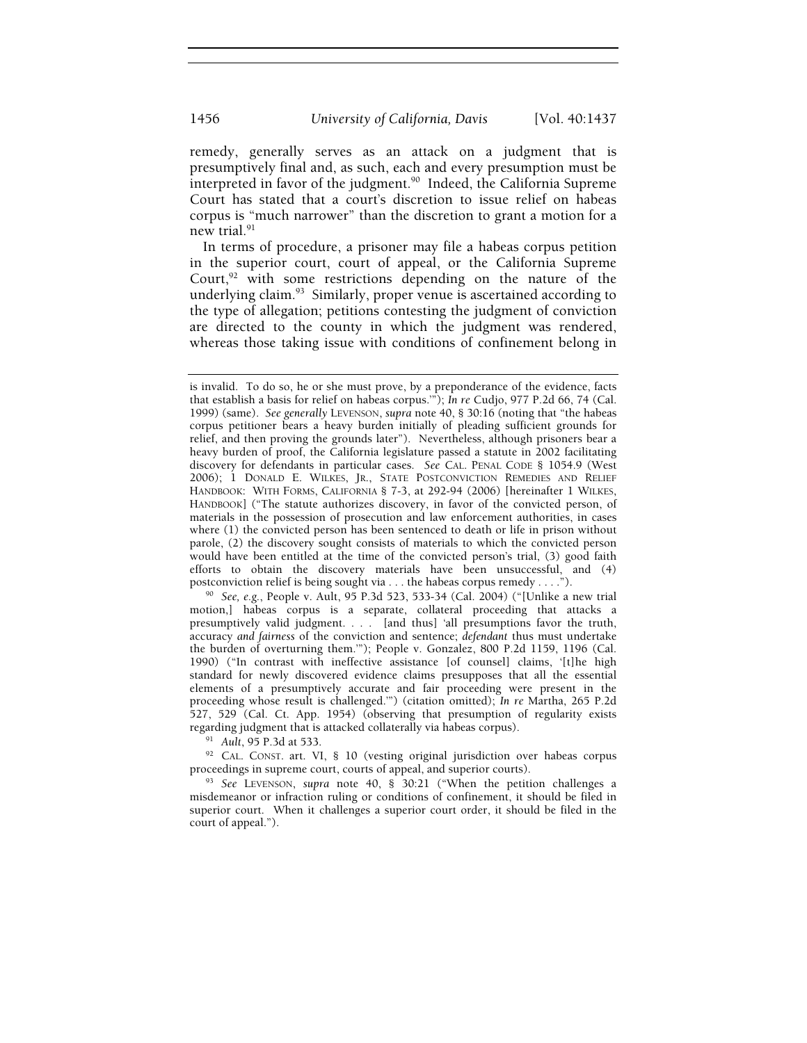presumptively final and, as such, each and every presumption must be interpreted in favor of the judgment.<sup>90</sup> Indeed, the California Supreme Court has stated that a court's discretion to issue relief on habeas corpus is "much narrower" than the discretion to grant a motion for a new trial.<sup>91</sup>

In terms of procedure, a prisoner may file a habeas corpus petition in the superior court, court of appeal, or the California Supreme Court, $92$  with some restrictions depending on the nature of the underlying claim.<sup>93</sup> Similarly, proper venue is ascertained according to the type of allegation; petitions contesting the judgment of conviction are directed to the county in which the judgment was rendered, whereas those taking issue with conditions of confinement belong in

<sup>90</sup> See, e.g., People v. Ault, 95 P.3d 523, 533-34 (Cal. 2004) ("[Unlike a new trial motion,] habeas corpus is a separate, collateral proceeding that attacks a presumptively valid judgment. . . . [and thus] 'all presumptions favor the truth, accuracy *and fairness* of the conviction and sentence; *defendant* thus must undertake the burden of overturning them.'"); People v. Gonzalez, 800 P.2d 1159, 1196 (Cal. 1990) ("In contrast with ineffective assistance [of counsel] claims, '[t]he high standard for newly discovered evidence claims presupposes that all the essential elements of a presumptively accurate and fair proceeding were present in the proceeding whose result is challenged.'") (citation omitted); *In re* Martha, 265 P.2d 527, 529 (Cal. Ct. App. 1954) (observing that presumption of regularity exists

<sup>91</sup> Ault, 95 P.3d at 533.<br><sup>92</sup> CAL. CONST. art. VI, § 10 (vesting original jurisdiction over habeas corpus proceedings in supreme court, courts of appeal, and superior courts). 93 *See* LEVENSON, *supra* note 40, § 30:21 ("When the petition challenges a

misdemeanor or infraction ruling or conditions of confinement, it should be filed in superior court. When it challenges a superior court order, it should be filed in the court of appeal.").

is invalid. To do so, he or she must prove, by a preponderance of the evidence, facts that establish a basis for relief on habeas corpus.'"); *In re* Cudjo, 977 P.2d 66, 74 (Cal. 1999) (same). *See generally* LEVENSON, *supra* note 40, § 30:16 (noting that "the habeas corpus petitioner bears a heavy burden initially of pleading sufficient grounds for relief, and then proving the grounds later"). Nevertheless, although prisoners bear a heavy burden of proof, the California legislature passed a statute in 2002 facilitating discovery for defendants in particular cases. *See* CAL. PENAL CODE § 1054.9 (West 2006); 1 DONALD E. WILKES, JR., STATE POSTCONVICTION REMEDIES AND RELIEF HANDBOOK: WITH FORMS, CALIFORNIA § 7-3, at 292-94 (2006) [hereinafter 1 WILKES, HANDBOOK] ("The statute authorizes discovery, in favor of the convicted person, of materials in the possession of prosecution and law enforcement authorities, in cases where (1) the convicted person has been sentenced to death or life in prison without parole, (2) the discovery sought consists of materials to which the convicted person would have been entitled at the time of the convicted person's trial, (3) good faith efforts to obtain the discovery materials have been unsuccessful, and  $(4)$  postconviction relief is being sought via ... the habeas corpus remedy ....").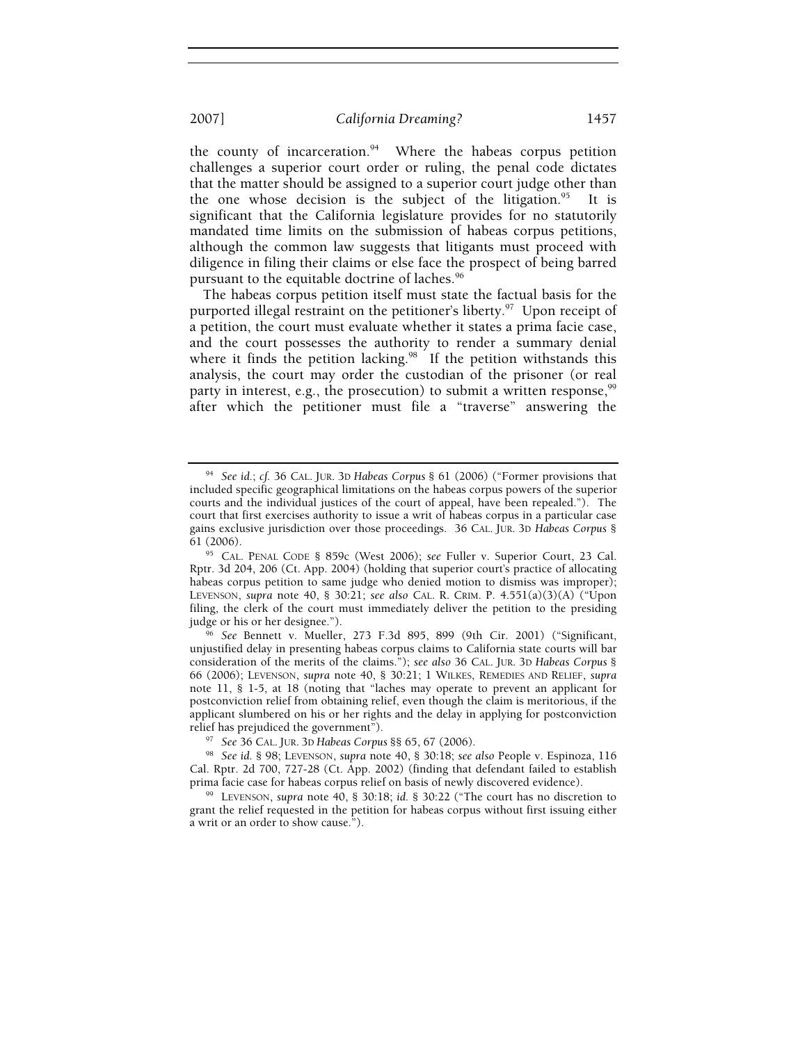the county of incarceration. $94$  Where the habeas corpus petition challenges a superior court order or ruling, the penal code dictates that the matter should be assigned to a superior court judge other than the one whose decision is the subject of the litigation.<sup>95</sup> It is significant that the California legislature provides for no statutorily mandated time limits on the submission of habeas corpus petitions, although the common law suggests that litigants must proceed with diligence in filing their claims or else face the prospect of being barred pursuant to the equitable doctrine of laches.<sup>96</sup>

The habeas corpus petition itself must state the factual basis for the purported illegal restraint on the petitioner's liberty.<sup>97</sup> Upon receipt of a petition, the court must evaluate whether it states a prima facie case, and the court possesses the authority to render a summary denial where it finds the petition lacking.<sup>98</sup> If the petition withstands this analysis, the court may order the custodian of the prisoner (or real party in interest, e.g., the prosecution) to submit a written response,  $99$ after which the petitioner must file a "traverse" answering the

<sup>94</sup> *See id.*; *cf.* 36 CAL. JUR. 3D *Habeas Corpus* § 61 (2006) ("Former provisions that included specific geographical limitations on the habeas corpus powers of the superior courts and the individual justices of the court of appeal, have been repealed."). The court that first exercises authority to issue a writ of habeas corpus in a particular case gains exclusive jurisdiction over those proceedings. 36 CAL. JUR. 3D *Habeas Corpus* §

<sup>&</sup>lt;sup>95</sup> CAL. PENAL CODE § 859c (West 2006); *see* Fuller v. Superior Court, 23 Cal. Rptr. 3d 204, 206 (Ct. App. 2004) (holding that superior court's practice of allocating habeas corpus petition to same judge who denied motion to dismiss was improper); LEVENSON, *supra* note 40, § 30:21; *see also* CAL. R. CRIM. P. 4.551(a)(3)(A) ("Upon filing, the clerk of the court must immediately deliver the petition to the presiding judge or his or her designee."). 96 *See* Bennett v. Mueller, 273 F.3d 895, 899 (9th Cir. 2001) ("Significant,

unjustified delay in presenting habeas corpus claims to California state courts will bar consideration of the merits of the claims."); *see also* 36 CAL. JUR. 3D *Habeas Corpus* § 66 (2006); LEVENSON, *supra* note 40, § 30:21; 1 WILKES, REMEDIES AND RELIEF, *supra* note 11, § 1-5, at 18 (noting that "laches may operate to prevent an applicant for postconviction relief from obtaining relief, even though the claim is meritorious, if the applicant slumbered on his or her rights and the delay in applying for postconviction relief has prejudiced the government").

relief has prejudiced the government"). 97 *See* 36 CAL. JUR. 3D *Habeas Corpus* §§ 65, 67 (2006). 98 *See id.* § 98; LEVENSON, *supra* note 40, § 30:18; *see also* People v. Espinoza, 116 Cal. Rptr. 2d 700, 727-28 (Ct. App. 2002) (finding that defendant failed to establish prima facie case for habeas corpus relief on basis of newly discovered evidence). 99 LEVENSON, *supra* note 40, § 30:18; *id.* § 30:22 ("The court has no discretion to

grant the relief requested in the petition for habeas corpus without first issuing either a writ or an order to show cause.").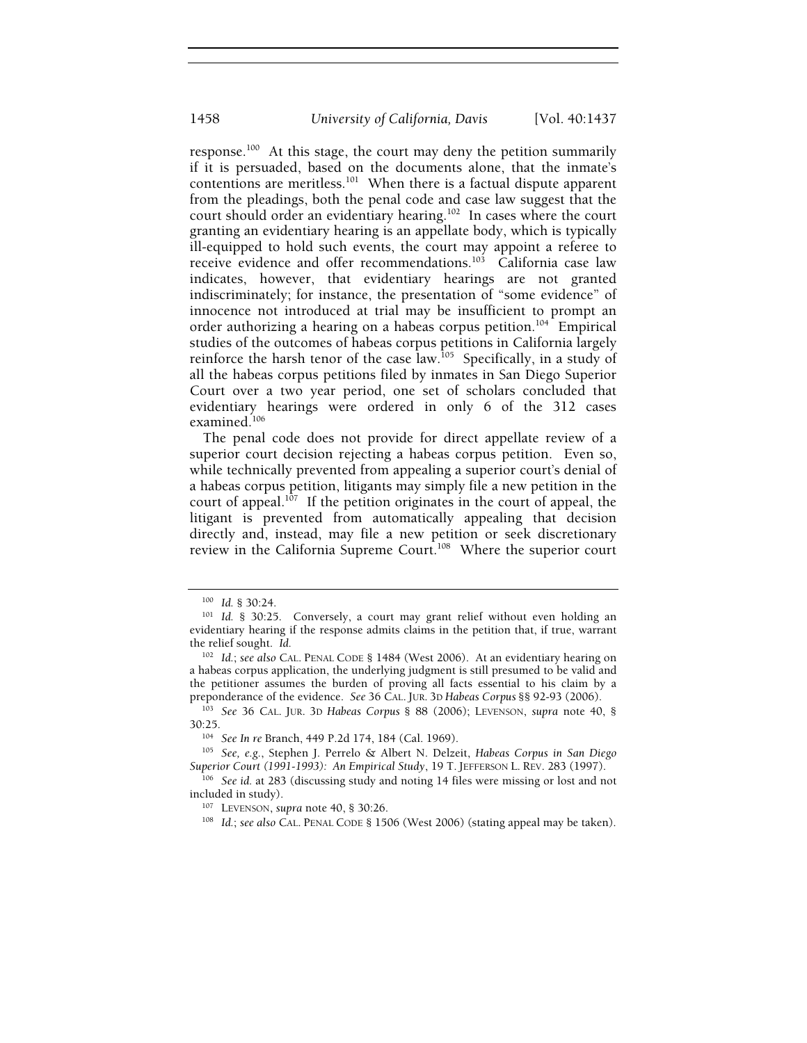response.100 At this stage, the court may deny the petition summarily if it is persuaded, based on the documents alone, that the inmate's contentions are meritless.101 When there is a factual dispute apparent from the pleadings, both the penal code and case law suggest that the court should order an evidentiary hearing.<sup>102</sup> In cases where the court granting an evidentiary hearing is an appellate body, which is typically ill-equipped to hold such events, the court may appoint a referee to receive evidence and offer recommendations.<sup>103</sup> California case law indicates, however, that evidentiary hearings are not granted indiscriminately; for instance, the presentation of "some evidence" of innocence not introduced at trial may be insufficient to prompt an order authorizing a hearing on a habeas corpus petition.<sup>104</sup> Empirical studies of the outcomes of habeas corpus petitions in California largely reinforce the harsh tenor of the case law.<sup>105</sup> Specifically, in a study of all the habeas corpus petitions filed by inmates in San Diego Superior Court over a two year period, one set of scholars concluded that evidentiary hearings were ordered in only 6 of the 312 cases examined.106

The penal code does not provide for direct appellate review of a superior court decision rejecting a habeas corpus petition. Even so, while technically prevented from appealing a superior court's denial of a habeas corpus petition, litigants may simply file a new petition in the court of appeal.<sup>107</sup> If the petition originates in the court of appeal, the litigant is prevented from automatically appealing that decision directly and, instead, may file a new petition or seek discretionary review in the California Supreme Court.<sup>108</sup> Where the superior court

<sup>&</sup>lt;sup>100</sup> Id. § 30:24.<br><sup>101</sup> Id. § 30:25. Conversely, a court may grant relief without even holding an evidentiary hearing if the response admits claims in the petition that, if true, warrant the relief sought. *Id.*

<sup>102</sup> *Id.*; *see also* CAL. PENAL CODE § 1484 (West 2006). At an evidentiary hearing on a habeas corpus application, the underlying judgment is still presumed to be valid and the petitioner assumes the burden of proving all facts essential to his claim by a preponderance of the evidence. *See* 36 CAL. JUR. 3D Habeas Corpus §§ 92-93 (2006).

<sup>&</sup>lt;sup>103</sup> See 36 CAL. JUR. 3D *Habeas Corpus* § 88 (2006); LEVENSON, *supra* note 40, § 30:25.

<sup>&</sup>lt;sup>104</sup> See In re Branch, 449 P.2d 174, 184 (Cal. 1969).<br><sup>105</sup> See, e.g., Stephen J. Perrelo & Albert N. Delzeit, *Habeas Corpus in San Diego Superior Court (1991-1993): An Empirical Study*, 19 T. JEFFERSON L. REV. 283 (1997

<sup>&</sup>lt;sup>106</sup> See id. at 283 (discussing study and noting 14 files were missing or lost and not included in study).<br><sup>107</sup> LEVENSON, *supra* note 40, § 30:26.<br><sup>108</sup> *Id.*; *see also* CAL. PENAL CODE § 1506 (West 2006) (stating appeal may be taken).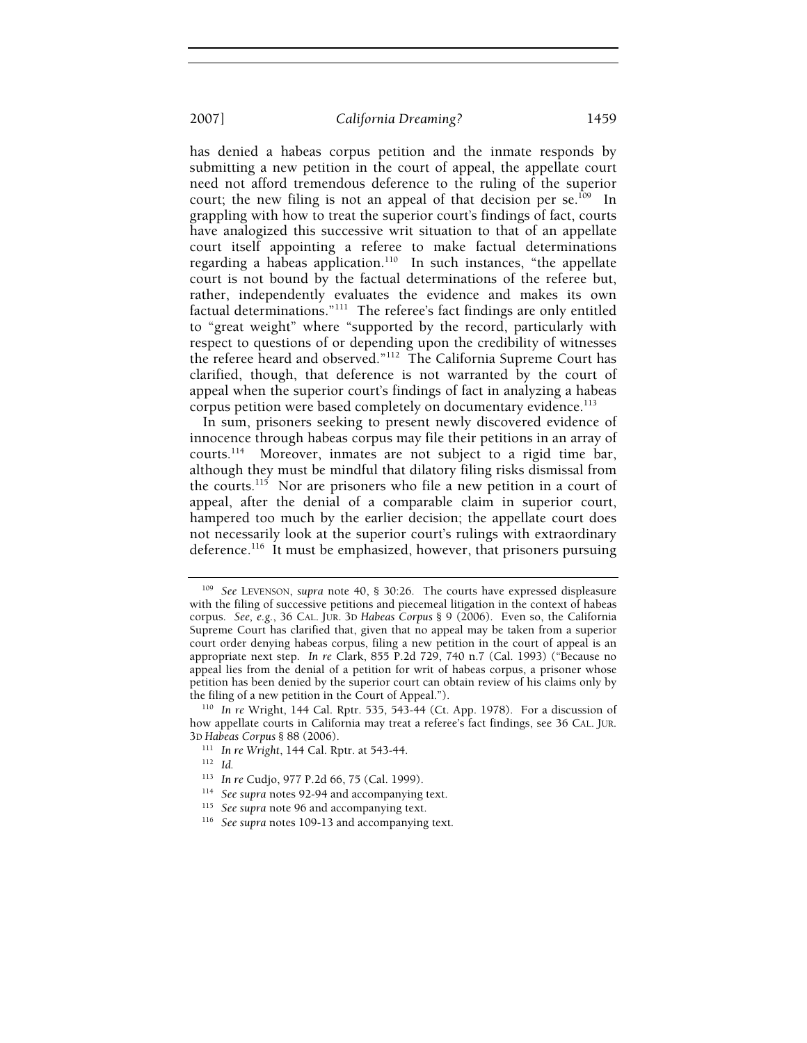has denied a habeas corpus petition and the inmate responds by submitting a new petition in the court of appeal, the appellate court need not afford tremendous deference to the ruling of the superior court; the new filing is not an appeal of that decision per se.<sup>109</sup> In grappling with how to treat the superior court's findings of fact, courts have analogized this successive writ situation to that of an appellate court itself appointing a referee to make factual determinations regarding a habeas application.<sup>110</sup> In such instances, "the appellate court is not bound by the factual determinations of the referee but, rather, independently evaluates the evidence and makes its own factual determinations."111 The referee's fact findings are only entitled to "great weight" where "supported by the record, particularly with respect to questions of or depending upon the credibility of witnesses the referee heard and observed."112 The California Supreme Court has clarified, though, that deference is not warranted by the court of appeal when the superior court's findings of fact in analyzing a habeas corpus petition were based completely on documentary evidence.<sup>113</sup>

In sum, prisoners seeking to present newly discovered evidence of innocence through habeas corpus may file their petitions in an array of courts.114 Moreover, inmates are not subject to a rigid time bar, although they must be mindful that dilatory filing risks dismissal from the courts.<sup>115</sup> Nor are prisoners who file a new petition in a court of appeal, after the denial of a comparable claim in superior court, hampered too much by the earlier decision; the appellate court does not necessarily look at the superior court's rulings with extraordinary deference.<sup>116</sup> It must be emphasized, however, that prisoners pursuing

<sup>109</sup> *See* LEVENSON, *supra* note 40, § 30:26. The courts have expressed displeasure with the filing of successive petitions and piecemeal litigation in the context of habeas corpus. *See, e.g.*, 36 CAL. JUR. 3D *Habeas Corpus* § 9 (2006). Even so, the California Supreme Court has clarified that, given that no appeal may be taken from a superior court order denying habeas corpus, filing a new petition in the court of appeal is an appropriate next step. *In re* Clark, 855 P.2d 729, 740 n.7 (Cal. 1993) ("Because no appeal lies from the denial of a petition for writ of habeas corpus, a prisoner whose petition has been denied by the superior court can obtain review of his claims only by the filing of a new petition in the Court of Appeal."). 110 *In re* Wright, 144 Cal. Rptr. 535, 543-44 (Ct. App. 1978). For a discussion of

how appellate courts in California may treat a referee's fact findings, see 36 CAL. JUR. 3D *Habeas Corpus* § 88 (2006). 111 *In re Wright*, 144 Cal. Rptr. at 543-44. 112 *Id.*

<sup>&</sup>lt;sup>113</sup> In re Cudjo, 977 P.2d 66, 75 (Cal. 1999).<br><sup>114</sup> See supra notes 92-94 and accompanying text.<br><sup>115</sup> See supra notes 109-13 and accompanying text.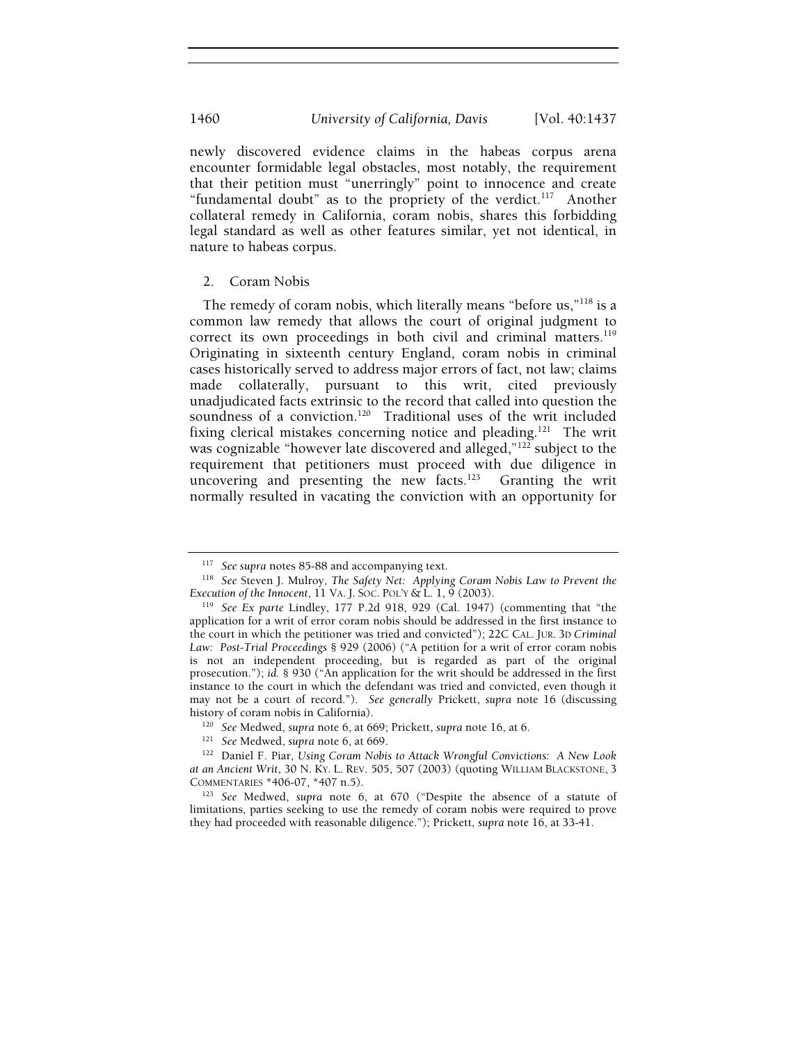# 1460 *University of California, Davis* [Vol. 40:1437

newly discovered evidence claims in the habeas corpus arena encounter formidable legal obstacles, most notably, the requirement that their petition must "unerringly" point to innocence and create "fundamental doubt" as to the propriety of the verdict.<sup>117</sup> Another collateral remedy in California, coram nobis, shares this forbidding legal standard as well as other features similar, yet not identical, in nature to habeas corpus.

## 2. Coram Nobis

The remedy of coram nobis, which literally means "before us,"<sup>118</sup> is a common law remedy that allows the court of original judgment to correct its own proceedings in both civil and criminal matters.<sup>119</sup> Originating in sixteenth century England, coram nobis in criminal cases historically served to address major errors of fact, not law; claims made collaterally, pursuant to this writ, cited previously unadjudicated facts extrinsic to the record that called into question the soundness of a conviction.<sup>120</sup> Traditional uses of the writ included fixing clerical mistakes concerning notice and pleading.<sup>121</sup> The writ was cognizable "however late discovered and alleged,"<sup>122</sup> subject to the requirement that petitioners must proceed with due diligence in uncovering and presenting the new facts.<sup>123</sup> Granting the writ normally resulted in vacating the conviction with an opportunity for

<sup>&</sup>lt;sup>117</sup> See supra notes 85-88 and accompanying text.<br><sup>118</sup> See Steven J. Mulroy, *The Safety Net: Applying Coram Nobis Law to Prevent the Execution of the Innocent*, 11 VA. J. Soc. PoL'Y & L. 1, 9 (2003).<br><sup>119</sup> *See Ex parte* Lindley, 177 P.2d 918, 929 (Cal. 1947) (commenting that "the

application for a writ of error coram nobis should be addressed in the first instance to the court in which the petitioner was tried and convicted"); 22C CAL. JUR. 3D *Criminal Law: Post-Trial Proceedings* § 929 (2006) ("A petition for a writ of error coram nobis is not an independent proceeding, but is regarded as part of the original prosecution."); *id.* § 930 ("An application for the writ should be addressed in the first instance to the court in which the defendant was tried and convicted, even though it may not be a court of record."). *See generally* Prickett, *supra* note 16 (discussing

<sup>&</sup>lt;sup>120</sup> See Medwed, supra note 6, at 669; Prickett, supra note 16, at 6.<br><sup>121</sup> See Medwed, supra note 6, at 669.<br><sup>122</sup> Daniel F. Piar, *Using Coram Nobis to Attack Wrongful Convictions: A New Look at an Ancient Writ*, 30 N. KY. L. REV. 505, 507 (2003) (quoting WILLIAM BLACKSTONE, 3 COMMENTARIES \*406-07, \*407 n.5). 123 *See* Medwed, *supra* note 6, at 670 ("Despite the absence of a statute of

limitations, parties seeking to use the remedy of coram nobis were required to prove they had proceeded with reasonable diligence."); Prickett, *supra* note 16, at 33-41.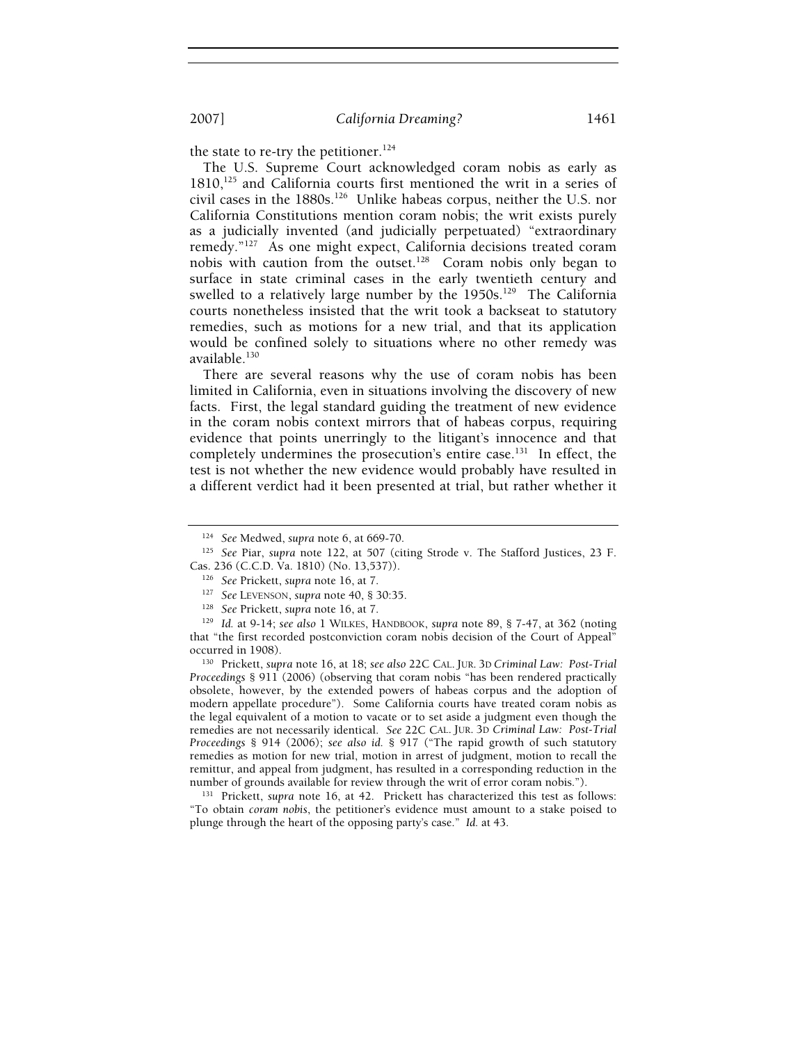the state to re-try the petitioner.<sup>124</sup>

The U.S. Supreme Court acknowledged coram nobis as early as 1810,125 and California courts first mentioned the writ in a series of civil cases in the  $1880s$ .<sup>126</sup> Unlike habeas corpus, neither the U.S. nor California Constitutions mention coram nobis; the writ exists purely as a judicially invented (and judicially perpetuated) "extraordinary remedy."127 As one might expect, California decisions treated coram nobis with caution from the outset.<sup>128</sup> Coram nobis only began to surface in state criminal cases in the early twentieth century and swelled to a relatively large number by the  $1950s$ .<sup>129</sup> The California courts nonetheless insisted that the writ took a backseat to statutory remedies, such as motions for a new trial, and that its application would be confined solely to situations where no other remedy was available.<sup>130</sup>

There are several reasons why the use of coram nobis has been limited in California, even in situations involving the discovery of new facts. First, the legal standard guiding the treatment of new evidence in the coram nobis context mirrors that of habeas corpus, requiring evidence that points unerringly to the litigant's innocence and that completely undermines the prosecution's entire case.<sup>131</sup> In effect, the test is not whether the new evidence would probably have resulted in a different verdict had it been presented at trial, but rather whether it

*Proceedings* § 911 (2006) (observing that coram nobis "has been rendered practically obsolete, however, by the extended powers of habeas corpus and the adoption of modern appellate procedure"). Some California courts have treated coram nobis as the legal equivalent of a motion to vacate or to set aside a judgment even though the remedies are not necessarily identical. *See* 22C CAL. JUR. 3D *Criminal Law: Post-Trial Proceedings* § 914 (2006); *see also id.* § 917 ("The rapid growth of such statutory remedies as motion for new trial, motion in arrest of judgment, motion to recall the remittur, and appeal from judgment, has resulted in a corresponding reduction in the number of grounds available for review through the writ of error coram nobis.").<br><sup>131</sup> Prickett, *supra* note 16, at 42. Prickett has characterized this test as follows:

"To obtain *coram nobis*, the petitioner's evidence must amount to a stake poised to plunge through the heart of the opposing party's case." *Id.* at 43.

<sup>124</sup> *See* Medwed, *supra* note 6, at 669-70. 125 *See* Piar, *supra* note 122, at 507 (citing Strode v. The Stafford Justices, 23 F. Cas. 236 (C.C.D. Va. 1810) (No. 13,537)).<br><sup>126</sup> See Prickett, supra note 16, at 7.<br><sup>127</sup> See LEVENSON, supra note 40, § 30:35.<br><sup>128</sup> See Prickett, supra note 16, at 7.<br><sup>129</sup> Id. at 9-14; see also 1 WILKES, HANDBOOK, supra

that "the first recorded postconviction coram nobis decision of the Court of Appeal" occurred in 1908). 130 Prickett, *supra* note 16, at 18; *see also* 22C CAL. JUR. 3D *Criminal Law: Post-Trial*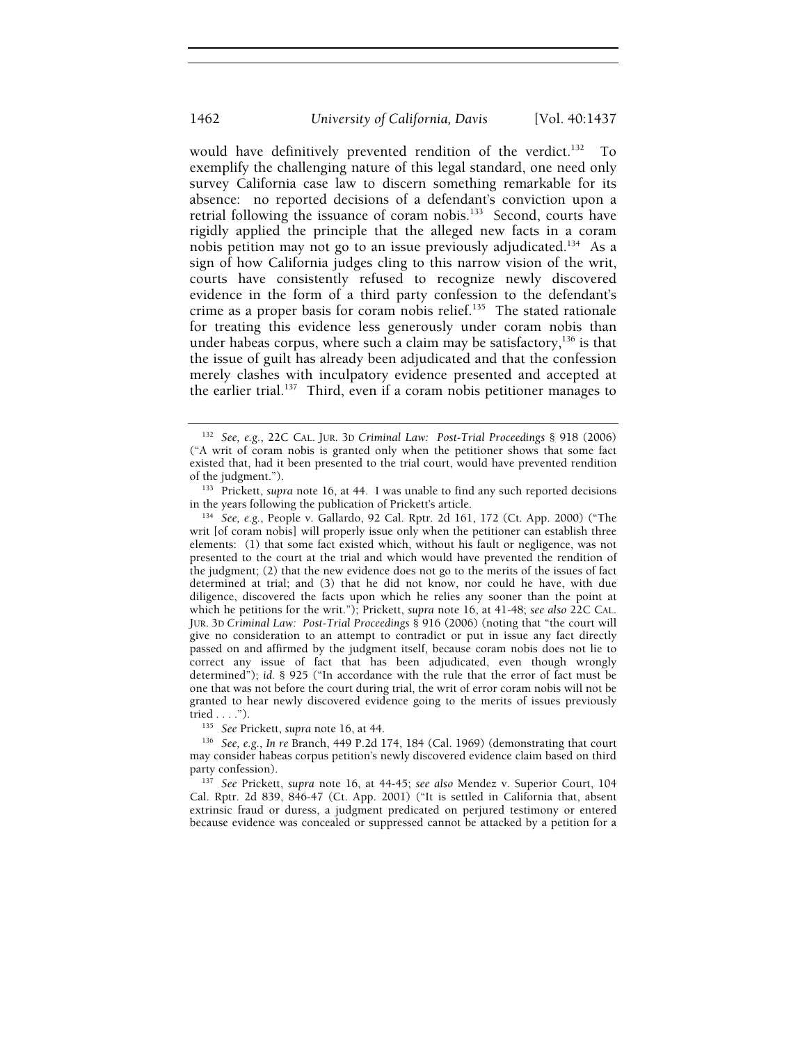would have definitively prevented rendition of the verdict.<sup>132</sup> To exemplify the challenging nature of this legal standard, one need only survey California case law to discern something remarkable for its absence: no reported decisions of a defendant's conviction upon a retrial following the issuance of coram nobis.<sup>133</sup> Second, courts have rigidly applied the principle that the alleged new facts in a coram nobis petition may not go to an issue previously adjudicated.<sup>134</sup> As a sign of how California judges cling to this narrow vision of the writ, courts have consistently refused to recognize newly discovered evidence in the form of a third party confession to the defendant's crime as a proper basis for coram nobis relief.<sup>135</sup> The stated rationale for treating this evidence less generously under coram nobis than under habeas corpus, where such a claim may be satisfactory,  $136$  is that the issue of guilt has already been adjudicated and that the confession merely clashes with inculpatory evidence presented and accepted at the earlier trial.<sup>137</sup> Third, even if a coram nobis petitioner manages to

<sup>132</sup> *See, e.g.*, 22C CAL. JUR. 3D *Criminal Law: Post-Trial Proceedings* § 918 (2006) ("A writ of coram nobis is granted only when the petitioner shows that some fact existed that, had it been presented to the trial court, would have prevented rendition of the judgment.").

<sup>&</sup>lt;sup>133</sup> Prickett, *supra* note 16, at 44. I was unable to find any such reported decisions in the years following the publication of Prickett's article.

<sup>&</sup>lt;sup>134</sup> See, e.g., People v. Gallardo, 92 Cal. Rptr. 2d 161, 172 (Ct. App. 2000) ("The writ [of coram nobis] will properly issue only when the petitioner can establish three elements: (1) that some fact existed which, without his fault or negligence, was not presented to the court at the trial and which would have prevented the rendition of the judgment; (2) that the new evidence does not go to the merits of the issues of fact determined at trial; and (3) that he did not know, nor could he have, with due diligence, discovered the facts upon which he relies any sooner than the point at which he petitions for the writ."); Prickett, *supra* note 16, at 41-48; *see also* 22C CAL. JUR. 3D *Criminal Law: Post-Trial Proceedings* § 916 (2006) (noting that "the court will give no consideration to an attempt to contradict or put in issue any fact directly passed on and affirmed by the judgment itself, because coram nobis does not lie to correct any issue of fact that has been adjudicated, even though wrongly determined"); *id.* § 925 ("In accordance with the rule that the error of fact must be one that was not before the court during trial, the writ of error coram nobis will not be granted to hear newly discovered evidence going to the merits of issues previously

tried . . . ."). 135 *See* Prickett, *supra* note 16, at 44. 136 *See, e.g.*, *In re* Branch, 449 P.2d 174, 184 (Cal. 1969) (demonstrating that court may consider habeas corpus petition's newly discovered evidence claim based on third party confession). 137 *See* Prickett, *supra* note 16, at 44-45; *see also* Mendez v. Superior Court, 104

Cal. Rptr. 2d 839, 846-47 (Ct. App. 2001) ("It is settled in California that, absent extrinsic fraud or duress, a judgment predicated on perjured testimony or entered because evidence was concealed or suppressed cannot be attacked by a petition for a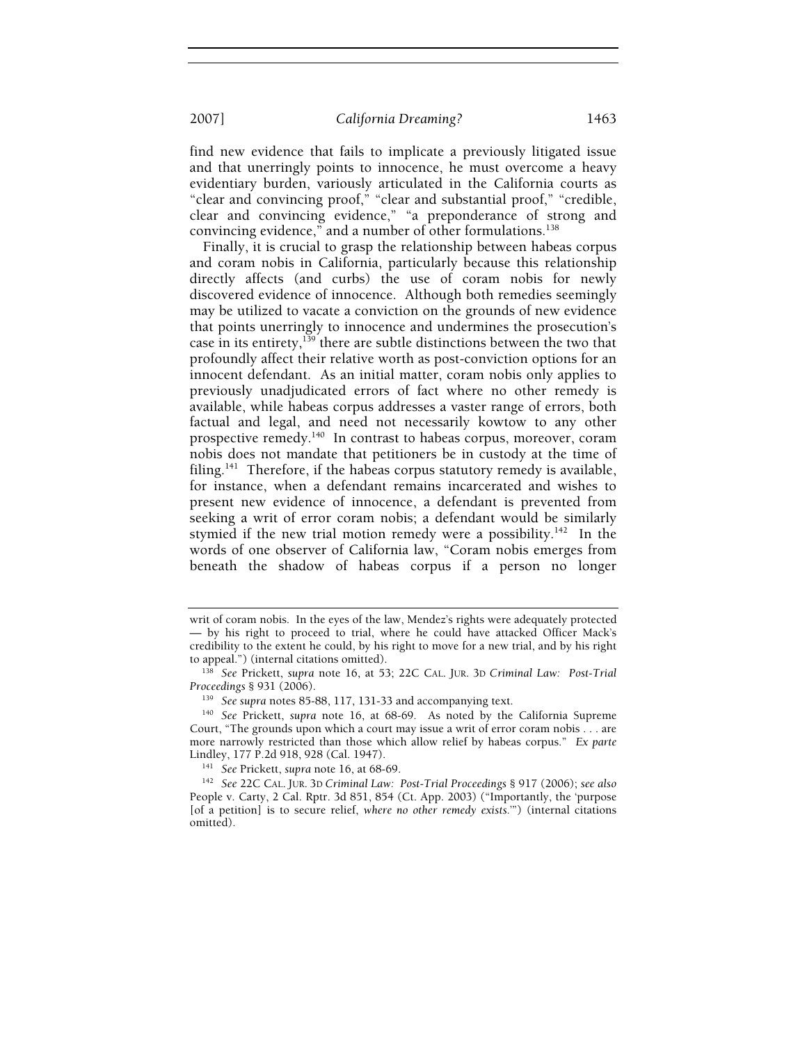find new evidence that fails to implicate a previously litigated issue and that unerringly points to innocence, he must overcome a heavy evidentiary burden, variously articulated in the California courts as "clear and convincing proof," "clear and substantial proof," "credible, clear and convincing evidence," "a preponderance of strong and convincing evidence," and a number of other formulations.<sup>138</sup>

Finally, it is crucial to grasp the relationship between habeas corpus and coram nobis in California, particularly because this relationship directly affects (and curbs) the use of coram nobis for newly discovered evidence of innocence. Although both remedies seemingly may be utilized to vacate a conviction on the grounds of new evidence that points unerringly to innocence and undermines the prosecution's case in its entirety, $139$  there are subtle distinctions between the two that profoundly affect their relative worth as post-conviction options for an innocent defendant. As an initial matter, coram nobis only applies to previously unadjudicated errors of fact where no other remedy is available, while habeas corpus addresses a vaster range of errors, both factual and legal, and need not necessarily kowtow to any other prospective remedy.<sup>140</sup> In contrast to habeas corpus, moreover, coram nobis does not mandate that petitioners be in custody at the time of filing. $141$  Therefore, if the habeas corpus statutory remedy is available, for instance, when a defendant remains incarcerated and wishes to present new evidence of innocence, a defendant is prevented from seeking a writ of error coram nobis; a defendant would be similarly stymied if the new trial motion remedy were a possibility.<sup>142</sup> In the words of one observer of California law, "Coram nobis emerges from beneath the shadow of habeas corpus if a person no longer

writ of coram nobis. In the eyes of the law, Mendez's rights were adequately protected — by his right to proceed to trial, where he could have attacked Officer Mack's credibility to the extent he could, by his right to move for a new trial, and by his right

to appeal.") (internal citations omitted). 138 *See* Prickett, *supra* note 16, at 53; 22C CAL. JUR. 3D *Criminal Law: Post-Trial* 

<sup>&</sup>lt;sup>139</sup> See supra notes 85-88, 117, 131-33 and accompanying text.<br><sup>140</sup> See Prickett, *supra* note 16, at 68-69. As noted by the California Supreme Court, "The grounds upon which a court may issue a writ of error coram nobis . . . are more narrowly restricted than those which allow relief by habeas corpus." *Ex parte* Lindley, 177 P.2d 918, 928 (Cal. 1947). 141 *See* Prickett, *supra* note 16, at 68-69. 142 *See* 22C CAL. JUR. 3D *Criminal Law: Post-Trial Proceedings* § 917 (2006); *see also*

People v. Carty, 2 Cal. Rptr. 3d 851, 854 (Ct. App. 2003) ("Importantly, the 'purpose [of a petition] is to secure relief, where no other remedy exists."") (internal citations omitted).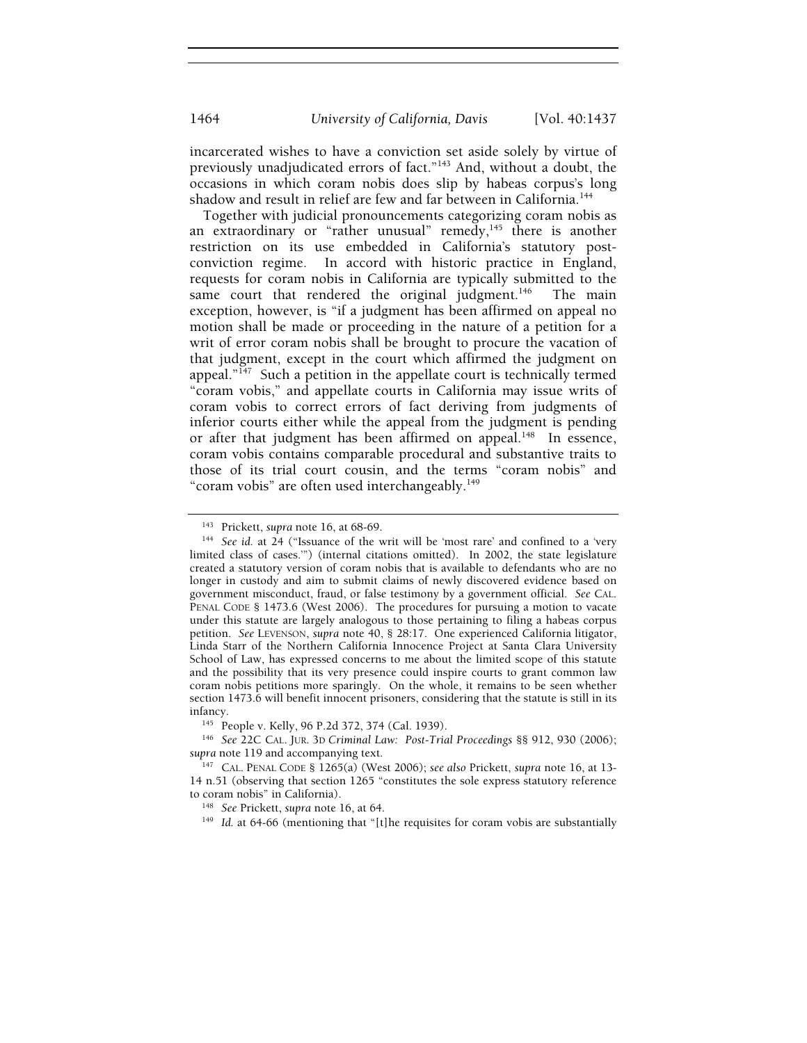incarcerated wishes to have a conviction set aside solely by virtue of previously unadjudicated errors of fact."143 And, without a doubt, the occasions in which coram nobis does slip by habeas corpus's long shadow and result in relief are few and far between in California.<sup>144</sup>

Together with judicial pronouncements categorizing coram nobis as an extraordinary or "rather unusual" remedy, $145$  there is another restriction on its use embedded in California's statutory postconviction regime. In accord with historic practice in England, requests for coram nobis in California are typically submitted to the same court that rendered the original judgment.<sup>146</sup> The main exception, however, is "if a judgment has been affirmed on appeal no motion shall be made or proceeding in the nature of a petition for a writ of error coram nobis shall be brought to procure the vacation of that judgment, except in the court which affirmed the judgment on appeal." $147$  Such a petition in the appellate court is technically termed "coram vobis," and appellate courts in California may issue writs of coram vobis to correct errors of fact deriving from judgments of inferior courts either while the appeal from the judgment is pending or after that judgment has been affirmed on appeal.<sup>148</sup> In essence, coram vobis contains comparable procedural and substantive traits to those of its trial court cousin, and the terms "coram nobis" and "coram vobis" are often used interchangeably.<sup>149</sup>

<sup>&</sup>lt;sup>143</sup> Prickett, *supra* note 16, at 68-69.<br><sup>144</sup> See id. at 24 ("Issuance of the writ will be 'most rare' and confined to a 'very limited class of cases.'") (internal citations omitted). In 2002, the state legislature created a statutory version of coram nobis that is available to defendants who are no longer in custody and aim to submit claims of newly discovered evidence based on government misconduct, fraud, or false testimony by a government official. *See* CAL. PENAL CODE § 1473.6 (West 2006). The procedures for pursuing a motion to vacate under this statute are largely analogous to those pertaining to filing a habeas corpus petition. *See* LEVENSON, *supra* note 40, § 28:17. One experienced California litigator, Linda Starr of the Northern California Innocence Project at Santa Clara University School of Law, has expressed concerns to me about the limited scope of this statute and the possibility that its very presence could inspire courts to grant common law coram nobis petitions more sparingly. On the whole, it remains to be seen whether section 1473.6 will benefit innocent prisoners, considering that the statute is still in its infancy. 145 People v. Kelly, 96 P.2d 372, 374 (Cal. 1939). 146 *See* 22C CAL. JUR. 3D *Criminal Law: Post-Trial Proceedings* §§ 912, 930 (2006);

*supra* note 119 and accompanying text.<br><sup>147</sup> CAL. PENAL CODE § 1265(a) (West 2006); *see also* Prickett, *supra* note 16, at 13-

<sup>14</sup> n.51 (observing that section 1265 "constitutes the sole express statutory reference to coram nobis" in California).<br><sup>148</sup> See Prickett, *supra* note 16, at 64.<br><sup>149</sup> Id. at 64-66 (mentioning that "[t]he requisites for coram vobis are substantially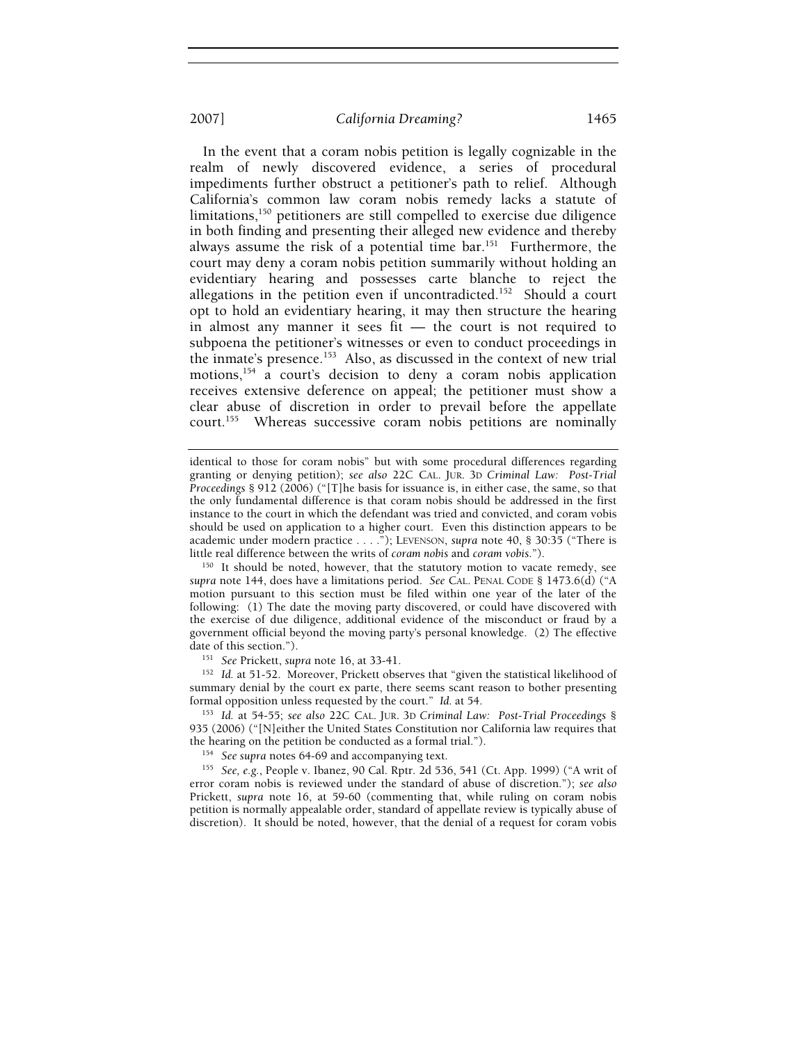In the event that a coram nobis petition is legally cognizable in the realm of newly discovered evidence, a series of procedural impediments further obstruct a petitioner's path to relief. Although California's common law coram nobis remedy lacks a statute of limitations, $150$  petitioners are still compelled to exercise due diligence in both finding and presenting their alleged new evidence and thereby always assume the risk of a potential time bar.151 Furthermore, the court may deny a coram nobis petition summarily without holding an evidentiary hearing and possesses carte blanche to reject the allegations in the petition even if uncontradicted.<sup>152</sup> Should a court opt to hold an evidentiary hearing, it may then structure the hearing in almost any manner it sees fit — the court is not required to subpoena the petitioner's witnesses or even to conduct proceedings in the inmate's presence.<sup>153</sup> Also, as discussed in the context of new trial motions,<sup>154</sup> a court's decision to deny a coram nobis application receives extensive deference on appeal; the petitioner must show a clear abuse of discretion in order to prevail before the appellate court.155 Whereas successive coram nobis petitions are nominally

<sup>150</sup> It should be noted, however, that the statutory motion to vacate remedy, see *supra* note 144, does have a limitations period. *See* CAL. PENAL CODE § 1473.6(d) ("A motion pursuant to this section must be filed within one year of the later of the following: (1) The date the moving party discovered, or could have discovered with the exercise of due diligence, additional evidence of the misconduct or fraud by a government official beyond the moving party's personal knowledge. (2) The effective date of this section.").<br><sup>151</sup> *See* Prickett, *supra* note 16, at 33-41.<br><sup>152</sup> *Id.* at 51-52. Moreover, Prickett observes that "given the statistical likelihood of

summary denial by the court ex parte, there seems scant reason to bother presenting formal opposition unless requested by the court." Id. at 54.

<sup>153</sup> Id. at 54-55; see also 22C CAL. JUR. 3D Criminal Law: Post-Trial Proceedings § 935 (2006) ("[N]either the United States Constitution nor California law requires that the hearing on the petition be conducted as a formal trial.").<br><sup>154</sup> *See supra* notes 64-69 and accompanying text.<br><sup>155</sup> *See, e.g.*, People v. Ibanez, 90 Cal. Rptr. 2d 536, 541 (Ct. App. 1999) ("A writ of

error coram nobis is reviewed under the standard of abuse of discretion."); *see also* Prickett, *supra* note 16, at 59-60 (commenting that, while ruling on coram nobis petition is normally appealable order, standard of appellate review is typically abuse of discretion). It should be noted, however, that the denial of a request for coram vobis

identical to those for coram nobis" but with some procedural differences regarding granting or denying petition); *see also* 22C CAL. JUR. 3D *Criminal Law: Post-Trial Proceedings* § 912 (2006) ("[T]he basis for issuance is, in either case, the same, so that the only fundamental difference is that coram nobis should be addressed in the first instance to the court in which the defendant was tried and convicted, and coram vobis should be used on application to a higher court. Even this distinction appears to be academic under modern practice . . . .<sup>")</sup>; LEVENSON, *supra* note 40, § 30:35 ("There is little real difference between the writs of *coram nobis* and *coram vobis*.").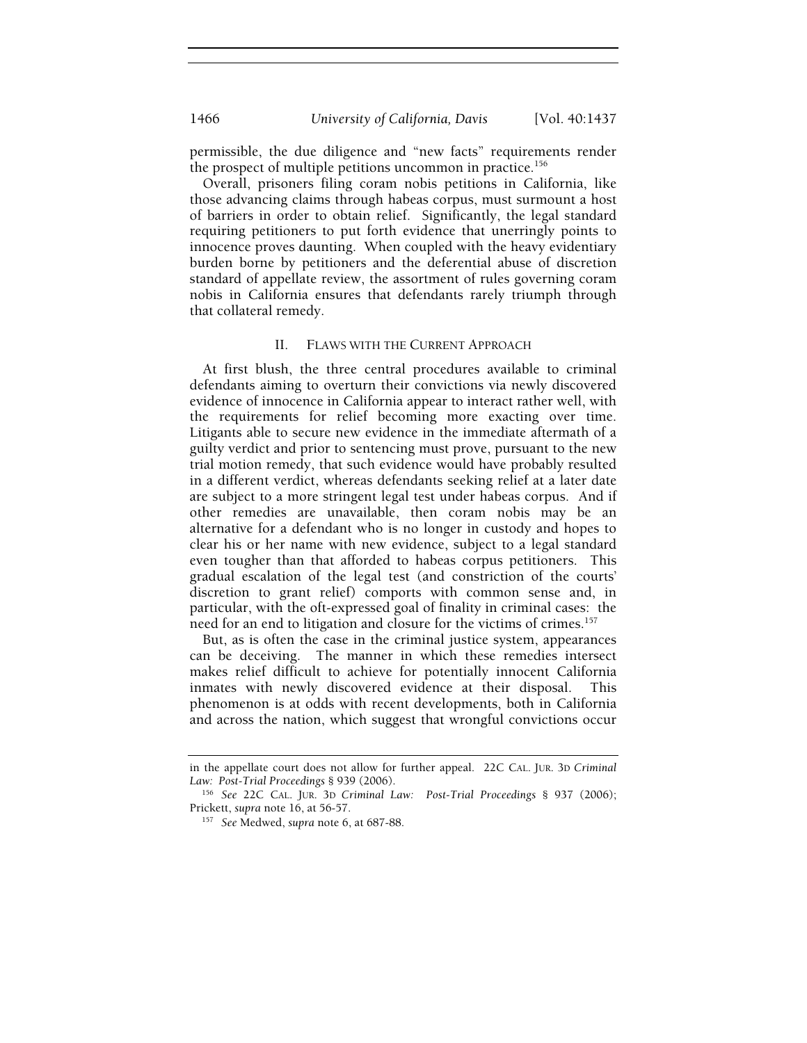permissible, the due diligence and "new facts" requirements render the prospect of multiple petitions uncommon in practice.<sup>156</sup>

Overall, prisoners filing coram nobis petitions in California, like those advancing claims through habeas corpus, must surmount a host of barriers in order to obtain relief. Significantly, the legal standard requiring petitioners to put forth evidence that unerringly points to innocence proves daunting. When coupled with the heavy evidentiary burden borne by petitioners and the deferential abuse of discretion standard of appellate review, the assortment of rules governing coram nobis in California ensures that defendants rarely triumph through that collateral remedy.

#### II. FLAWS WITH THE CURRENT APPROACH

At first blush, the three central procedures available to criminal defendants aiming to overturn their convictions via newly discovered evidence of innocence in California appear to interact rather well, with the requirements for relief becoming more exacting over time. Litigants able to secure new evidence in the immediate aftermath of a guilty verdict and prior to sentencing must prove, pursuant to the new trial motion remedy, that such evidence would have probably resulted in a different verdict, whereas defendants seeking relief at a later date are subject to a more stringent legal test under habeas corpus. And if other remedies are unavailable, then coram nobis may be an alternative for a defendant who is no longer in custody and hopes to clear his or her name with new evidence, subject to a legal standard even tougher than that afforded to habeas corpus petitioners. This gradual escalation of the legal test (and constriction of the courts' discretion to grant relief) comports with common sense and, in particular, with the oft-expressed goal of finality in criminal cases: the need for an end to litigation and closure for the victims of crimes.<sup>157</sup>

But, as is often the case in the criminal justice system, appearances can be deceiving. The manner in which these remedies intersect makes relief difficult to achieve for potentially innocent California inmates with newly discovered evidence at their disposal. This phenomenon is at odds with recent developments, both in California and across the nation, which suggest that wrongful convictions occur

in the appellate court does not allow for further appeal. 22C CAL. JUR. 3D *Criminal* 

*Law: Post-Trial Proceedings* § 939 (2006).<br><sup>156</sup> See 22C CAL. JUR. 3D *Criminal Law: Post-Trial Proceedings* § 937 (2006);<br>Prickett, supra note 16, at 56-57.

<sup>&</sup>lt;sup>157</sup> See Medwed, *supra* note 6, at 687-88.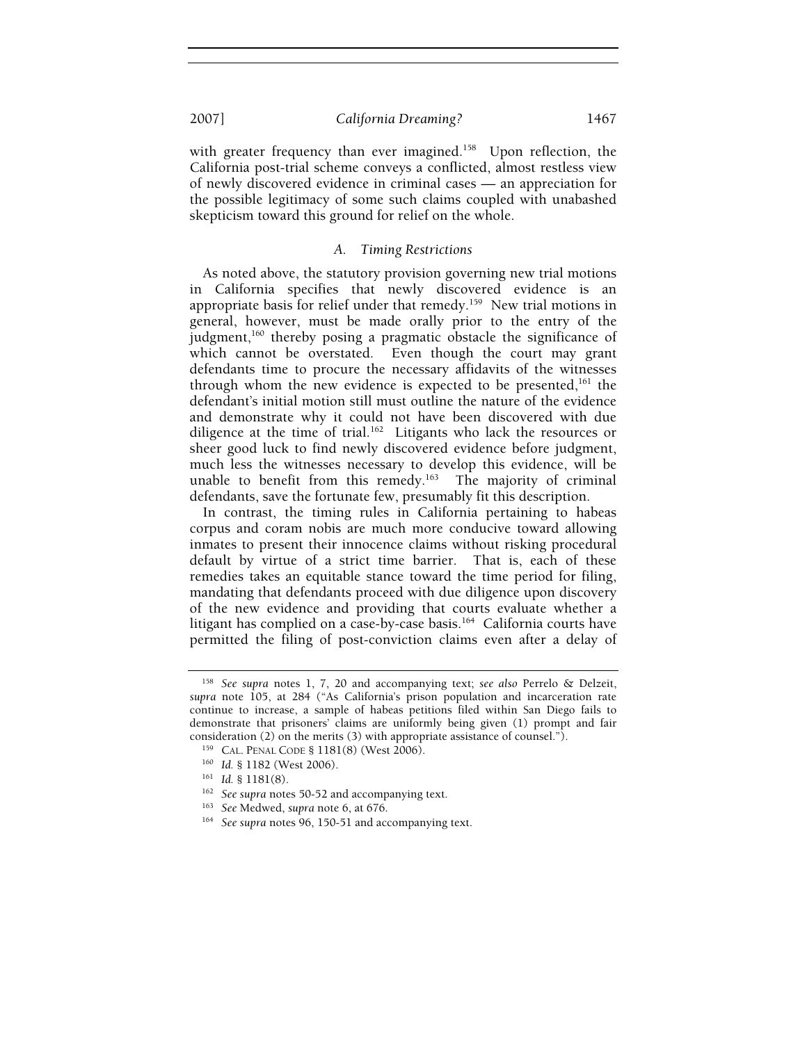with greater frequency than ever imagined.<sup>158</sup> Upon reflection, the California post-trial scheme conveys a conflicted, almost restless view of newly discovered evidence in criminal cases — an appreciation for the possible legitimacy of some such claims coupled with unabashed skepticism toward this ground for relief on the whole.

# *A. Timing Restrictions*

As noted above, the statutory provision governing new trial motions in California specifies that newly discovered evidence is an appropriate basis for relief under that remedy.159 New trial motions in general, however, must be made orally prior to the entry of the judgment,<sup>160</sup> thereby posing a pragmatic obstacle the significance of which cannot be overstated. Even though the court may grant defendants time to procure the necessary affidavits of the witnesses through whom the new evidence is expected to be presented,<sup>161</sup> the defendant's initial motion still must outline the nature of the evidence and demonstrate why it could not have been discovered with due diligence at the time of trial.<sup>162</sup> Litigants who lack the resources or sheer good luck to find newly discovered evidence before judgment, much less the witnesses necessary to develop this evidence, will be unable to benefit from this remedy.<sup>163</sup> The majority of criminal defendants, save the fortunate few, presumably fit this description.

In contrast, the timing rules in California pertaining to habeas corpus and coram nobis are much more conducive toward allowing inmates to present their innocence claims without risking procedural default by virtue of a strict time barrier. That is, each of these remedies takes an equitable stance toward the time period for filing, mandating that defendants proceed with due diligence upon discovery of the new evidence and providing that courts evaluate whether a litigant has complied on a case-by-case basis.<sup>164</sup> California courts have permitted the filing of post-conviction claims even after a delay of

<sup>158</sup> *See supra* notes 1, 7, 20 and accompanying text; *see also* Perrelo & Delzeit, *supra* note 105, at 284 ("As California's prison population and incarceration rate continue to increase, a sample of habeas petitions filed within San Diego fails to demonstrate that prisoners' claims are uniformly being given (1) prompt and fair consideration (2) on the merits (3) with appropriate assistance of counsel.").<br><sup>159</sup> CAL. PENAL CODE § 1181(8) (West 2006).<br><sup>160</sup> Id. § 1182 (West 2006).<br><sup>161</sup> Id. § 1181(8).<br><sup>162</sup> See supra notes 50-52 and accompanying t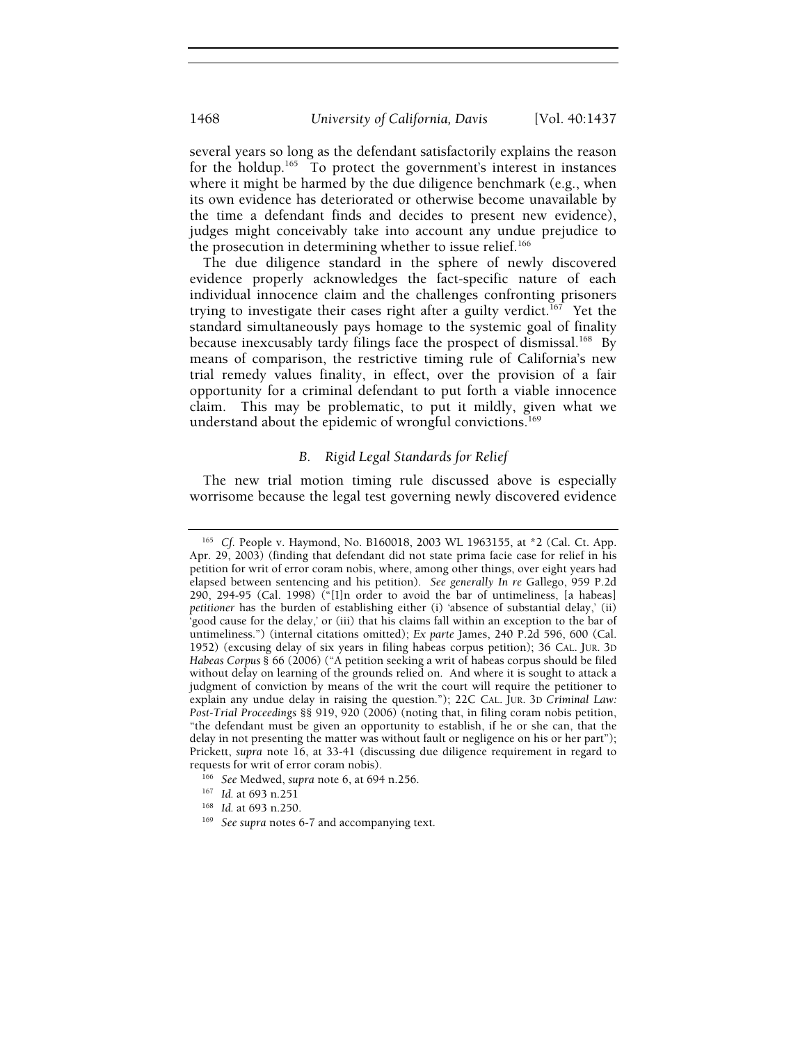several years so long as the defendant satisfactorily explains the reason for the holdup.<sup>165</sup> To protect the government's interest in instances where it might be harmed by the due diligence benchmark (e.g., when its own evidence has deteriorated or otherwise become unavailable by the time a defendant finds and decides to present new evidence), judges might conceivably take into account any undue prejudice to the prosecution in determining whether to issue relief.<sup>166</sup>

The due diligence standard in the sphere of newly discovered evidence properly acknowledges the fact-specific nature of each individual innocence claim and the challenges confronting prisoners trying to investigate their cases right after a guilty verdict.<sup>167</sup> Yet the standard simultaneously pays homage to the systemic goal of finality because inexcusably tardy filings face the prospect of dismissal.<sup>168</sup> By means of comparison, the restrictive timing rule of California's new trial remedy values finality, in effect, over the provision of a fair opportunity for a criminal defendant to put forth a viable innocence claim. This may be problematic, to put it mildly, given what we understand about the epidemic of wrongful convictions.<sup>169</sup>

# *B. Rigid Legal Standards for Relief*

The new trial motion timing rule discussed above is especially worrisome because the legal test governing newly discovered evidence

<sup>165</sup> *Cf.* People v. Haymond, No. B160018, 2003 WL 1963155, at \*2 (Cal. Ct. App. Apr. 29, 2003) (finding that defendant did not state prima facie case for relief in his petition for writ of error coram nobis, where, among other things, over eight years had elapsed between sentencing and his petition). *See generally In re* Gallego, 959 P.2d 290, 294-95 (Cal. 1998) ("[I]n order to avoid the bar of untimeliness, [a habeas] *petitioner* has the burden of establishing either (i) 'absence of substantial delay,' (ii) 'good cause for the delay,' or (iii) that his claims fall within an exception to the bar of untimeliness.") (internal citations omitted); *Ex parte* James, 240 P.2d 596, 600 (Cal. 1952) (excusing delay of six years in filing habeas corpus petition); 36 CAL. JUR. 3D *Habeas Corpus* § 66 (2006) ("A petition seeking a writ of habeas corpus should be filed without delay on learning of the grounds relied on. And where it is sought to attack a judgment of conviction by means of the writ the court will require the petitioner to explain any undue delay in raising the question."); 22C CAL. JUR. 3D *Criminal Law: Post-Trial Proceedings* §§ 919, 920 (2006) (noting that, in filing coram nobis petition, "the defendant must be given an opportunity to establish, if he or she can, that the delay in not presenting the matter was without fault or negligence on his or her part"); Prickett, *supra* note 16, at 33-41 (discussing due diligence requirement in regard to

requests for writ of error coram nobis).<br><sup>166</sup> *See* Medwed, *supra* note 6, at 694 n.256.<br><sup>167</sup> *Id.* at 693 n.251<br><sup>168</sup> *Id.* at 693 n.250.<br><sup>169</sup> *See supra* notes 6-7 and accompanying text.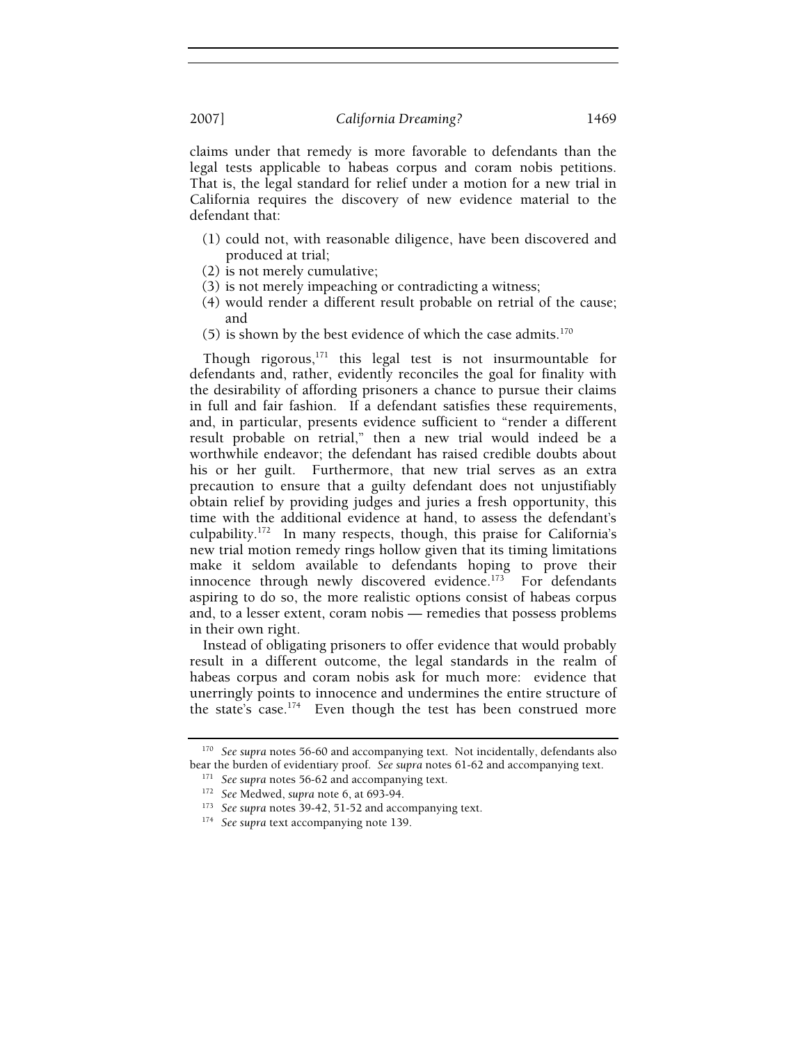claims under that remedy is more favorable to defendants than the legal tests applicable to habeas corpus and coram nobis petitions. That is, the legal standard for relief under a motion for a new trial in California requires the discovery of new evidence material to the defendant that:

- (1) could not, with reasonable diligence, have been discovered and produced at trial;
- (2) is not merely cumulative;
- (3) is not merely impeaching or contradicting a witness;
- (4) would render a different result probable on retrial of the cause; and
- (5) is shown by the best evidence of which the case admits.<sup>170</sup>

Though rigorous,171 this legal test is not insurmountable for defendants and, rather, evidently reconciles the goal for finality with the desirability of affording prisoners a chance to pursue their claims in full and fair fashion. If a defendant satisfies these requirements, and, in particular, presents evidence sufficient to "render a different result probable on retrial," then a new trial would indeed be a worthwhile endeavor; the defendant has raised credible doubts about his or her guilt. Furthermore, that new trial serves as an extra precaution to ensure that a guilty defendant does not unjustifiably obtain relief by providing judges and juries a fresh opportunity, this time with the additional evidence at hand, to assess the defendant's culpability.172 In many respects, though, this praise for California's new trial motion remedy rings hollow given that its timing limitations make it seldom available to defendants hoping to prove their innocence through newly discovered evidence.<sup>173</sup> For defendants aspiring to do so, the more realistic options consist of habeas corpus and, to a lesser extent, coram nobis — remedies that possess problems in their own right.

Instead of obligating prisoners to offer evidence that would probably result in a different outcome, the legal standards in the realm of habeas corpus and coram nobis ask for much more: evidence that unerringly points to innocence and undermines the entire structure of the state's case.<sup>174</sup> Even though the test has been construed more

<sup>&</sup>lt;sup>170</sup> See supra notes 56-60 and accompanying text. Not incidentally, defendants also bear the burden of evidentiary proof. *See supra* notes 61-62 and accompanying text.<br><sup>171</sup> *See supra* notes 56-62 and accompanying text.<br><sup>172</sup> *See* Medwed, *supra* note 6, at 693-94.<br><sup>173</sup> *See supra* notes 39-42, 51-52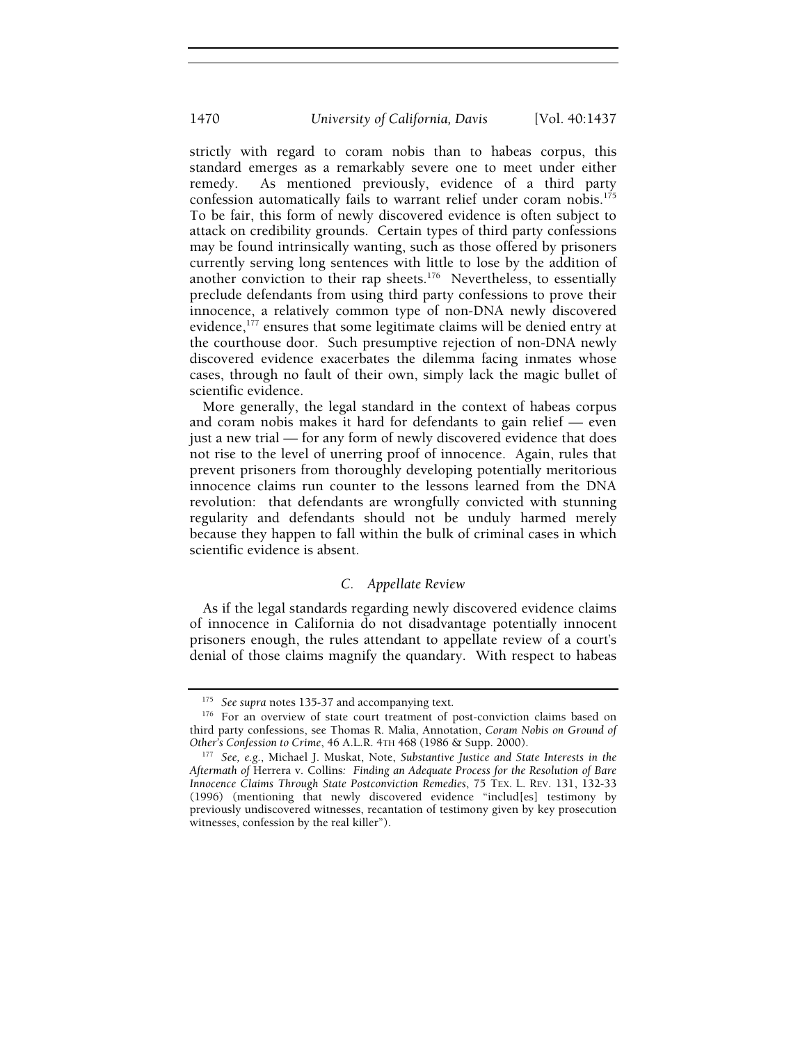strictly with regard to coram nobis than to habeas corpus, this standard emerges as a remarkably severe one to meet under either remedy. As mentioned previously, evidence of a third party confession automatically fails to warrant relief under coram nobis.<sup>175</sup> To be fair, this form of newly discovered evidence is often subject to attack on credibility grounds. Certain types of third party confessions may be found intrinsically wanting, such as those offered by prisoners currently serving long sentences with little to lose by the addition of another conviction to their rap sheets.<sup>176</sup> Nevertheless, to essentially preclude defendants from using third party confessions to prove their innocence, a relatively common type of non-DNA newly discovered evidence,<sup>177</sup> ensures that some legitimate claims will be denied entry at the courthouse door. Such presumptive rejection of non-DNA newly discovered evidence exacerbates the dilemma facing inmates whose cases, through no fault of their own, simply lack the magic bullet of scientific evidence.

More generally, the legal standard in the context of habeas corpus and coram nobis makes it hard for defendants to gain relief — even just a new trial — for any form of newly discovered evidence that does not rise to the level of unerring proof of innocence. Again, rules that prevent prisoners from thoroughly developing potentially meritorious innocence claims run counter to the lessons learned from the DNA revolution: that defendants are wrongfully convicted with stunning regularity and defendants should not be unduly harmed merely because they happen to fall within the bulk of criminal cases in which scientific evidence is absent.

# *C. Appellate Review*

As if the legal standards regarding newly discovered evidence claims of innocence in California do not disadvantage potentially innocent prisoners enough, the rules attendant to appellate review of a court's denial of those claims magnify the quandary. With respect to habeas

<sup>&</sup>lt;sup>175</sup> See supra notes 135-37 and accompanying text.<br><sup>176</sup> For an overview of state court treatment of post-conviction claims based on third party confessions, see Thomas R. Malia, Annotation, *Coram Nobis on Ground of Other's Confession to Crime*, 46 A.L.R. 4TH 468 (1986 & Supp. 2000). 177 *See, e.g.*, Michael J. Muskat, Note, *Substantive Justice and State Interests in the* 

*Aftermath of* Herrera v. Collins*: Finding an Adequate Process for the Resolution of Bare Innocence Claims Through State Postconviction Remedies*, 75 TEX. L. REV. 131, 132-33 (1996) (mentioning that newly discovered evidence "includ[es] testimony by previously undiscovered witnesses, recantation of testimony given by key prosecution witnesses, confession by the real killer").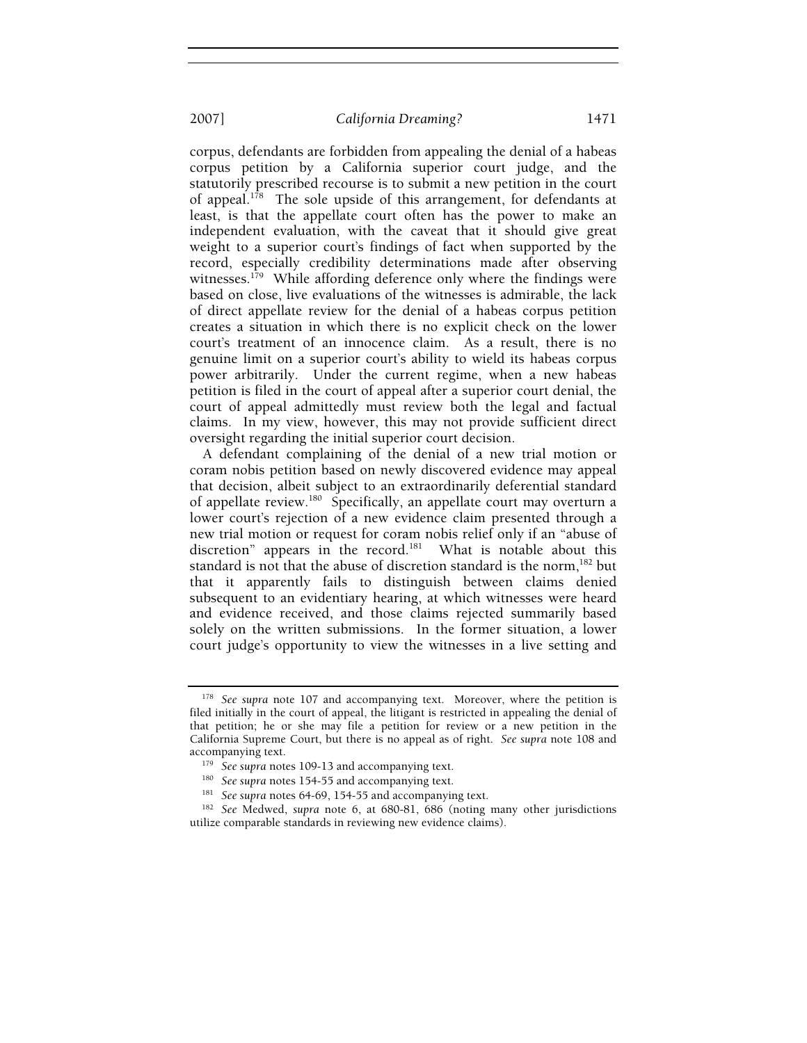corpus, defendants are forbidden from appealing the denial of a habeas corpus petition by a California superior court judge, and the statutorily prescribed recourse is to submit a new petition in the court of appeal.178 The sole upside of this arrangement, for defendants at least, is that the appellate court often has the power to make an independent evaluation, with the caveat that it should give great weight to a superior court's findings of fact when supported by the record, especially credibility determinations made after observing witnesses.<sup>179</sup> While affording deference only where the findings were based on close, live evaluations of the witnesses is admirable, the lack of direct appellate review for the denial of a habeas corpus petition creates a situation in which there is no explicit check on the lower court's treatment of an innocence claim. As a result, there is no genuine limit on a superior court's ability to wield its habeas corpus power arbitrarily. Under the current regime, when a new habeas petition is filed in the court of appeal after a superior court denial, the court of appeal admittedly must review both the legal and factual claims. In my view, however, this may not provide sufficient direct oversight regarding the initial superior court decision.

A defendant complaining of the denial of a new trial motion or coram nobis petition based on newly discovered evidence may appeal that decision, albeit subject to an extraordinarily deferential standard of appellate review.180 Specifically, an appellate court may overturn a lower court's rejection of a new evidence claim presented through a new trial motion or request for coram nobis relief only if an "abuse of discretion" appears in the record.<sup>181</sup> What is notable about this standard is not that the abuse of discretion standard is the norm,<sup>182</sup> but that it apparently fails to distinguish between claims denied subsequent to an evidentiary hearing, at which witnesses were heard and evidence received, and those claims rejected summarily based solely on the written submissions. In the former situation, a lower court judge's opportunity to view the witnesses in a live setting and

<sup>&</sup>lt;sup>178</sup> See supra note 107 and accompanying text. Moreover, where the petition is filed initially in the court of appeal, the litigant is restricted in appealing the denial of that petition; he or she may file a petition for review or a new petition in the California Supreme Court, but there is no appeal as of right. *See supra* note 108 and

<sup>&</sup>lt;sup>179</sup> See supra notes 109-13 and accompanying text.<br><sup>180</sup> See supra notes 154-55 and accompanying text.<br><sup>181</sup> See supra notes 64-69, 154-55 and accompanying text.<br><sup>182</sup> See Medwed, *supra* note 6, at 680-81, 686 (noting m utilize comparable standards in reviewing new evidence claims).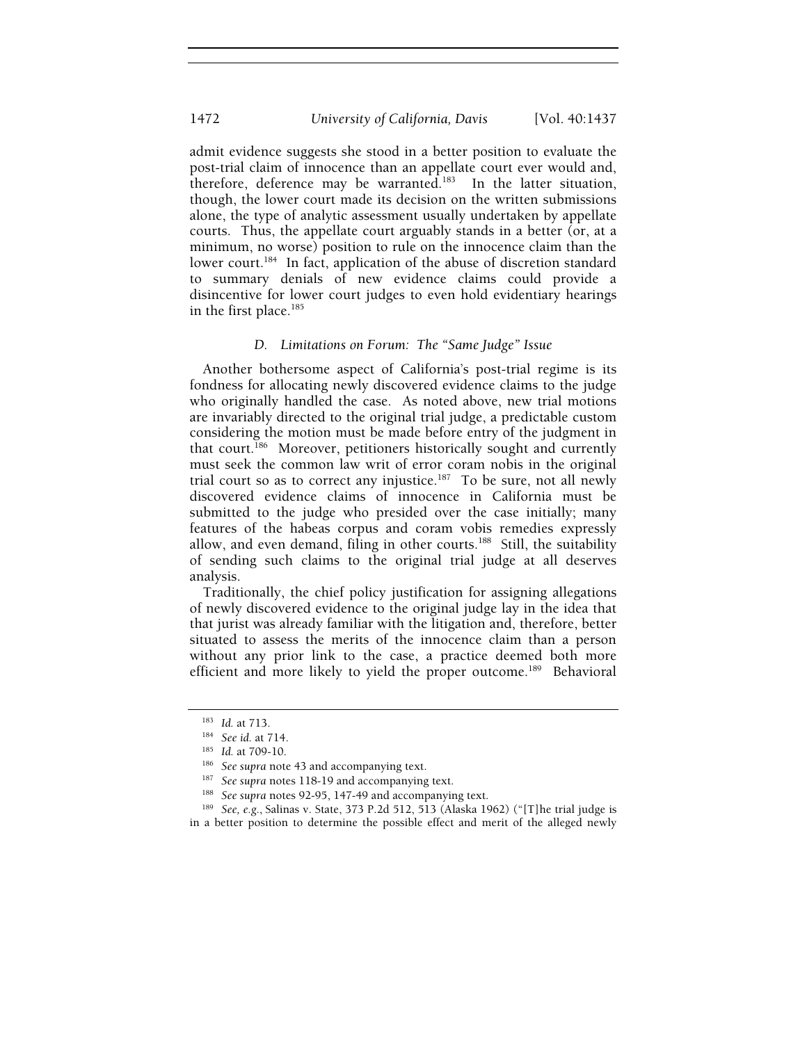admit evidence suggests she stood in a better position to evaluate the post-trial claim of innocence than an appellate court ever would and, therefore, deference may be warranted.183 In the latter situation, though, the lower court made its decision on the written submissions alone, the type of analytic assessment usually undertaken by appellate courts. Thus, the appellate court arguably stands in a better (or, at a minimum, no worse) position to rule on the innocence claim than the lower court.<sup>184</sup> In fact, application of the abuse of discretion standard to summary denials of new evidence claims could provide a disincentive for lower court judges to even hold evidentiary hearings in the first place.<sup>185</sup>

#### *D. Limitations on Forum: The "Same Judge" Issue*

Another bothersome aspect of California's post-trial regime is its fondness for allocating newly discovered evidence claims to the judge who originally handled the case. As noted above, new trial motions are invariably directed to the original trial judge, a predictable custom considering the motion must be made before entry of the judgment in that court.186 Moreover, petitioners historically sought and currently must seek the common law writ of error coram nobis in the original trial court so as to correct any injustice.<sup>187</sup> To be sure, not all newly discovered evidence claims of innocence in California must be submitted to the judge who presided over the case initially; many features of the habeas corpus and coram vobis remedies expressly allow, and even demand, filing in other courts.<sup>188</sup> Still, the suitability of sending such claims to the original trial judge at all deserves analysis.

Traditionally, the chief policy justification for assigning allegations of newly discovered evidence to the original judge lay in the idea that that jurist was already familiar with the litigation and, therefore, better situated to assess the merits of the innocence claim than a person without any prior link to the case, a practice deemed both more efficient and more likely to yield the proper outcome.<sup>189</sup> Behavioral

<sup>183</sup> Id. at 713.<br><sup>184</sup> See id. at 714.<br><sup>185</sup> Id. at 709-10.<br><sup>186</sup> See supra note 43 and accompanying text.<br><sup>187</sup> See supra notes 118-19 and accompanying text.<br><sup>188</sup> See supra notes 92-95, 147-49 and accompanying text.<br><sup>1</sup> in a better position to determine the possible effect and merit of the alleged newly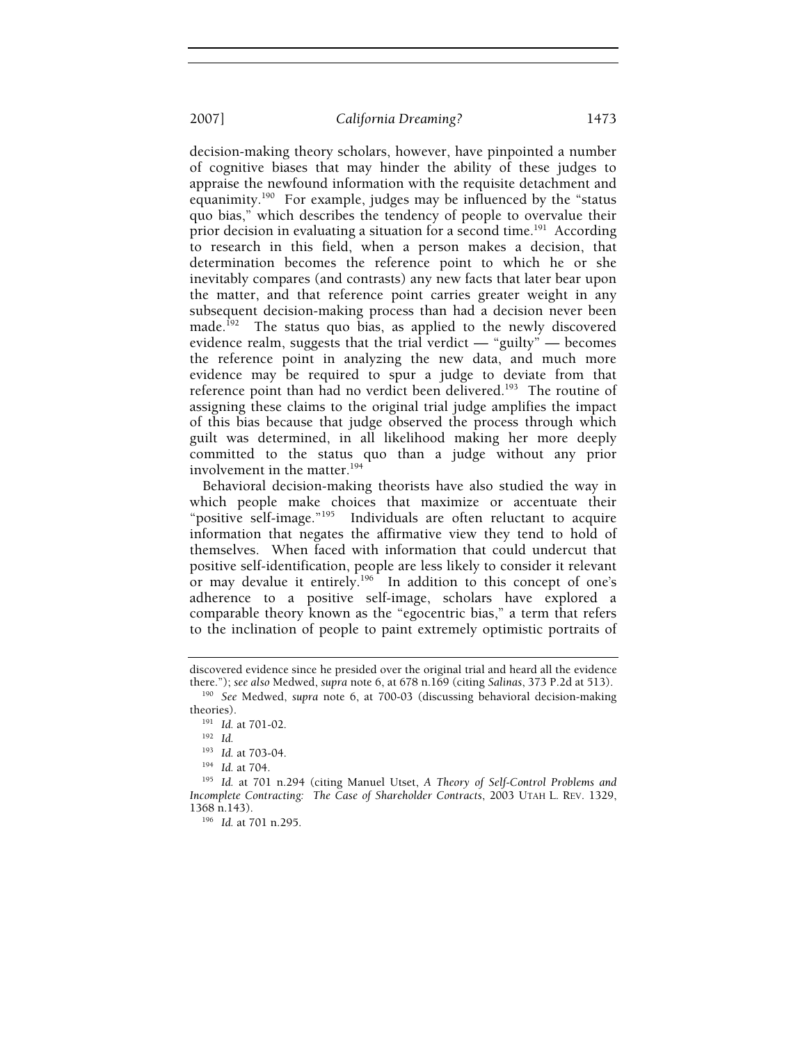decision-making theory scholars, however, have pinpointed a number of cognitive biases that may hinder the ability of these judges to appraise the newfound information with the requisite detachment and equanimity.190 For example, judges may be influenced by the "status quo bias," which describes the tendency of people to overvalue their prior decision in evaluating a situation for a second time.<sup>191</sup> According to research in this field, when a person makes a decision, that determination becomes the reference point to which he or she inevitably compares (and contrasts) any new facts that later bear upon the matter, and that reference point carries greater weight in any subsequent decision-making process than had a decision never been made.<sup>192</sup> The status quo bias, as applied to the newly discovered evidence realm, suggests that the trial verdict — "guilty" — becomes the reference point in analyzing the new data, and much more evidence may be required to spur a judge to deviate from that reference point than had no verdict been delivered.<sup>193</sup> The routine of assigning these claims to the original trial judge amplifies the impact of this bias because that judge observed the process through which guilt was determined, in all likelihood making her more deeply committed to the status quo than a judge without any prior involvement in the matter.194

Behavioral decision-making theorists have also studied the way in which people make choices that maximize or accentuate their "positive self-image."195 Individuals are often reluctant to acquire information that negates the affirmative view they tend to hold of themselves. When faced with information that could undercut that positive self-identification, people are less likely to consider it relevant or may devalue it entirely.<sup>196</sup> In addition to this concept of one's adherence to a positive self-image, scholars have explored a comparable theory known as the "egocentric bias," a term that refers to the inclination of people to paint extremely optimistic portraits of

discovered evidence since he presided over the original trial and heard all the evidence there."); *see also* Medwed, *supra* note 6, at 678 n.169 (citing *Salinas*, 373 P.2d at 513). 190 *See* Medwed, *supra* note 6, at 700-03 (discussing behavioral decision-making

theories).<br><sup>191</sup> *Id.* at 701-02.<br><sup>192</sup> *Id.*<br>*193 Id.* at 703-04.

<sup>193</sup> *Id.* at 703-04. 194 *Id.* at 704. 195 *Id.* at 701 n.294 (citing Manuel Utset, *A Theory of Self-Control Problems and Incomplete Contracting: The Case of Shareholder Contracts*, 2003 UTAH L. REV. 1329, 1368 n.143). 196 *Id.* at 701 n.295.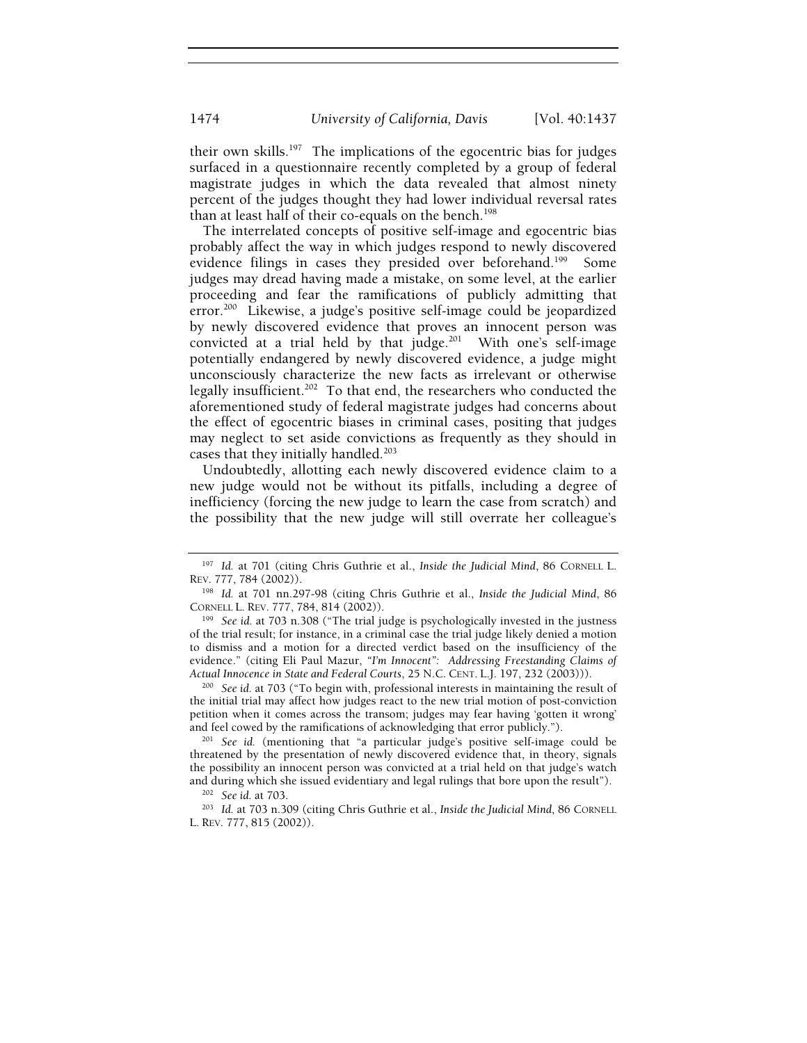their own skills.197 The implications of the egocentric bias for judges surfaced in a questionnaire recently completed by a group of federal magistrate judges in which the data revealed that almost ninety percent of the judges thought they had lower individual reversal rates than at least half of their co-equals on the bench.<sup>198</sup>

The interrelated concepts of positive self-image and egocentric bias probably affect the way in which judges respond to newly discovered evidence filings in cases they presided over beforehand.<sup>199</sup> Some judges may dread having made a mistake, on some level, at the earlier proceeding and fear the ramifications of publicly admitting that error.<sup>200</sup> Likewise, a judge's positive self-image could be jeopardized by newly discovered evidence that proves an innocent person was convicted at a trial held by that judge. $201$  With one's self-image potentially endangered by newly discovered evidence, a judge might unconsciously characterize the new facts as irrelevant or otherwise legally insufficient.<sup>202</sup> To that end, the researchers who conducted the aforementioned study of federal magistrate judges had concerns about the effect of egocentric biases in criminal cases, positing that judges may neglect to set aside convictions as frequently as they should in cases that they initially handled.<sup>203</sup>

Undoubtedly, allotting each newly discovered evidence claim to a new judge would not be without its pitfalls, including a degree of inefficiency (forcing the new judge to learn the case from scratch) and the possibility that the new judge will still overrate her colleague's

the initial trial may affect how judges react to the new trial motion of post-conviction petition when it comes across the transom; judges may fear having 'gotten it wrong'

<sup>201</sup> See id. (mentioning that "a particular judge's positive self-image could be threatened by the presentation of newly discovered evidence that, in theory, signals the possibility an innocent person was convicted at a trial held on that judge's watch and during which she issued evidentiary and legal rulings that bore upon the result").

and during which she issued evidentiary and legal rulings that bore upon the result"). 202 *See id.* at 703. 203 *Id.* at 703 n.309 (citing Chris Guthrie et al., *Inside the Judicial Mind*, 86 CORNELL L. REV. 777, 815 (2002)).

<sup>197</sup> *Id.* at 701 (citing Chris Guthrie et al., *Inside the Judicial Mind*, 86 CORNELL L. REV. 777, 784 (2002)).

<sup>&</sup>lt;sup>198</sup> Id. at 701 nn.297-98 (citing Chris Guthrie et al., *Inside the Judicial Mind*, 86 CORNELL L. REV. 777, 784, 814 (2002)).

<sup>&</sup>lt;sup>199</sup> See id. at 703 n.308 ("The trial judge is psychologically invested in the justness of the trial result; for instance, in a criminal case the trial judge likely denied a motion to dismiss and a motion for a directed verdict based on the insufficiency of the evidence." (citing Eli Paul Mazur, *"I'm Innocent": Addressing Freestanding Claims of Actual Innocence in State and Federal Courts*, 25 N.C. CENT. L.J. 197, 232 (2003))). 200 *See id.* at 703 ("To begin with, professional interests in maintaining the result of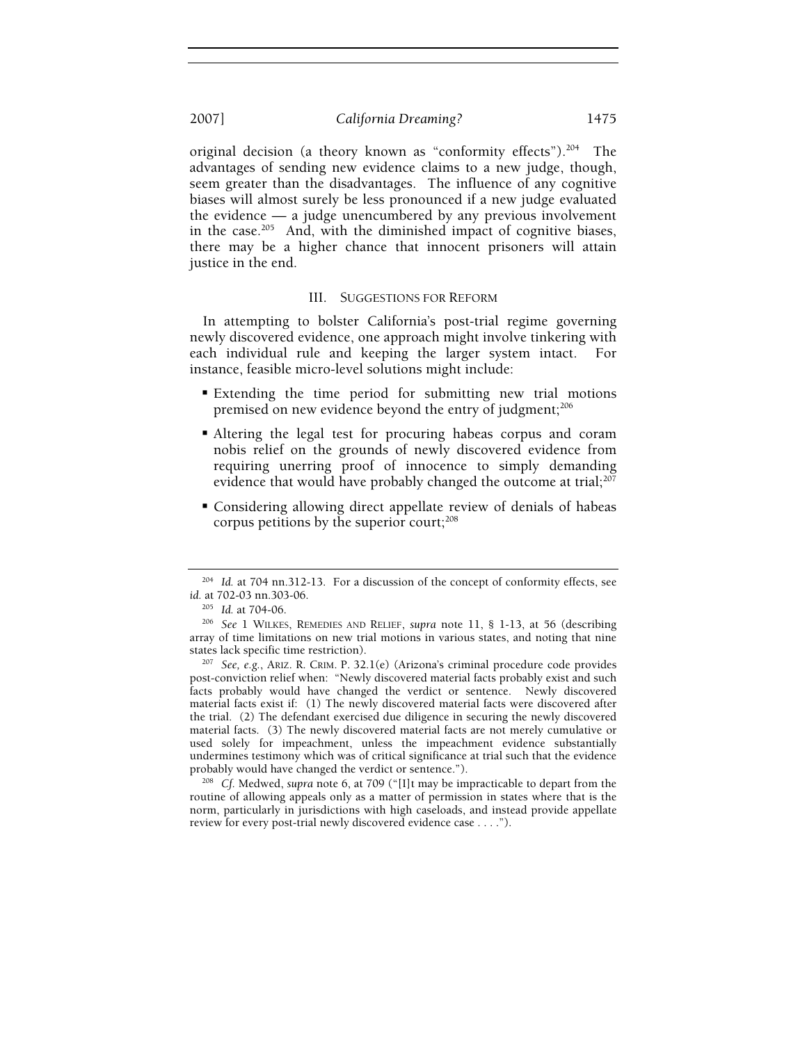original decision (a theory known as "conformity effects").204 The advantages of sending new evidence claims to a new judge, though, seem greater than the disadvantages. The influence of any cognitive biases will almost surely be less pronounced if a new judge evaluated the evidence — a judge unencumbered by any previous involvement in the case.<sup>205</sup> And, with the diminished impact of cognitive biases, there may be a higher chance that innocent prisoners will attain justice in the end.

## III. SUGGESTIONS FOR REFORM

In attempting to bolster California's post-trial regime governing newly discovered evidence, one approach might involve tinkering with each individual rule and keeping the larger system intact. For instance, feasible micro-level solutions might include: -

- Extending the time period for submitting new trial motions premised on new evidence beyond the entry of judgment;<sup>206</sup>
- Altering the legal test for procuring habeas corpus and coram nobis relief on the grounds of newly discovered evidence from requiring unerring proof of innocence to simply demanding evidence that would have probably changed the outcome at trial; $^{207}$
- Considering allowing direct appellate review of denials of habeas corpus petitions by the superior court;<sup>208</sup>

<sup>207</sup> See, e.g., ARIZ. R. CRIM. P. 32.1(e) (Arizona's criminal procedure code provides post-conviction relief when: "Newly discovered material facts probably exist and such facts probably would have changed the verdict or sentence. Newly discovered material facts exist if: (1) The newly discovered material facts were discovered after the trial. (2) The defendant exercised due diligence in securing the newly discovered material facts. (3) The newly discovered material facts are not merely cumulative or used solely for impeachment, unless the impeachment evidence substantially undermines testimony which was of critical significance at trial such that the evidence probably would have changed the verdict or sentence.").

<sup>208</sup> Cf. Medwed, *supra* note 6, at 709 ("[I]t may be impracticable to depart from the routine of allowing appeals only as a matter of permission in states where that is the norm, particularly in jurisdictions with high caseloads, and instead provide appellate review for every post-trial newly discovered evidence case . . . .").

<sup>204</sup> *Id.* at 704 nn.312-13. For a discussion of the concept of conformity effects, see *id.* at 702-03 nn.303-06.

<sup>205</sup> *Id.* at 704-06. 206 *See* 1 WILKES, REMEDIES AND RELIEF, *supra* note 11, § 1-13, at 56 (describing array of time limitations on new trial motions in various states, and noting that nine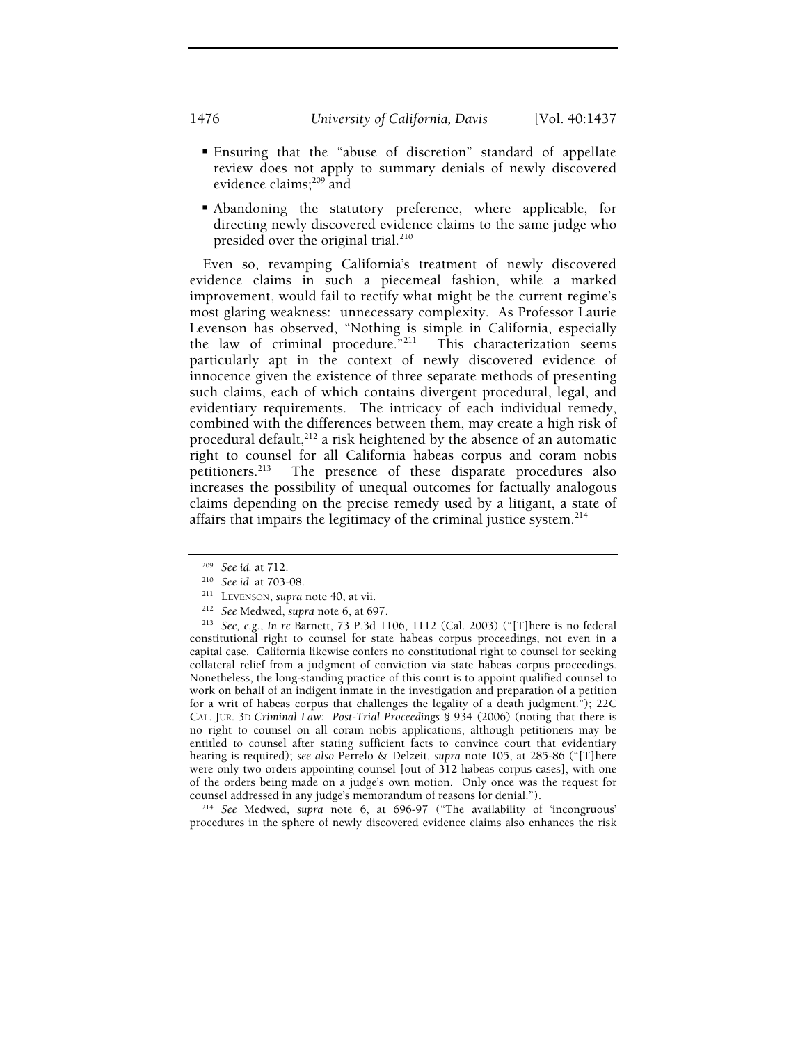- Ensuring that the "abuse of discretion" standard of appellate review does not apply to summary denials of newly discovered evidence claims;<sup>209</sup> and
- Abandoning the statutory preference, where applicable, for directing newly discovered evidence claims to the same judge who presided over the original trial.<sup>210</sup>

Even so, revamping California's treatment of newly discovered evidence claims in such a piecemeal fashion, while a marked improvement, would fail to rectify what might be the current regime's most glaring weakness: unnecessary complexity. As Professor Laurie Levenson has observed, "Nothing is simple in California, especially the law of criminal procedure."<sup>211</sup> This characterization seems particularly apt in the context of newly discovered evidence of innocence given the existence of three separate methods of presenting such claims, each of which contains divergent procedural, legal, and evidentiary requirements. The intricacy of each individual remedy, combined with the differences between them, may create a high risk of procedural default, $^{212}$  a risk heightened by the absence of an automatic right to counsel for all California habeas corpus and coram nobis petitioners.<sup>213</sup> The presence of these disparate procedures also The presence of these disparate procedures also increases the possibility of unequal outcomes for factually analogous claims depending on the precise remedy used by a litigant, a state of affairs that impairs the legitimacy of the criminal justice system. $214$ 

<sup>209</sup> See id. at 703-08.<br>
<sup>210</sup> See id. at 703-08.<br>
<sup>211</sup> LEVENSON, supra note 40, at vii.<br>
<sup>212</sup> See Medwed, supra note 6, at 697.<br>
<sup>213</sup> See, e.g., In re Barnett, 73 P.3d 1106, 1112 (Cal. 2003) ("[T]here is no federal constitutional right to counsel for state habeas corpus proceedings, not even in a capital case. California likewise confers no constitutional right to counsel for seeking collateral relief from a judgment of conviction via state habeas corpus proceedings. Nonetheless, the long-standing practice of this court is to appoint qualified counsel to work on behalf of an indigent inmate in the investigation and preparation of a petition for a writ of habeas corpus that challenges the legality of a death judgment."); 22C CAL. JUR. 3D *Criminal Law: Post-Trial Proceedings* § 934 (2006) (noting that there is no right to counsel on all coram nobis applications, although petitioners may be entitled to counsel after stating sufficient facts to convince court that evidentiary hearing is required); *see also* Perrelo & Delzeit, *supra* note 105, at 285-86 ("[T]here were only two orders appointing counsel [out of 312 habeas corpus cases], with one of the orders being made on a judge's own motion. Only once was the request for counsel addressed in any judge's memorandum of reasons for denial."). 214 *See* Medwed, *supra* note 6, at 696-97 ("The availability of 'incongruous'

procedures in the sphere of newly discovered evidence claims also enhances the risk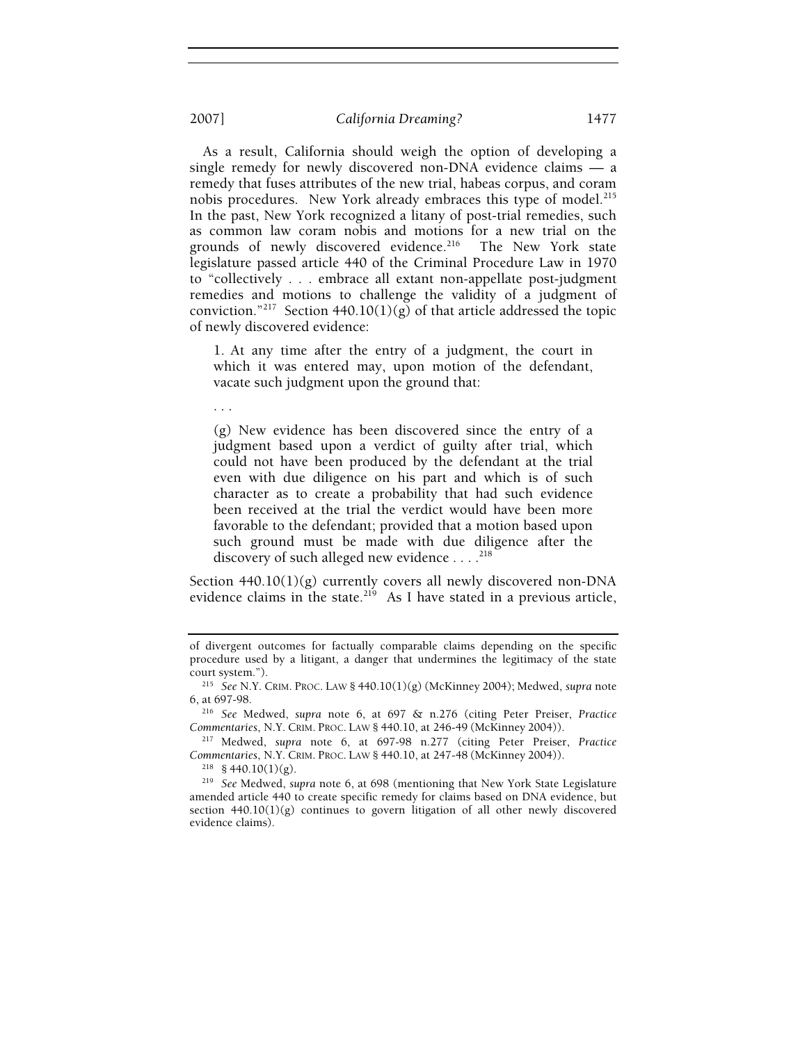As a result, California should weigh the option of developing a single remedy for newly discovered non-DNA evidence claims — a remedy that fuses attributes of the new trial, habeas corpus, and coram nobis procedures. New York already embraces this type of model.<sup>215</sup> In the past, New York recognized a litany of post-trial remedies, such as common law coram nobis and motions for a new trial on the grounds of newly discovered evidence.<sup>216</sup> The New York state legislature passed article 440 of the Criminal Procedure Law in 1970 to "collectively . . . embrace all extant non-appellate post-judgment remedies and motions to challenge the validity of a judgment of conviction."<sup>217</sup> Section 440.10(1)(g) of that article addressed the topic of newly discovered evidence:

1. At any time after the entry of a judgment, the court in which it was entered may, upon motion of the defendant, vacate such judgment upon the ground that:

(g) New evidence has been discovered since the entry of a judgment based upon a verdict of guilty after trial, which could not have been produced by the defendant at the trial even with due diligence on his part and which is of such character as to create a probability that had such evidence been received at the trial the verdict would have been more favorable to the defendant; provided that a motion based upon such ground must be made with due diligence after the discovery of such alleged new evidence . . . . <sup>218</sup>

Section 440.10(1)(g) currently covers all newly discovered non-DNA evidence claims in the state.<sup>219</sup> As I have stated in a previous article,

*Commentaries*, N.Y. CRIM. PROC. LAW § 440.10, at 247-48 (McKinney 2004)). 218 § 440.10(1)(g). 219 *See* Medwed, *supra* note 6, at 698 (mentioning that New York State Legislature amended article 440 to create specific remedy for claims based on DNA evidence, but section  $440.10(1)(g)$  continues to govern litigation of all other newly discovered evidence claims).

. . .

of divergent outcomes for factually comparable claims depending on the specific procedure used by a litigant, a danger that undermines the legitimacy of the state

<sup>&</sup>lt;sup>215</sup> See N.Y. CRIM. PROC. LAW § 440.10(1)(g) (McKinney 2004); Medwed, *supra* note 6, at 697-98.

<sup>&</sup>lt;sup>216</sup> See Medwed, *supra* note 6, at 697 & n.276 (citing Peter Preiser, *Practice Commentaries*, N.Y. CRIM. PROC. LAW § 440.10, at 246-49 (McKinney 2004)).

<sup>&</sup>lt;sup>217</sup> Medwed, *supra* note 6, at 697-98 n.277 (citing Peter Preiser, *Practice Commentaries*, N.Y. CRIM. PROC. LAW § 440.10, at 247-48 (McKinney 2004)).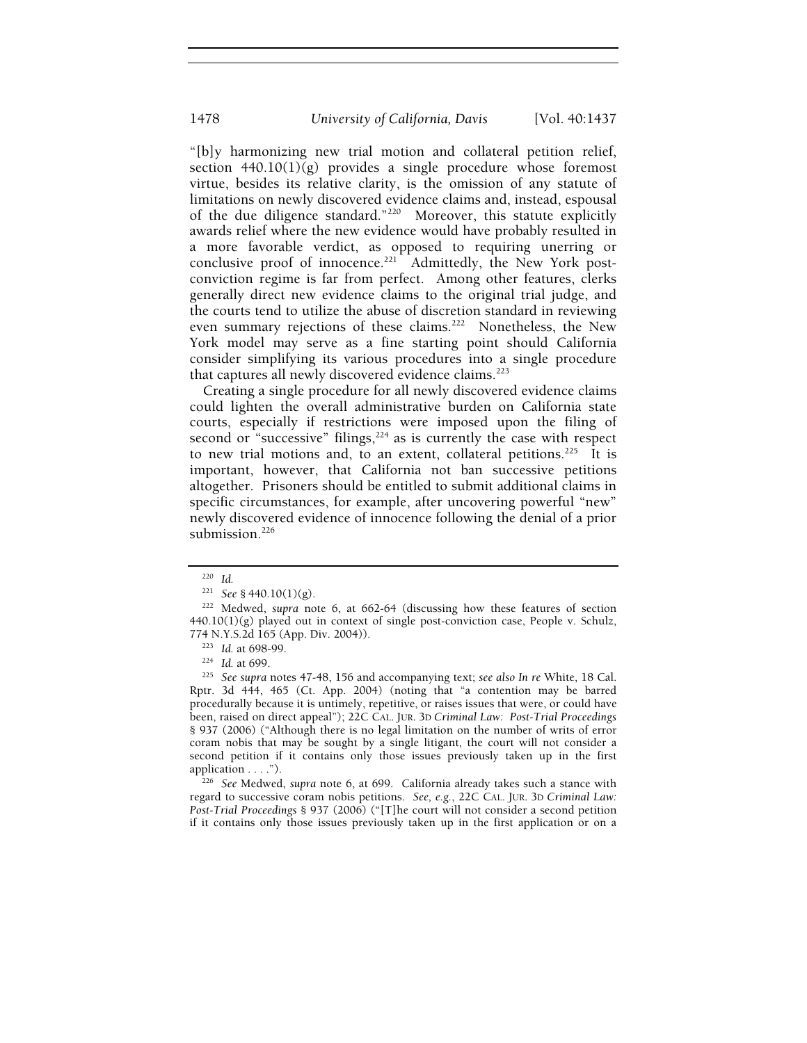"[b]y harmonizing new trial motion and collateral petition relief, section  $440.10(1)(g)$  provides a single procedure whose foremost virtue, besides its relative clarity, is the omission of any statute of limitations on newly discovered evidence claims and, instead, espousal of the due diligence standard."220 Moreover, this statute explicitly awards relief where the new evidence would have probably resulted in a more favorable verdict, as opposed to requiring unerring or conclusive proof of innocence.<sup>221</sup> Admittedly, the New York postconviction regime is far from perfect. Among other features, clerks generally direct new evidence claims to the original trial judge, and the courts tend to utilize the abuse of discretion standard in reviewing even summary rejections of these claims.<sup>222</sup> Nonetheless, the New York model may serve as a fine starting point should California consider simplifying its various procedures into a single procedure that captures all newly discovered evidence claims.<sup>223</sup>

Creating a single procedure for all newly discovered evidence claims could lighten the overall administrative burden on California state courts, especially if restrictions were imposed upon the filing of second or "successive" filings, $224$  as is currently the case with respect to new trial motions and, to an extent, collateral petitions.<sup>225</sup> It is important, however, that California not ban successive petitions altogether. Prisoners should be entitled to submit additional claims in specific circumstances, for example, after uncovering powerful "new" newly discovered evidence of innocence following the denial of a prior submission.<sup>226</sup>

<sup>226</sup> See Medwed, *supra* note 6, at 699. California already takes such a stance with regard to successive coram nobis petitions. *See, e.g.*, 22C CAL. JUR. 3D *Criminal Law: Post-Trial Proceedings* § 937 (2006) ("[T]he court will not consider a second petition if it contains only those issues previously taken up in the first application or on a

<sup>&</sup>lt;sup>220</sup> *Id.*  $\text{221}$  *See* § 440.10(1)(g).

<sup>&</sup>lt;sup>222</sup> Medwed, *supra* note 6, at 662-64 (discussing how these features of section  $440.10(1)(g)$  played out in context of single post-conviction case, People v. Schulz, 774 N.Y.S.2d 165 (App. Div. 2004)). 223 *Id.* at 698-99. 224 *Id.* at 699. 225 *See supra* notes 47-48, 156 and accompanying text; *see also In re* White, 18 Cal.

Rptr. 3d 444, 465 (Ct. App. 2004) (noting that "a contention may be barred procedurally because it is untimely, repetitive, or raises issues that were, or could have been, raised on direct appeal"); 22C CAL. JUR. 3D *Criminal Law: Post-Trial Proceedings* § 937 (2006) ("Although there is no legal limitation on the number of writs of error coram nobis that may be sought by a single litigant, the court will not consider a second petition if it contains only those issues previously taken up in the first application  $\dots$ .").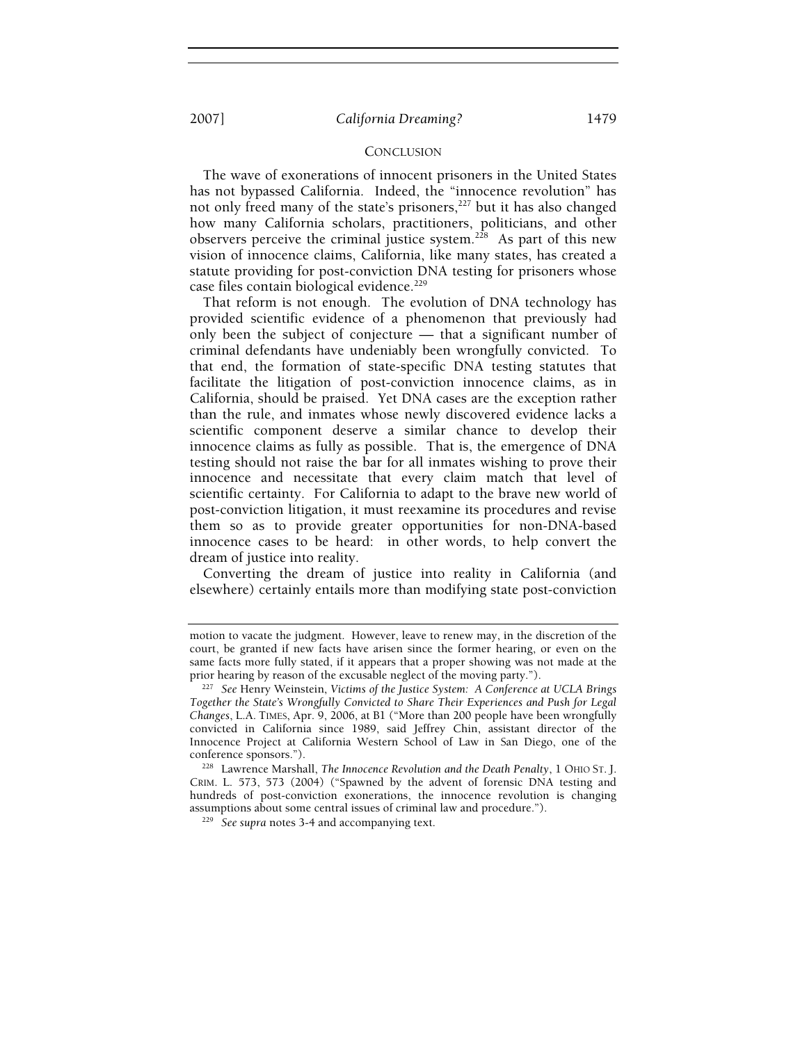#### **CONCLUSION**

The wave of exonerations of innocent prisoners in the United States has not bypassed California. Indeed, the "innocence revolution" has not only freed many of the state's prisoners,<sup>227</sup> but it has also changed how many California scholars, practitioners, politicians, and other observers perceive the criminal justice system.<sup>228</sup> As part of this new vision of innocence claims, California, like many states, has created a statute providing for post-conviction DNA testing for prisoners whose case files contain biological evidence.<sup>229</sup>

That reform is not enough. The evolution of DNA technology has provided scientific evidence of a phenomenon that previously had only been the subject of conjecture — that a significant number of criminal defendants have undeniably been wrongfully convicted. To that end, the formation of state-specific DNA testing statutes that facilitate the litigation of post-conviction innocence claims, as in California, should be praised. Yet DNA cases are the exception rather than the rule, and inmates whose newly discovered evidence lacks a scientific component deserve a similar chance to develop their innocence claims as fully as possible. That is, the emergence of DNA testing should not raise the bar for all inmates wishing to prove their innocence and necessitate that every claim match that level of scientific certainty. For California to adapt to the brave new world of post-conviction litigation, it must reexamine its procedures and revise them so as to provide greater opportunities for non-DNA-based innocence cases to be heard: in other words, to help convert the dream of justice into reality.

Converting the dream of justice into reality in California (and elsewhere) certainly entails more than modifying state post-conviction

motion to vacate the judgment. However, leave to renew may, in the discretion of the court, be granted if new facts have arisen since the former hearing, or even on the same facts more fully stated, if it appears that a proper showing was not made at the prior hearing by reason of the excusable neglect of the moving party.").

<sup>&</sup>lt;sup>227</sup> See Henry Weinstein, *Victims of the Justice System: A Conference at UCLA Brings Together the State's Wrongfully Convicted to Share Their Experiences and Push for Legal Changes*, L.A. TIMES, Apr. 9, 2006, at B1 ("More than 200 people have been wrongfully convicted in California since 1989, said Jeffrey Chin, assistant director of the Innocence Project at California Western School of Law in San Diego, one of the conference sponsors."). 228 Lawrence Marshall, *The Innocence Revolution and the Death Penalty*, 1 OHIO ST. J.

CRIM. L. 573, 573 (2004) ("Spawned by the advent of forensic DNA testing and hundreds of post-conviction exonerations, the innocence revolution is changing assumptions about some central issues of criminal law and procedure."). 229 *See supra* notes 3-4 and accompanying text.